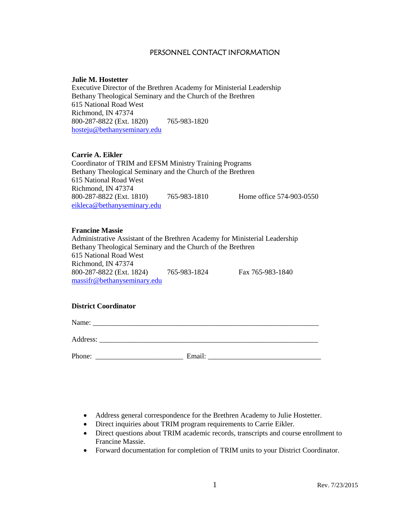### PERSONNEL CONTACT INFORMATION

#### **Julie M. Hostetter**

Executive Director of the Brethren Academy for Ministerial Leadership Bethany Theological Seminary and the Church of the Brethren 615 National Road West Richmond, IN 47374 800-287-8822 (Ext. 1820) 765-983-1820 [hosteju@bethanyseminary.edu](mailto:hosteju@bethanyseminary.edu)

### **Carrie A. Eikler**

Coordinator of TRIM and EFSM Ministry Training Programs Bethany Theological Seminary and the Church of the Brethren 615 National Road West Richmond, IN 47374 800-287-8822 (Ext. 1810) 765-983-1810 Home office 574-903-0550 [eikleca@bethanyseminary.edu](mailto:eikleca@bethanyseminary.edu)

### **Francine Massie**

Administrative Assistant of the Brethren Academy for Ministerial Leadership Bethany Theological Seminary and the Church of the Brethren 615 National Road West Richmond, IN 47374 800-287-8822 (Ext. 1824) 765-983-1824 Fax 765-983-1840 massifr@bethanyseminary.edu

### **District Coordinator**

Name: \_\_\_\_\_\_\_\_\_\_\_\_\_\_\_\_\_\_\_\_\_\_\_\_\_\_\_\_\_\_\_\_\_\_\_\_\_\_\_\_\_\_\_\_\_\_\_\_\_\_\_\_\_\_\_\_\_\_\_\_\_\_

Address:

Phone: \_\_\_\_\_\_\_\_\_\_\_\_\_\_\_\_\_\_\_\_\_\_\_\_ Email: \_\_\_\_\_\_\_\_\_\_\_\_\_\_\_\_\_\_\_\_\_\_\_\_\_\_\_\_\_\_\_

- Address general correspondence for the Brethren Academy to Julie Hostetter.
- Direct inquiries about TRIM program requirements to Carrie Eikler.
- Direct questions about TRIM academic records, transcripts and course enrollment to Francine Massie.
- Forward documentation for completion of TRIM units to your District Coordinator.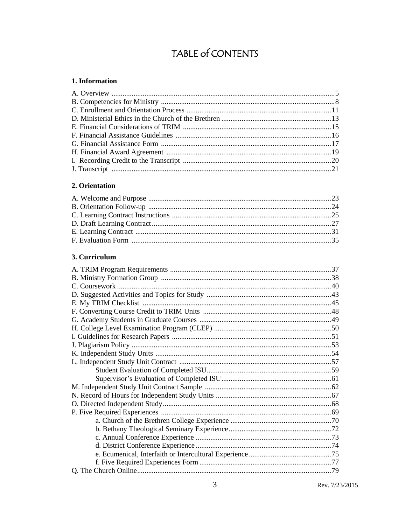# TABLE of CONTENTS

### 1. Information

### 2. Orientation

### 3. Curriculum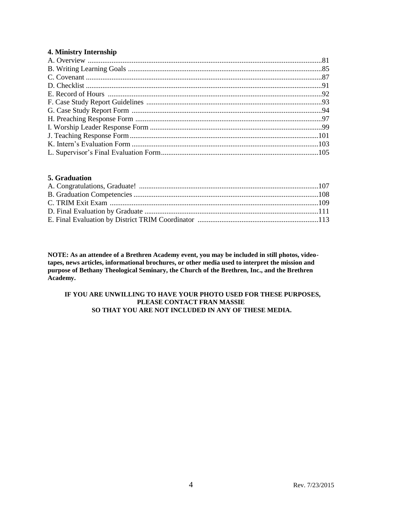### **4. Ministry Internship**

### **5. Graduation**

**NOTE: As an attendee of a Brethren Academy event, you may be included in still photos, videotapes, news articles, informational brochures, or other media used to interpret the mission and purpose of Bethany Theological Seminary, the Church of the Brethren, Inc., and the Brethren Academy.**

#### **IF YOU ARE UNWILLING TO HAVE YOUR PHOTO USED FOR THESE PURPOSES, PLEASE CONTACT FRAN MASSIE SO THAT YOU ARE NOT INCLUDED IN ANY OF THESE MEDIA.**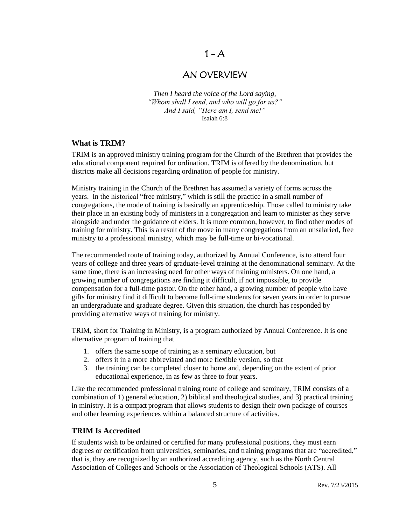## $1 - A$

### AN OVERVIEW

*Then I heard the voice of the Lord saying, "Whom shall I send, and who will go for us?" And I said, "Here am I, send me!"* Isaiah 6:8

### **What is TRIM?**

TRIM is an approved ministry training program for the Church of the Brethren that provides the educational component required for ordination. TRIM is offered by the denomination, but districts make all decisions regarding ordination of people for ministry.

Ministry training in the Church of the Brethren has assumed a variety of forms across the years. In the historical "free ministry," which is still the practice in a small number of congregations, the mode of training is basically an apprenticeship. Those called to ministry take their place in an existing body of ministers in a congregation and learn to minister as they serve alongside and under the guidance of elders. It is more common, however, to find other modes of training for ministry. This is a result of the move in many congregations from an unsalaried, free ministry to a professional ministry, which may be full-time or bi-vocational.

The recommended route of training today, authorized by Annual Conference, is to attend four years of college and three years of graduate-level training at the denominational seminary. At the same time, there is an increasing need for other ways of training ministers. On one hand, a growing number of congregations are finding it difficult, if not impossible, to provide compensation for a full-time pastor. On the other hand, a growing number of people who have gifts for ministry find it difficult to become full-time students for seven years in order to pursue an undergraduate and graduate degree. Given this situation, the church has responded by providing alternative ways of training for ministry.

TRIM, short for Training in Ministry, is a program authorized by Annual Conference. It is one alternative program of training that

- 1. offers the same scope of training as a seminary education, but
- 2. offers it in a more abbreviated and more flexible version, so that
- 3. the training can be completed closer to home and, depending on the extent of prior educational experience, in as few as three to four years.

Like the recommended professional training route of college and seminary, TRIM consists of a combination of 1) general education, 2) biblical and theological studies, and 3) practical training in ministry. It is a compact program that allows students to design their own package of courses and other learning experiences within a balanced structure of activities.

### **TRIM Is Accredited**

If students wish to be ordained or certified for many professional positions, they must earn degrees or certification from universities, seminaries, and training programs that are "accredited," that is, they are recognized by an authorized accrediting agency, such as the North Central Association of Colleges and Schools or the Association of Theological Schools (ATS). All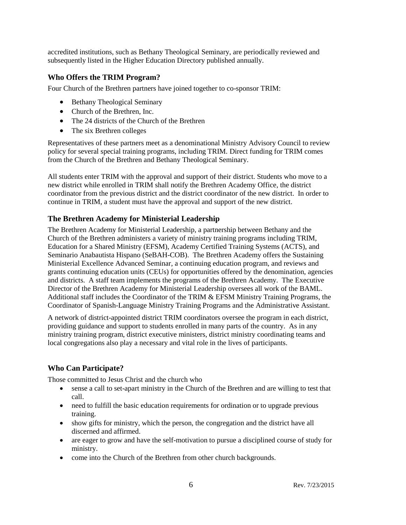accredited institutions, such as Bethany Theological Seminary, are periodically reviewed and subsequently listed in the Higher Education Directory published annually.

### **Who Offers the TRIM Program?**

Four Church of the Brethren partners have joined together to co-sponsor TRIM:

- Bethany Theological Seminary
- Church of the Brethren, Inc.
- The 24 districts of the Church of the Brethren
- The six Brethren colleges

Representatives of these partners meet as a denominational Ministry Advisory Council to review policy for several special training programs, including TRIM. Direct funding for TRIM comes from the Church of the Brethren and Bethany Theological Seminary.

All students enter TRIM with the approval and support of their district. Students who move to a new district while enrolled in TRIM shall notify the Brethren Academy Office, the district coordinator from the previous district and the district coordinator of the new district. In order to continue in TRIM, a student must have the approval and support of the new district.

### **The Brethren Academy for Ministerial Leadership**

The Brethren Academy for Ministerial Leadership, a partnership between Bethany and the Church of the Brethren administers a variety of ministry training programs including TRIM, Education for a Shared Ministry (EFSM), Academy Certified Training Systems (ACTS), and Seminario Anabautista Hispano (SeBAH-COB). The Brethren Academy offers the Sustaining Ministerial Excellence Advanced Seminar, a continuing education program, and reviews and grants continuing education units (CEUs) for opportunities offered by the denomination, agencies and districts. A staff team implements the programs of the Brethren Academy. The Executive Director of the Brethren Academy for Ministerial Leadership oversees all work of the BAML. Additional staff includes the Coordinator of the TRIM & EFSM Ministry Training Programs, the Coordinator of Spanish-Language Ministry Training Programs and the Administrative Assistant.

A network of district-appointed district TRIM coordinators oversee the program in each district, providing guidance and support to students enrolled in many parts of the country. As in any ministry training program, district executive ministers, district ministry coordinating teams and local congregations also play a necessary and vital role in the lives of participants.

### **Who Can Participate?**

Those committed to Jesus Christ and the church who

- sense a call to set-apart ministry in the Church of the Brethren and are willing to test that call.
- need to fulfill the basic education requirements for ordination or to upgrade previous training.
- show gifts for ministry, which the person, the congregation and the district have all discerned and affirmed.
- are eager to grow and have the self-motivation to pursue a disciplined course of study for ministry.
- come into the Church of the Brethren from other church backgrounds.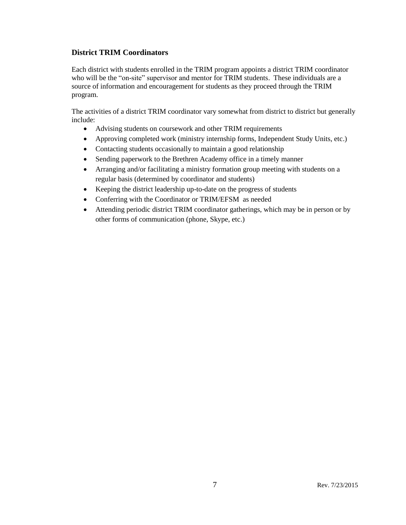### **District TRIM Coordinators**

Each district with students enrolled in the TRIM program appoints a district TRIM coordinator who will be the "on-site" supervisor and mentor for TRIM students. These individuals are a source of information and encouragement for students as they proceed through the TRIM program.

The activities of a district TRIM coordinator vary somewhat from district to district but generally include:

- Advising students on coursework and other TRIM requirements
- Approving completed work (ministry internship forms, Independent Study Units, etc.)
- Contacting students occasionally to maintain a good relationship
- Sending paperwork to the Brethren Academy office in a timely manner
- Arranging and/or facilitating a ministry formation group meeting with students on a regular basis (determined by coordinator and students)
- Keeping the district leadership up-to-date on the progress of students
- Conferring with the Coordinator or TRIM/EFSM as needed
- Attending periodic district TRIM coordinator gatherings, which may be in person or by other forms of communication (phone, Skype, etc.)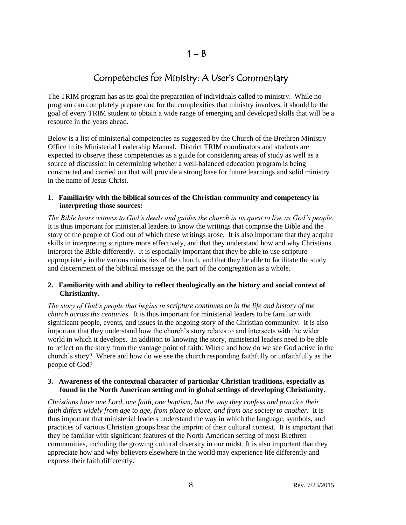## Competencies for Ministry: A User's Commentary

The TRIM program has as its goal the preparation of individuals called to ministry. While no program can completely prepare one for the complexities that ministry involves, it should be the goal of every TRIM student to obtain a wide range of emerging and developed skills that will be a resource in the years ahead.

Below is a list of ministerial competencies as suggested by the Church of the Brethren Ministry Office in its Ministerial Leadership Manual. District TRIM coordinators and students are expected to observe these competencies as a guide for considering areas of study as well as a source of discussion in determining whether a well-balanced education program is being constructed and carried out that will provide a strong base for future learnings and solid ministry in the name of Jesus Christ.

### **1. Familiarity with the biblical sources of the Christian community and competency in interpreting those sources:**

*The Bible bears witness to God's deeds and guides the church in its quest to live as God's people.* It is thus important for ministerial leaders to know the writings that comprise the Bible and the story of the people of God out of which these writings arose. It is also important that they acquire skills in interpreting scripture more effectively, and that they understand how and why Christians interpret the Bible differently. It is especially important that they be able to use scripture appropriately in the various ministries of the church, and that they be able to facilitate the study and discernment of the biblical message on the part of the congregation as a whole.

### **2. Familiarity with and ability to reflect theologically on the history and social context of Christianity.**

*The story of God's people that begins in scripture continues on in the life and history of the church across the centuries.* It is thus important for ministerial leaders to be familiar with significant people, events, and issues in the ongoing story of the Christian community. It is also important that they understand how the church's story relates to and intersects with the wider world in which it develops. In addition to knowing the story, ministerial leaders need to be able to reflect on the story from the vantage point of faith: Where and how do we see God active in the church's story? Where and how do we see the church responding faithfully or unfaithfully as the people of God?

### **3. Awareness of the contextual character of particular Christian traditions, especially as found in the North American setting and in global settings of developing Christianity.**

*Christians have one Lord, one faith, one baptism, but the way they confess and practice their faith differs widely from age to age, from place to place, and from one society to another.* It is thus important that ministerial leaders understand the way in which the language, symbols, and practices of various Christian groups bear the imprint of their cultural context. It is important that they be familiar with significant features of the North American setting of most Brethren communities, including the growing cultural diversity in our midst. It is also important that they appreciate how and why believers elsewhere in the world may experience life differently and express their faith differently.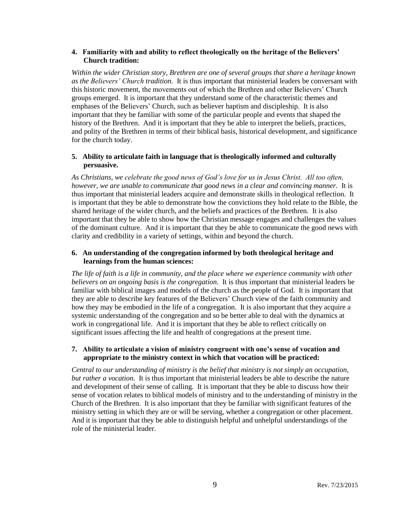### **4. Familiarity with and ability to reflect theologically on the heritage of the Believers' Church tradition:**

*Within the wider Christian story, Brethren are one of several groups that share a heritage known as the Believers' Church tradition.* It is thus important that ministerial leaders be conversant with this historic movement, the movements out of which the Brethren and other Believers' Church groups emerged. It is important that they understand some of the characteristic themes and emphases of the Believers' Church, such as believer baptism and discipleship. It is also important that they be familiar with some of the particular people and events that shaped the history of the Brethren. And it is important that they be able to interpret the beliefs, practices, and polity of the Brethren in terms of their biblical basis, historical development, and significance for the church today.

### **5. Ability to articulate faith in language that is theologically informed and culturally persuasive.**

*As Christians, we celebrate the good news of God's love for us in Jesus Christ. All too often, however, we are unable to communicate that good news in a clear and convincing manner.* It is thus important that ministerial leaders acquire and demonstrate skills in theological reflection. It is important that they be able to demonstrate how the convictions they hold relate to the Bible, the shared heritage of the wider church, and the beliefs and practices of the Brethren. It is also important that they be able to show how the Christian message engages and challenges the values of the dominant culture. And it is important that they be able to communicate the good news with clarity and credibility in a variety of settings, within and beyond the church.

### **6. An understanding of the congregation informed by both theological heritage and learnings from the human sciences:**

*The life of faith is a life in community, and the place where we experience community with other believers on an ongoing basis is the congregation.* It is thus important that ministerial leaders be familiar with biblical images and models of the church as the people of God. It is important that they are able to describe key features of the Believers' Church view of the faith community and how they may be embodied in the life of a congregation. It is also important that they acquire a systemic understanding of the congregation and so be better able to deal with the dynamics at work in congregational life. And it is important that they be able to reflect critically on significant issues affecting the life and health of congregations at the present time.

### **7. Ability to articulate a vision of ministry congruent with one's sense of vocation and appropriate to the ministry context in which that vocation will be practiced:**

*Central to our understanding of ministry is the belief that ministry is not simply an occupation, but rather a vocation.* It is thus important that ministerial leaders be able to describe the nature and development of their sense of calling. It is important that they be able to discuss how their sense of vocation relates to biblical models of ministry and to the understanding of ministry in the Church of the Brethren. It is also important that they be familiar with significant features of the ministry setting in which they are or will be serving, whether a congregation or other placement. And it is important that they be able to distinguish helpful and unhelpful understandings of the role of the ministerial leader.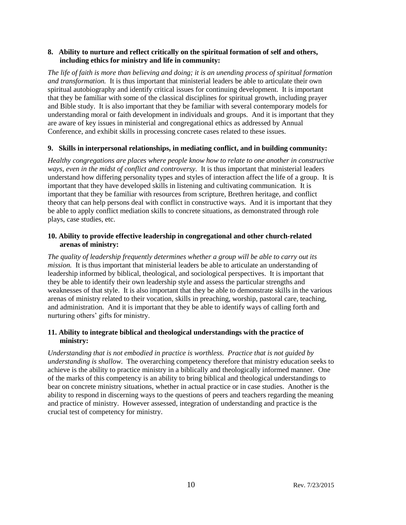### **8. Ability to nurture and reflect critically on the spiritual formation of self and others, including ethics for ministry and life in community:**

*The life of faith is more than believing and doing; it is an unending process of spiritual formation and transformation.* It is thus important that ministerial leaders be able to articulate their own spiritual autobiography and identify critical issues for continuing development. It is important that they be familiar with some of the classical disciplines for spiritual growth, including prayer and Bible study. It is also important that they be familiar with several contemporary models for understanding moral or faith development in individuals and groups. And it is important that they are aware of key issues in ministerial and congregational ethics as addressed by Annual Conference, and exhibit skills in processing concrete cases related to these issues.

### **9. Skills in interpersonal relationships, in mediating conflict, and in building community:**

*Healthy congregations are places where people know how to relate to one another in constructive ways, even in the midst of conflict and controversy.* It is thus important that ministerial leaders understand how differing personality types and styles of interaction affect the life of a group. It is important that they have developed skills in listening and cultivating communication. It is important that they be familiar with resources from scripture, Brethren heritage, and conflict theory that can help persons deal with conflict in constructive ways. And it is important that they be able to apply conflict mediation skills to concrete situations, as demonstrated through role plays, case studies, etc.

### **10. Ability to provide effective leadership in congregational and other church-related arenas of ministry:**

*The quality of leadership frequently determines whether a group will be able to carry out its mission.* It is thus important that ministerial leaders be able to articulate an understanding of leadership informed by biblical, theological, and sociological perspectives. It is important that they be able to identify their own leadership style and assess the particular strengths and weaknesses of that style. It is also important that they be able to demonstrate skills in the various arenas of ministry related to their vocation, skills in preaching, worship, pastoral care, teaching, and administration. And it is important that they be able to identify ways of calling forth and nurturing others' gifts for ministry.

### **11. Ability to integrate biblical and theological understandings with the practice of ministry:**

*Understanding that is not embodied in practice is worthless. Practice that is not guided by understanding is shallow.* The overarching competency therefore that ministry education seeks to achieve is the ability to practice ministry in a biblically and theologically informed manner. One of the marks of this competency is an ability to bring biblical and theological understandings to bear on concrete ministry situations, whether in actual practice or in case studies. Another is the ability to respond in discerning ways to the questions of peers and teachers regarding the meaning and practice of ministry. However assessed, integration of understanding and practice is the crucial test of competency for ministry.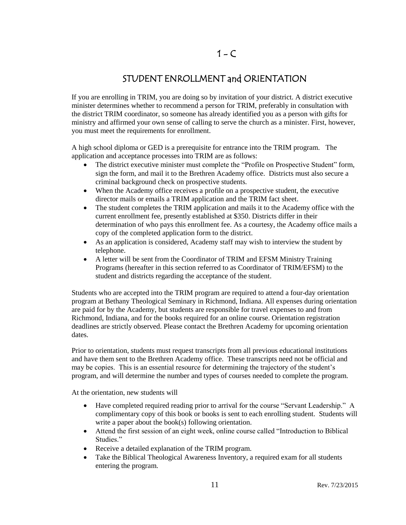## STUDENT ENROLLMENT and ORIENTATION

If you are enrolling in TRIM, you are doing so by invitation of your district. A district executive minister determines whether to recommend a person for TRIM, preferably in consultation with the district TRIM coordinator, so someone has already identified you as a person with gifts for ministry and affirmed your own sense of calling to serve the church as a minister. First, however, you must meet the requirements for enrollment.

A high school diploma or GED is a prerequisite for entrance into the TRIM program. The application and acceptance processes into TRIM are as follows:

- The district executive minister must complete the "Profile on Prospective Student" form, sign the form, and mail it to the Brethren Academy office. Districts must also secure a criminal background check on prospective students.
- When the Academy office receives a profile on a prospective student, the executive director mails or emails a TRIM application and the TRIM fact sheet.
- The student completes the TRIM application and mails it to the Academy office with the current enrollment fee, presently established at \$350. Districts differ in their determination of who pays this enrollment fee. As a courtesy, the Academy office mails a copy of the completed application form to the district.
- As an application is considered, Academy staff may wish to interview the student by telephone.
- A letter will be sent from the Coordinator of TRIM and EFSM Ministry Training Programs (hereafter in this section referred to as Coordinator of TRIM/EFSM) to the student and districts regarding the acceptance of the student.

Students who are accepted into the TRIM program are required to attend a four-day orientation program at Bethany Theological Seminary in Richmond, Indiana. All expenses during orientation are paid for by the Academy, but students are responsible for travel expenses to and from Richmond, Indiana, and for the books required for an online course. Orientation registration deadlines are strictly observed. Please contact the Brethren Academy for upcoming orientation dates.

Prior to orientation, students must request transcripts from all previous educational institutions and have them sent to the Brethren Academy office. These transcripts need not be official and may be copies. This is an essential resource for determining the trajectory of the student's program, and will determine the number and types of courses needed to complete the program.

At the orientation, new students will

- Have completed required reading prior to arrival for the course "Servant Leadership." A complimentary copy of this book or books is sent to each enrolling student. Students will write a paper about the book(s) following orientation.
- Attend the first session of an eight week, online course called "Introduction to Biblical Studies."
- Receive a detailed explanation of the TRIM program.
- Take the Biblical Theological Awareness Inventory, a required exam for all students entering the program.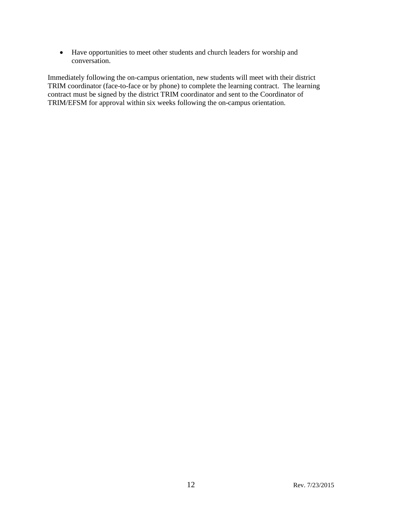Have opportunities to meet other students and church leaders for worship and conversation.

Immediately following the on-campus orientation, new students will meet with their district TRIM coordinator (face-to-face or by phone) to complete the learning contract. The learning contract must be signed by the district TRIM coordinator and sent to the Coordinator of TRIM/EFSM for approval within six weeks following the on-campus orientation.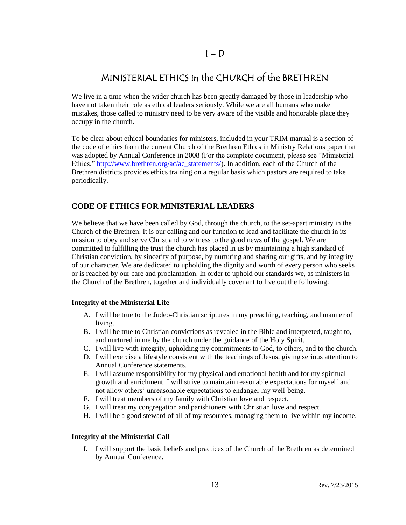### $I - D$

## MINISTERIAL ETHICS in the CHURCH of the BRETHREN

We live in a time when the wider church has been greatly damaged by those in leadership who have not taken their role as ethical leaders seriously. While we are all humans who make mistakes, those called to ministry need to be very aware of the visible and honorable place they occupy in the church.

To be clear about ethical boundaries for ministers, included in your TRIM manual is a section of the code of ethics from the current Church of the Brethren Ethics in Ministry Relations paper that was adopted by Annual Conference in 2008 (For the complete document, please see "Ministerial Ethics," [http://www.brethren.org/ac/ac\\_statements/\)](http://www.brethren.org/ac/ac_statements/). In addition, each of the Church of the Brethren districts provides ethics training on a regular basis which pastors are required to take periodically.

### **CODE OF ETHICS FOR MINISTERIAL LEADERS**

We believe that we have been called by God, through the church, to the set-apart ministry in the Church of the Brethren. It is our calling and our function to lead and facilitate the church in its mission to obey and serve Christ and to witness to the good news of the gospel. We are committed to fulfilling the trust the church has placed in us by maintaining a high standard of Christian conviction, by sincerity of purpose, by nurturing and sharing our gifts, and by integrity of our character. We are dedicated to upholding the dignity and worth of every person who seeks or is reached by our care and proclamation. In order to uphold our standards we, as ministers in the Church of the Brethren, together and individually covenant to live out the following:

### **Integrity of the Ministerial Life**

- A. I will be true to the Judeo-Christian scriptures in my preaching, teaching, and manner of living.
- B. I will be true to Christian convictions as revealed in the Bible and interpreted, taught to, and nurtured in me by the church under the guidance of the Holy Spirit.
- C. I will live with integrity, upholding my commitments to God, to others, and to the church.
- D. I will exercise a lifestyle consistent with the teachings of Jesus, giving serious attention to Annual Conference statements.
- E. I will assume responsibility for my physical and emotional health and for my spiritual growth and enrichment. I will strive to maintain reasonable expectations for myself and not allow others' unreasonable expectations to endanger my well-being.
- F. I will treat members of my family with Christian love and respect.
- G. I will treat my congregation and parishioners with Christian love and respect.
- H. I will be a good steward of all of my resources, managing them to live within my income.

### **Integrity of the Ministerial Call**

I. I will support the basic beliefs and practices of the Church of the Brethren as determined by Annual Conference.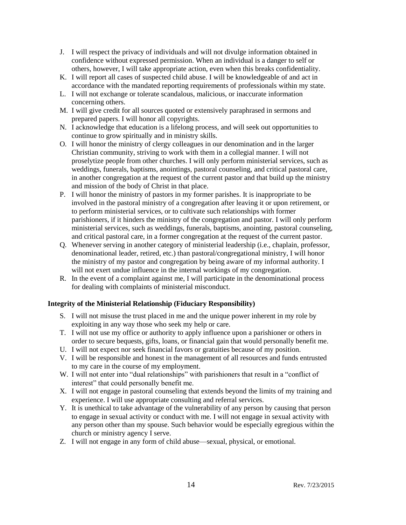- J. I will respect the privacy of individuals and will not divulge information obtained in confidence without expressed permission. When an individual is a danger to self or others, however, I will take appropriate action, even when this breaks confidentiality.
- K. I will report all cases of suspected child abuse. I will be knowledgeable of and act in accordance with the mandated reporting requirements of professionals within my state.
- L. I will not exchange or tolerate scandalous, malicious, or inaccurate information concerning others.
- M. I will give credit for all sources quoted or extensively paraphrased in sermons and prepared papers. I will honor all copyrights.
- N. I acknowledge that education is a lifelong process, and will seek out opportunities to continue to grow spiritually and in ministry skills.
- O. I will honor the ministry of clergy colleagues in our denomination and in the larger Christian community, striving to work with them in a collegial manner. I will not proselytize people from other churches. I will only perform ministerial services, such as weddings, funerals, baptisms, anointings, pastoral counseling, and critical pastoral care, in another congregation at the request of the current pastor and that build up the ministry and mission of the body of Christ in that place.
- P. I will honor the ministry of pastors in my former parishes. It is inappropriate to be involved in the pastoral ministry of a congregation after leaving it or upon retirement, or to perform ministerial services, or to cultivate such relationships with former parishioners, if it hinders the ministry of the congregation and pastor. I will only perform ministerial services, such as weddings, funerals, baptisms, anointing, pastoral counseling, and critical pastoral care, in a former congregation at the request of the current pastor.
- Q. Whenever serving in another category of ministerial leadership (i.e., chaplain, professor, denominational leader, retired, etc.) than pastoral/congregational ministry, I will honor the ministry of my pastor and congregation by being aware of my informal authority. I will not exert undue influence in the internal workings of my congregation.
- R. In the event of a complaint against me, I will participate in the denominational process for dealing with complaints of ministerial misconduct.

### **Integrity of the Ministerial Relationship (Fiduciary Responsibility)**

- S. I will not misuse the trust placed in me and the unique power inherent in my role by exploiting in any way those who seek my help or care.
- T. I will not use my office or authority to apply influence upon a parishioner or others in order to secure bequests, gifts, loans, or financial gain that would personally benefit me.
- U. I will not expect nor seek financial favors or gratuities because of my position.
- V. I will be responsible and honest in the management of all resources and funds entrusted to my care in the course of my employment.
- W. I will not enter into "dual relationships" with parishioners that result in a "conflict of interest" that could personally benefit me.
- X. I will not engage in pastoral counseling that extends beyond the limits of my training and experience. I will use appropriate consulting and referral services.
- Y. It is unethical to take advantage of the vulnerability of any person by causing that person to engage in sexual activity or conduct with me. I will not engage in sexual activity with any person other than my spouse. Such behavior would be especially egregious within the church or ministry agency I serve.
- Z. I will not engage in any form of child abuse—sexual, physical, or emotional.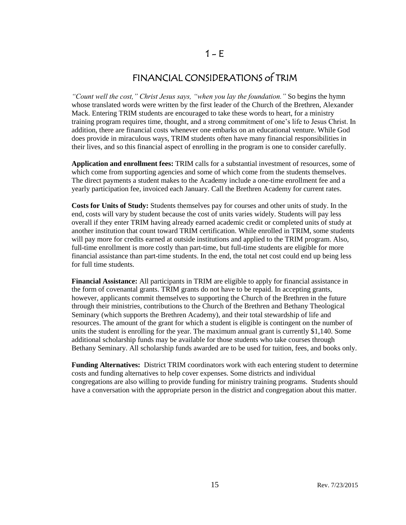## FINANCIAL CONSIDERATIONS of TRIM

*"Count well the cost," Christ Jesus says, "when you lay the foundation."* So begins the hymn whose translated words were written by the first leader of the Church of the Brethren, Alexander Mack. Entering TRIM students are encouraged to take these words to heart, for a ministry training program requires time, thought, and a strong commitment of one's life to Jesus Christ. In addition, there are financial costs whenever one embarks on an educational venture. While God does provide in miraculous ways, TRIM students often have many financial responsibilities in their lives, and so this financial aspect of enrolling in the program is one to consider carefully.

**Application and enrollment fees:** TRIM calls for a substantial investment of resources, some of which come from supporting agencies and some of which come from the students themselves. The direct payments a student makes to the Academy include a one-time enrollment fee and a yearly participation fee, invoiced each January. Call the Brethren Academy for current rates.

**Costs for Units of Study:** Students themselves pay for courses and other units of study. In the end, costs will vary by student because the cost of units varies widely. Students will pay less overall if they enter TRIM having already earned academic credit or completed units of study at another institution that count toward TRIM certification. While enrolled in TRIM, some students will pay more for credits earned at outside institutions and applied to the TRIM program. Also, full-time enrollment is more costly than part-time, but full-time students are eligible for more financial assistance than part-time students. In the end, the total net cost could end up being less for full time students.

**Financial Assistance:** All participants in TRIM are eligible to apply for financial assistance in the form of covenantal grants. TRIM grants do not have to be repaid. In accepting grants, however, applicants commit themselves to supporting the Church of the Brethren in the future through their ministries, contributions to the Church of the Brethren and Bethany Theological Seminary (which supports the Brethren Academy), and their total stewardship of life and resources. The amount of the grant for which a student is eligible is contingent on the number of units the student is enrolling for the year. The maximum annual grant is currently \$1,140. Some additional scholarship funds may be available for those students who take courses through Bethany Seminary. All scholarship funds awarded are to be used for tuition, fees, and books only.

**Funding Alternatives:** District TRIM coordinators work with each entering student to determine costs and funding alternatives to help cover expenses. Some districts and individual congregations are also willing to provide funding for ministry training programs. Students should have a conversation with the appropriate person in the district and congregation about this matter.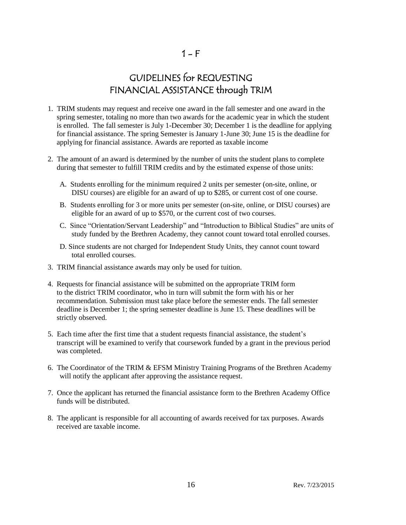## GUIDELINES for REQUESTING FINANCIAL ASSISTANCE through TRIM

- 1. TRIM students may request and receive one award in the fall semester and one award in the spring semester, totaling no more than two awards for the academic year in which the student is enrolled. The fall semester is July 1-December 30; December 1 is the deadline for applying for financial assistance. The spring Semester is January 1-June 30; June 15 is the deadline for applying for financial assistance. Awards are reported as taxable income
- 2. The amount of an award is determined by the number of units the student plans to complete during that semester to fulfill TRIM credits and by the estimated expense of those units:
	- A. Students enrolling for the minimum required 2 units per semester (on-site, online, or DISU courses) are eligible for an award of up to \$285, or current cost of one course.
	- B. Students enrolling for 3 or more units per semester (on-site, online, or DISU courses) are eligible for an award of up to \$570, or the current cost of two courses.
	- C. Since "Orientation/Servant Leadership" and "Introduction to Biblical Studies" are units of study funded by the Brethren Academy, they cannot count toward total enrolled courses.
	- D. Since students are not charged for Independent Study Units, they cannot count toward total enrolled courses.
- 3. TRIM financial assistance awards may only be used for tuition.
- 4. Requests for financial assistance will be submitted on the appropriate TRIM form to the district TRIM coordinator, who in turn will submit the form with his or her recommendation. Submission must take place before the semester ends. The fall semester deadline is December 1; the spring semester deadline is June 15. These deadlines will be strictly observed.
- 5. Each time after the first time that a student requests financial assistance, the student's transcript will be examined to verify that coursework funded by a grant in the previous period was completed.
- 6. The Coordinator of the TRIM & EFSM Ministry Training Programs of the Brethren Academy will notify the applicant after approving the assistance request.
- 7. Once the applicant has returned the financial assistance form to the Brethren Academy Office funds will be distributed.
- 8. The applicant is responsible for all accounting of awards received for tax purposes. Awards received are taxable income.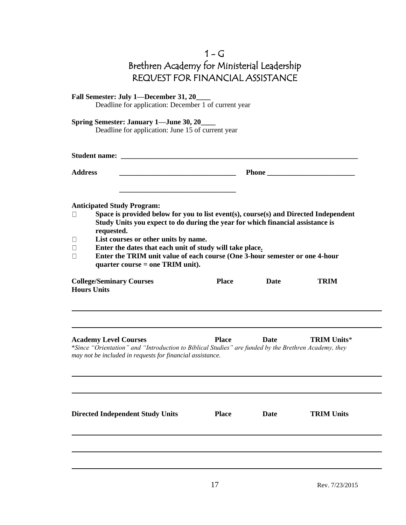| $1 - G$                                     |
|---------------------------------------------|
| Brethren Academy for Ministerial Leadership |
| REQUEST FOR FINANCIAL ASSISTANCE            |

| Fall Semester: July 1-December 31, 20<br>Deadline for application: December 1 of current year                                                                                                                                                                                                                                                                                                                                                                                                                                                |              |             |                    |
|----------------------------------------------------------------------------------------------------------------------------------------------------------------------------------------------------------------------------------------------------------------------------------------------------------------------------------------------------------------------------------------------------------------------------------------------------------------------------------------------------------------------------------------------|--------------|-------------|--------------------|
| <b>Spring Semester: January 1—June 30, 20_</b><br>Deadline for application: June 15 of current year                                                                                                                                                                                                                                                                                                                                                                                                                                          |              |             |                    |
|                                                                                                                                                                                                                                                                                                                                                                                                                                                                                                                                              |              |             |                    |
| <b>Address</b><br><u> 1980 - Johann Barn, mars an t-Amerikaansk politiker (</u>                                                                                                                                                                                                                                                                                                                                                                                                                                                              |              |             |                    |
| <b>Anticipated Study Program:</b><br>Space is provided below for you to list event(s), course(s) and Directed Independent<br>$\Box$<br>Study Units you expect to do during the year for which financial assistance is<br>requested.<br>List courses or other units by name.<br>$\Box$<br>Enter the dates that each unit of study will take place.<br>$\Box$<br>Enter the TRIM unit value of each course (One 3-hour semester or one 4-hour<br>П<br>quarter course = one TRIM unit).<br><b>College/Seminary Courses</b><br><b>Hours Units</b> | <b>Place</b> | <b>Date</b> | <b>TRIM</b>        |
| <b>Academy Level Courses</b><br>*Since "Orientation" and "Introduction to Biblical Studies" are funded by the Brethren Academy, they<br>may not be included in requests for financial assistance.                                                                                                                                                                                                                                                                                                                                            | <b>Place</b> | Date        | <b>TRIM Units*</b> |
| <b>Directed Independent Study Units</b>                                                                                                                                                                                                                                                                                                                                                                                                                                                                                                      | <b>Place</b> | Date        | <b>TRIM Units</b>  |
|                                                                                                                                                                                                                                                                                                                                                                                                                                                                                                                                              |              |             |                    |
|                                                                                                                                                                                                                                                                                                                                                                                                                                                                                                                                              |              |             |                    |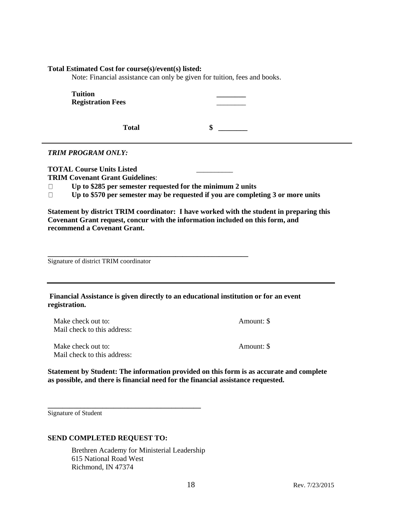### **Total Estimated Cost for course(s)/event(s) listed:**

Note: Financial assistance can only be given for tuition, fees and books.

| <b>Tuition</b><br><b>Registration Fees</b>                                                                                                                                                  |                                                                                                                                                                                                                                                               |
|---------------------------------------------------------------------------------------------------------------------------------------------------------------------------------------------|---------------------------------------------------------------------------------------------------------------------------------------------------------------------------------------------------------------------------------------------------------------|
| <b>Total</b>                                                                                                                                                                                | \$                                                                                                                                                                                                                                                            |
| <b>TRIM PROGRAM ONLY:</b>                                                                                                                                                                   |                                                                                                                                                                                                                                                               |
| <b>TOTAL Course Units Listed</b><br><b>TRIM Covenant Grant Guidelines:</b><br>Up to \$285 per semester requested for the minimum 2 units<br>$\Box$<br>$\Box$<br>recommend a Covenant Grant. | Up to \$570 per semester may be requested if you are completing 3 or more units<br>Statement by district TRIM coordinator: I have worked with the student in preparing this<br>Covenant Grant request, concur with the information included on this form, and |
| Signature of district TRIM coordinator                                                                                                                                                      |                                                                                                                                                                                                                                                               |
| registration.                                                                                                                                                                               | Financial Assistance is given directly to an educational institution or for an event                                                                                                                                                                          |
| Make check out to:<br>Mail check to this address:                                                                                                                                           | Amount: \$                                                                                                                                                                                                                                                    |
| Make check out to:<br>Mail check to this address:                                                                                                                                           | Amount: \$                                                                                                                                                                                                                                                    |
| as possible, and there is financial need for the financial assistance requested.                                                                                                            | Statement by Student: The information provided on this form is as accurate and complete                                                                                                                                                                       |

Signature of Student

### **SEND COMPLETED REQUEST TO:**

**\_\_\_\_\_\_\_\_\_\_\_\_\_\_\_\_\_\_\_\_\_\_\_\_\_\_\_\_\_\_\_\_\_\_\_\_\_\_\_\_\_\_**

Brethren Academy for Ministerial Leadership 615 National Road West Richmond, IN 47374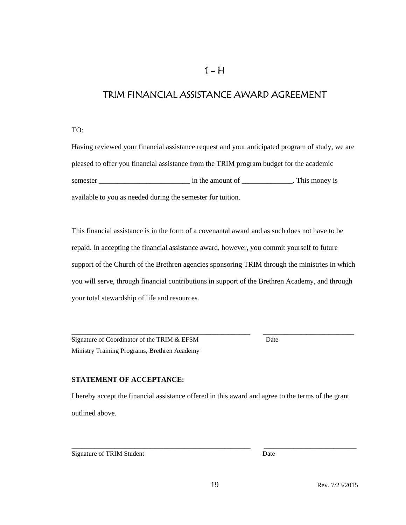## $1 - H$

## TRIM FINANCIAL ASSISTANCE AWARD AGREEMENT

TO:

Having reviewed your financial assistance request and your anticipated program of study, we are pleased to offer you financial assistance from the TRIM program budget for the academic semester \_\_\_\_\_\_\_\_\_\_\_\_\_\_\_\_\_\_\_\_\_\_\_\_\_ in the amount of \_\_\_\_\_\_\_\_\_\_\_\_\_\_. This money is available to you as needed during the semester for tuition.

This financial assistance is in the form of a covenantal award and as such does not have to be repaid. In accepting the financial assistance award, however, you commit yourself to future support of the Church of the Brethren agencies sponsoring TRIM through the ministries in which you will serve, through financial contributions in support of the Brethren Academy, and through your total stewardship of life and resources.

\_\_\_\_\_\_\_\_\_\_\_\_\_\_\_\_\_\_\_\_\_\_\_\_\_\_\_\_\_\_\_\_\_\_\_\_\_\_\_\_\_\_\_\_\_\_\_\_\_ \_\_\_\_\_\_\_\_\_\_\_\_\_\_\_\_\_\_\_\_\_\_\_\_\_

Signature of Coordinator of the TRIM & EFSM Date Ministry Training Programs, Brethren Academy

### **STATEMENT OF ACCEPTANCE:**

I hereby accept the financial assistance offered in this award and agree to the terms of the grant outlined above.

Signature of TRIM Student Date

\_\_\_\_\_\_\_\_\_\_\_\_\_\_\_\_\_\_\_\_\_\_\_\_\_\_\_\_\_\_\_\_\_\_\_\_\_\_\_\_\_\_\_\_\_\_\_\_\_\_\_\_\_\_ \_\_\_\_\_\_\_\_\_\_\_\_\_\_\_\_\_\_\_\_\_\_\_\_\_\_\_\_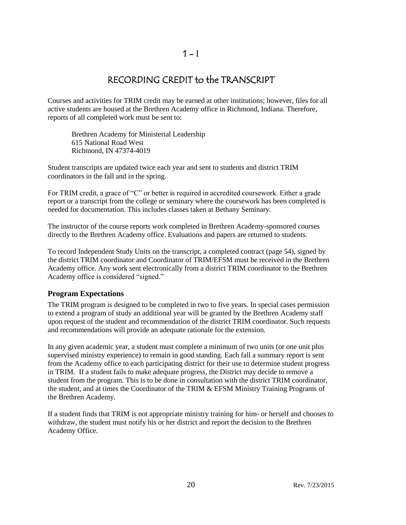## $1 - 1$

## RECORDING CREDIT to the TRANSCRIPT

Courses and activities for TRIM credit may be earned at other institutions; however, files for all active students are housed at the Brethren Academy office in Richmond, Indiana. Therefore, reports of all completed work must be sent to:

Brethren Academy for Ministerial Leadership 615 National Road West Richmond, IN 47374-4019

Student transcripts are updated twice each year and sent to students and district TRIM coordinators in the fall and in the spring.

For TRIM credit, a grace of "C" or better is required in accredited coursework. Either a grade report or a transcript from the college or seminary where the coursework has been completed is needed for documentation. This includes classes taken at Bethany Seminary.

The instructor of the course reports work completed in Brethren Academy-sponsored courses directly to the Brethren Academy office. Evaluations and papers are returned to students.

To record Independent Study Units on the transcript, a completed contract (page 54), signed by the district TRIM coordinator and Coordinator of TRIM/EFSM must be received in the Brethren Academy office. Any work sent electronically from a district TRIM coordinator to the Brethren Academy office is considered "signed."

### **Program Expectations**

The TRIM program is designed to be completed in two to five years. In special cases permission to extend a program of study an additional year will be granted by the Brethren Academy staff upon request of the student and recommendation of the district TRIM coordinator. Such requests and recommendations will provide an adequate rationale for the extension.

In any given academic year, a student must complete a minimum of two units (or one unit plus supervised ministry experience) to remain in good standing. Each fall a summary report is sent from the Academy office to each participating district for their use to determine student progress in TRIM. If a student fails to make adequate progress, the District may decide to remove a student from the program. This is to be done in consultation with the district TRIM coordinator, the student, and at times the Coordinator of the TRIM & EFSM Ministry Training Programs of the Brethren Academy.

If a student finds that TRIM is not appropriate ministry training for him- or herself and chooses to withdraw, the student must notify his or her district and report the decision to the Brethren Academy Office.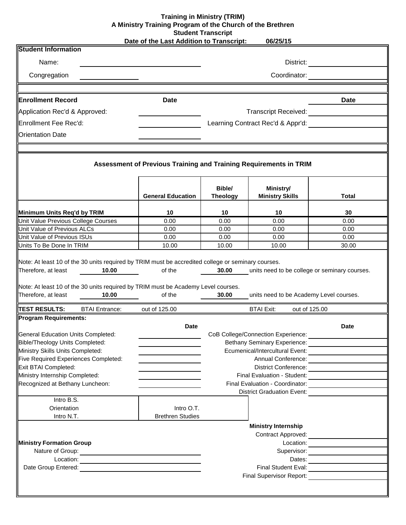### **06/25/15 Training in Ministry (TRIM) A Ministry Training Program of the Church of the Brethren Student Transcript**

|  |  |  | Date of the Last Addition to Transcript: |  |
|--|--|--|------------------------------------------|--|
|  |  |  |                                          |  |

| <b>Student Information</b>                                                                                        |                                                                   |                           |                                                                                                                                                                                                                                        |                                     |  |  |
|-------------------------------------------------------------------------------------------------------------------|-------------------------------------------------------------------|---------------------------|----------------------------------------------------------------------------------------------------------------------------------------------------------------------------------------------------------------------------------------|-------------------------------------|--|--|
| Name:                                                                                                             |                                                                   |                           |                                                                                                                                                                                                                                        | District: <u>__________</u> _____   |  |  |
| Congregation                                                                                                      |                                                                   | Coordinator:              |                                                                                                                                                                                                                                        |                                     |  |  |
|                                                                                                                   |                                                                   |                           |                                                                                                                                                                                                                                        |                                     |  |  |
| <b>Enrollment Record</b>                                                                                          | <b>Date</b>                                                       |                           |                                                                                                                                                                                                                                        | <b>Date</b>                         |  |  |
| Application Rec'd & Approved:                                                                                     |                                                                   |                           | <b>Transcript Received:</b>                                                                                                                                                                                                            |                                     |  |  |
| Enrollment Fee Rec'd:                                                                                             |                                                                   |                           | Learning Contract Rec'd & Appr'd:                                                                                                                                                                                                      |                                     |  |  |
| <b>Orientation Date</b>                                                                                           |                                                                   |                           |                                                                                                                                                                                                                                        |                                     |  |  |
|                                                                                                                   |                                                                   |                           |                                                                                                                                                                                                                                        |                                     |  |  |
|                                                                                                                   | Assessment of Previous Training and Training Requirements in TRIM |                           |                                                                                                                                                                                                                                        |                                     |  |  |
|                                                                                                                   | <b>General Education</b>                                          | Bible/<br><b>Theology</b> | Ministry/<br><b>Ministry Skills</b>                                                                                                                                                                                                    | <b>Total</b>                        |  |  |
| Minimum Units Req'd by TRIM                                                                                       | 10                                                                | 10                        | 10                                                                                                                                                                                                                                     | 30                                  |  |  |
| Unit Value Previous College Courses                                                                               | 0.00                                                              | 0.00                      | 0.00                                                                                                                                                                                                                                   | 0.00                                |  |  |
| Unit Value of Previous ALCs                                                                                       | 0.00                                                              | 0.00                      | 0.00                                                                                                                                                                                                                                   | 0.00                                |  |  |
| Unit Value of Previous ISUs                                                                                       | 0.00                                                              | 0.00                      | 0.00                                                                                                                                                                                                                                   | 0.00                                |  |  |
| Units To Be Done In TRIM                                                                                          | 10.00                                                             | 10.00                     | 10.00                                                                                                                                                                                                                                  | 30.00                               |  |  |
| Note: At least 10 of the 30 units required by TRIM must be Academy Level courses.<br>Therefore, at least<br>10.00 | of the                                                            | 30.00                     | units need to be Academy Level courses.                                                                                                                                                                                                |                                     |  |  |
| <b>TEST RESULTS:</b><br><b>BTAI Entrance:</b>                                                                     | out of 125.00                                                     |                           | <b>BTAI Exit:</b><br>out of 125.00                                                                                                                                                                                                     |                                     |  |  |
| <b>Program Requirements:</b>                                                                                      |                                                                   |                           |                                                                                                                                                                                                                                        |                                     |  |  |
|                                                                                                                   | <b>Date</b>                                                       |                           |                                                                                                                                                                                                                                        | <b>Date</b>                         |  |  |
| <b>General Education Units Completed:</b>                                                                         |                                                                   |                           | CoB College/Connection Experience:                                                                                                                                                                                                     |                                     |  |  |
| <b>Bible/Theology Units Completed:</b>                                                                            |                                                                   |                           | <b>Bethany Seminary Experience:</b>                                                                                                                                                                                                    |                                     |  |  |
| Ministry Skills Units Completed:                                                                                  |                                                                   |                           |                                                                                                                                                                                                                                        |                                     |  |  |
| Five Required Experiences Completed:                                                                              |                                                                   |                           | Annual Conference: <u>Conserverse</u>                                                                                                                                                                                                  |                                     |  |  |
| Exit BTAI Completed:<br>Ministry Internship Completed:                                                            |                                                                   |                           |                                                                                                                                                                                                                                        |                                     |  |  |
| Recognized at Bethany Luncheon:                                                                                   |                                                                   |                           |                                                                                                                                                                                                                                        |                                     |  |  |
|                                                                                                                   |                                                                   |                           | District Graduation Event:                                                                                                                                                                                                             |                                     |  |  |
| Intro B.S.                                                                                                        |                                                                   |                           |                                                                                                                                                                                                                                        |                                     |  |  |
| Orientation                                                                                                       | Intro O.T.                                                        |                           |                                                                                                                                                                                                                                        |                                     |  |  |
| Intro N.T.                                                                                                        | <b>Brethren Studies</b>                                           |                           |                                                                                                                                                                                                                                        |                                     |  |  |
|                                                                                                                   |                                                                   |                           | <b>Ministry Internship</b>                                                                                                                                                                                                             |                                     |  |  |
|                                                                                                                   |                                                                   |                           |                                                                                                                                                                                                                                        |                                     |  |  |
| <b>Ministry Formation Group</b>                                                                                   |                                                                   |                           |                                                                                                                                                                                                                                        | Location: $\qquad \qquad \qquad$    |  |  |
|                                                                                                                   |                                                                   |                           |                                                                                                                                                                                                                                        | Supervisor: <u>________________</u> |  |  |
|                                                                                                                   |                                                                   |                           |                                                                                                                                                                                                                                        |                                     |  |  |
|                                                                                                                   |                                                                   |                           |                                                                                                                                                                                                                                        |                                     |  |  |
|                                                                                                                   |                                                                   |                           | Final Supervisor Report:<br><u> Letter and the substitute of the substitute of the substitute of the substitute of the substitute of the substitute of the substitute of the substitute of the substitute of the substitute of the</u> |                                     |  |  |
|                                                                                                                   |                                                                   |                           |                                                                                                                                                                                                                                        |                                     |  |  |

 $\blacksquare$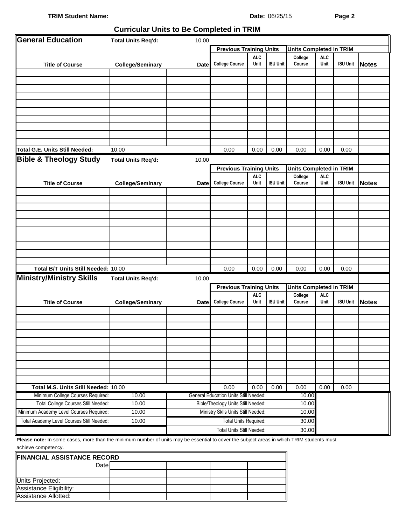### **TRIM Student Name: Date: Date:**  $06/25/15$  **Page 2**

#### Date: 06/25/15

### **Curricular Units to Be Completed in TRIM**

| General Education                                                                                                                         | <b>Total Units Req'd:</b> | 10.00       |                                                                                                           |                    |                 |                                |                    |                 |              |
|-------------------------------------------------------------------------------------------------------------------------------------------|---------------------------|-------------|-----------------------------------------------------------------------------------------------------------|--------------------|-----------------|--------------------------------|--------------------|-----------------|--------------|
|                                                                                                                                           |                           |             | <b>Previous Training Units</b><br><b>Units Completed in TRIM</b>                                          |                    |                 |                                |                    |                 |              |
| <b>Title of Course</b>                                                                                                                    | <b>College/Seminary</b>   | <b>Date</b> | <b>ALC</b><br><b>ALC</b><br>College<br><b>College Course</b><br>Unit<br><b>ISU Unit</b><br>Course<br>Unit |                    |                 |                                |                    | <b>ISU Unit</b> | <b>Notes</b> |
|                                                                                                                                           |                           |             |                                                                                                           |                    |                 |                                |                    |                 |              |
|                                                                                                                                           |                           |             |                                                                                                           |                    |                 |                                |                    |                 |              |
|                                                                                                                                           |                           |             |                                                                                                           |                    |                 |                                |                    |                 |              |
|                                                                                                                                           |                           |             |                                                                                                           |                    |                 |                                |                    |                 |              |
|                                                                                                                                           |                           |             |                                                                                                           |                    |                 |                                |                    |                 |              |
|                                                                                                                                           |                           |             |                                                                                                           |                    |                 |                                |                    |                 |              |
|                                                                                                                                           |                           |             |                                                                                                           |                    |                 |                                |                    |                 |              |
|                                                                                                                                           |                           |             |                                                                                                           |                    |                 |                                |                    |                 |              |
|                                                                                                                                           |                           |             |                                                                                                           |                    |                 |                                |                    |                 |              |
| <b>Total G.E. Units Still Needed:</b>                                                                                                     | 10.00                     |             | 0.00                                                                                                      | 0.00               | 0.00            | 0.00                           | 0.00               | 0.00            |              |
|                                                                                                                                           |                           |             |                                                                                                           |                    |                 |                                |                    |                 |              |
| <b>Bible &amp; Theology Study</b>                                                                                                         | <b>Total Units Req'd:</b> | 10.00       |                                                                                                           |                    |                 |                                |                    |                 |              |
|                                                                                                                                           |                           |             | <b>Previous Training Units</b>                                                                            |                    |                 | <b>Units Completed in TRIM</b> |                    |                 |              |
| <b>Title of Course</b>                                                                                                                    | <b>College/Seminary</b>   | <b>Date</b> | <b>College Course</b>                                                                                     | <b>ALC</b><br>Unit | <b>ISU Unit</b> | College<br>Course              | <b>ALC</b><br>Unit | <b>ISU Unit</b> | <b>Notes</b> |
|                                                                                                                                           |                           |             |                                                                                                           |                    |                 |                                |                    |                 |              |
|                                                                                                                                           |                           |             |                                                                                                           |                    |                 |                                |                    |                 |              |
|                                                                                                                                           |                           |             |                                                                                                           |                    |                 |                                |                    |                 |              |
|                                                                                                                                           |                           |             |                                                                                                           |                    |                 |                                |                    |                 |              |
|                                                                                                                                           |                           |             |                                                                                                           |                    |                 |                                |                    |                 |              |
|                                                                                                                                           |                           |             |                                                                                                           |                    |                 |                                |                    |                 |              |
|                                                                                                                                           |                           |             |                                                                                                           |                    |                 |                                |                    |                 |              |
|                                                                                                                                           |                           |             |                                                                                                           |                    |                 |                                |                    |                 |              |
|                                                                                                                                           |                           |             |                                                                                                           |                    |                 |                                |                    |                 |              |
| Total B/T Units Still Needed: 10.00                                                                                                       |                           |             | 0.00                                                                                                      | 0.00               | 0.00            | 0.00                           | 0.00               | 0.00            |              |
| <b>Ministry/Ministry Skills</b>                                                                                                           | <b>Total Units Req'd:</b> | 10.00       |                                                                                                           |                    |                 |                                |                    |                 |              |
|                                                                                                                                           |                           |             | <b>Units Completed in TRIM</b>                                                                            |                    |                 |                                |                    |                 |              |
|                                                                                                                                           |                           |             | <b>Previous Training Units</b><br><b>ALC</b><br>College                                                   |                    |                 | <b>ALC</b>                     |                    |                 |              |
| <b>Title of Course</b>                                                                                                                    | <b>College/Seminary</b>   | <b>Date</b> | <b>College Course</b>                                                                                     | Unit               | <b>ISU Unit</b> | Course                         | Unit               | <b>ISU Unit</b> | <b>Notes</b> |
|                                                                                                                                           |                           |             |                                                                                                           |                    |                 |                                |                    |                 |              |
|                                                                                                                                           |                           |             |                                                                                                           |                    |                 |                                |                    |                 |              |
|                                                                                                                                           |                           |             |                                                                                                           |                    |                 |                                |                    |                 |              |
|                                                                                                                                           |                           |             |                                                                                                           |                    |                 |                                |                    |                 |              |
|                                                                                                                                           |                           |             |                                                                                                           |                    |                 |                                |                    |                 |              |
|                                                                                                                                           |                           |             |                                                                                                           |                    |                 |                                |                    |                 |              |
|                                                                                                                                           |                           |             |                                                                                                           |                    |                 |                                |                    |                 |              |
|                                                                                                                                           |                           |             |                                                                                                           |                    |                 |                                |                    |                 |              |
|                                                                                                                                           |                           |             |                                                                                                           |                    |                 |                                |                    |                 |              |
| Total M.S. Units Still Needed: 10.00                                                                                                      |                           |             | 0.00                                                                                                      | 0.00               | 0.00            | 0.00                           | 0.00               | 0.00            |              |
| Minimum College Courses Required:                                                                                                         | 10.00                     |             | General Education Units Still Needed:                                                                     |                    |                 | 10.00                          |                    |                 |              |
| Total College Courses Still Needed:                                                                                                       | 10.00                     |             | Bible/Theology Units Still Needed:                                                                        |                    |                 | 10.00                          |                    |                 |              |
| Minimum Academy Level Courses Required:                                                                                                   | 10.00                     |             | Ministry Sklls Units Still Needed:                                                                        |                    |                 | 10.00                          |                    |                 |              |
| Total Academy Level Courses Still Needed:                                                                                                 | 10.00                     |             | <b>Total Units Required:</b>                                                                              |                    |                 | 30.00                          |                    |                 |              |
|                                                                                                                                           |                           |             | Total Units Still Needed:                                                                                 |                    |                 | 30.00                          |                    |                 |              |
| Please note: In some cases, more than the minimum number of units may be essential to cover the subject areas in which TRIM students must |                           |             |                                                                                                           |                    |                 |                                |                    |                 |              |

the minimum number of units may be essential to cover the subject areas in which TRIM stu achieve competency.  $\blacksquare$ 

| <b>FINANCIAL ASSISTANCE RECORD</b> |  |  |  |  |  |
|------------------------------------|--|--|--|--|--|
| Datel                              |  |  |  |  |  |
|                                    |  |  |  |  |  |
| Units Projected:                   |  |  |  |  |  |
| Assistance Eligibility:            |  |  |  |  |  |
| Assistance Allotted:               |  |  |  |  |  |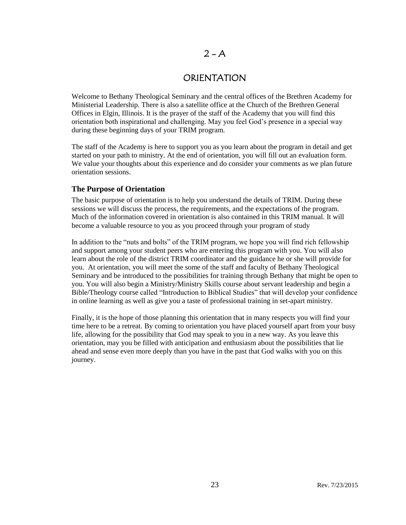## $2 - A$

## ORIENTATION

Welcome to Bethany Theological Seminary and the central offices of the Brethren Academy for Ministerial Leadership. There is also a satellite office at the Church of the Brethren General Offices in Elgin, Illinois. It is the prayer of the staff of the Academy that you will find this orientation both inspirational and challenging. May you feel God's presence in a special way during these beginning days of your TRIM program.

The staff of the Academy is here to support you as you learn about the program in detail and get started on your path to ministry. At the end of orientation, you will fill out an evaluation form. We value your thoughts about this experience and do consider your comments as we plan future orientation sessions.

### **The Purpose of Orientation**

The basic purpose of orientation is to help you understand the details of TRIM. During these sessions we will discuss the process, the requirements, and the expectations of the program. Much of the information covered in orientation is also contained in this TRIM manual. It will become a valuable resource to you as you proceed through your program of study

In addition to the "nuts and bolts" of the TRIM program, we hope you will find rich fellowship and support among your student peers who are entering this program with you. You will also learn about the role of the district TRIM coordinator and the guidance he or she will provide for you. At orientation, you will meet the some of the staff and faculty of Bethany Theological Seminary and be introduced to the possibilities for training through Bethany that might be open to you. You will also begin a Ministry/Ministry Skills course about servant leadership and begin a Bible/Theology course called "Introduction to Biblical Studies" that will develop your confidence in online learning as well as give you a taste of professional training in set-apart ministry.

Finally, it is the hope of those planning this orientation that in many respects you will find your time here to be a retreat. By coming to orientation you have placed yourself apart from your busy life, allowing for the possibility that God may speak to you in a new way. As you leave this orientation, may you be filled with anticipation and enthusiasm about the possibilities that lie ahead and sense even more deeply than you have in the past that God walks with you on this journey.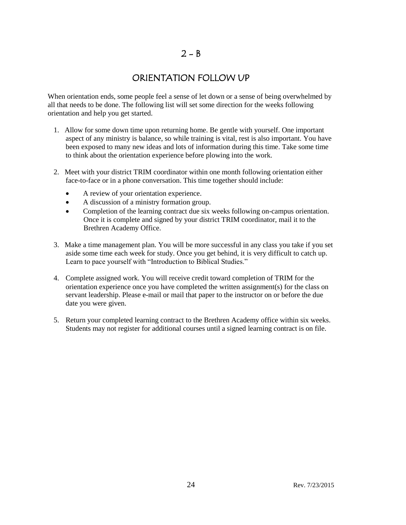## $2 - B$

## ORIENTATION FOLLOW UP

When orientation ends, some people feel a sense of let down or a sense of being overwhelmed by all that needs to be done. The following list will set some direction for the weeks following orientation and help you get started.

- 1. Allow for some down time upon returning home. Be gentle with yourself. One important aspect of any ministry is balance, so while training is vital, rest is also important. You have been exposed to many new ideas and lots of information during this time. Take some time to think about the orientation experience before plowing into the work.
- 2. Meet with your district TRIM coordinator within one month following orientation either face-to-face or in a phone conversation. This time together should include:
	- A review of your orientation experience.
	- A discussion of a ministry formation group.
	- Completion of the learning contract due six weeks following on-campus orientation. Once it is complete and signed by your district TRIM coordinator, mail it to the Brethren Academy Office.
- 3. Make a time management plan. You will be more successful in any class you take if you set aside some time each week for study. Once you get behind, it is very difficult to catch up. Learn to pace yourself with "Introduction to Biblical Studies."
- 4. Complete assigned work. You will receive credit toward completion of TRIM for the orientation experience once you have completed the written assignment(s) for the class on servant leadership. Please e-mail or mail that paper to the instructor on or before the due date you were given.
- 5. Return your completed learning contract to the Brethren Academy office within six weeks. Students may not register for additional courses until a signed learning contract is on file.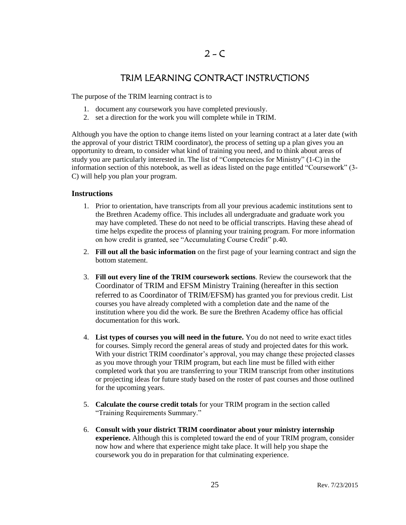## TRIM LEARNING CONTRACT INSTRUCTIONS

The purpose of the TRIM learning contract is to

- 1. document any coursework you have completed previously.
- 2. set a direction for the work you will complete while in TRIM.

Although you have the option to change items listed on your learning contract at a later date (with the approval of your district TRIM coordinator), the process of setting up a plan gives you an opportunity to dream, to consider what kind of training you need, and to think about areas of study you are particularly interested in. The list of "Competencies for Ministry" (1-C) in the information section of this notebook, as well as ideas listed on the page entitled "Coursework" (3- C) will help you plan your program.

### **Instructions**

- 1. Prior to orientation, have transcripts from all your previous academic institutions sent to the Brethren Academy office. This includes all undergraduate and graduate work you may have completed. These do not need to be official transcripts. Having these ahead of time helps expedite the process of planning your training program. For more information on how credit is granted, see "Accumulating Course Credit" p.40.
- 2. **Fill out all the basic information** on the first page of your learning contract and sign the bottom statement.
- 3. **Fill out every line of the TRIM coursework sections**. Review the coursework that the Coordinator of TRIM and EFSM Ministry Training (hereafter in this section referred to as Coordinator of TRIM/EFSM) has granted you for previous credit. List courses you have already completed with a completion date and the name of the institution where you did the work. Be sure the Brethren Academy office has official documentation for this work.
- 4. **List types of courses you will need in the future.** You do not need to write exact titles for courses. Simply record the general areas of study and projected dates for this work. With your district TRIM coordinator's approval, you may change these projected classes as you move through your TRIM program, but each line must be filled with either completed work that you are transferring to your TRIM transcript from other institutions or projecting ideas for future study based on the roster of past courses and those outlined for the upcoming years.
- 5. **Calculate the course credit totals** for your TRIM program in the section called "Training Requirements Summary."
- 6. **Consult with your district TRIM coordinator about your ministry internship experience.** Although this is completed toward the end of your TRIM program, consider now how and where that experience might take place. It will help you shape the coursework you do in preparation for that culminating experience.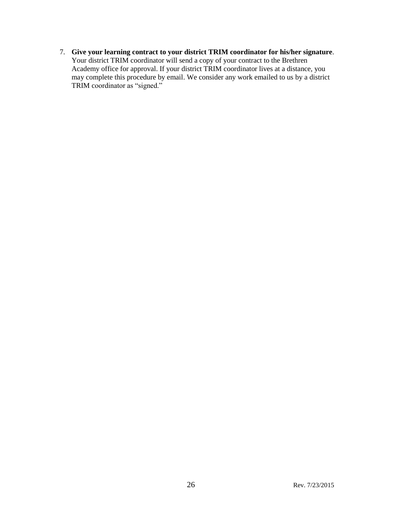7. **Give your learning contract to your district TRIM coordinator for his/her signature**. Your district TRIM coordinator will send a copy of your contract to the Brethren Academy office for approval. If your district TRIM coordinator lives at a distance, you may complete this procedure by email. We consider any work emailed to us by a district TRIM coordinator as "signed."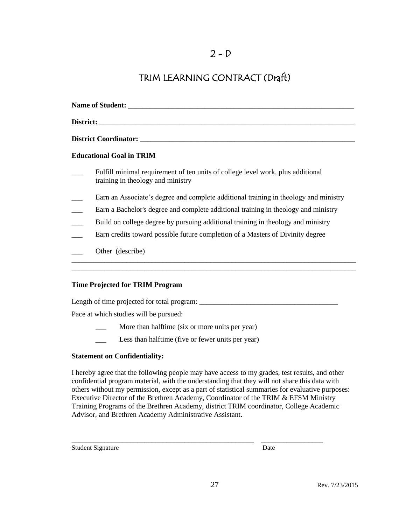## TRIM LEARNING CONTRACT (Draft)

| District: the contract of the contract of the contract of the contract of the contract of the contract of the contract of the contract of the contract of the contract of the contract of the contract of the contract of the |
|-------------------------------------------------------------------------------------------------------------------------------------------------------------------------------------------------------------------------------|
|                                                                                                                                                                                                                               |
| <b>Educational Goal in TRIM</b>                                                                                                                                                                                               |
| Fulfill minimal requirement of ten units of college level work, plus additional<br>training in theology and ministry                                                                                                          |
| Earn an Associate's degree and complete additional training in theology and ministry                                                                                                                                          |
| Earn a Bachelor's degree and complete additional training in theology and ministry                                                                                                                                            |
| Build on college degree by pursuing additional training in theology and ministry                                                                                                                                              |
| Earn credits toward possible future completion of a Masters of Divinity degree                                                                                                                                                |
| Other (describe)                                                                                                                                                                                                              |

\_\_\_\_\_\_\_\_\_\_\_\_\_\_\_\_\_\_\_\_\_\_\_\_\_\_\_\_\_\_\_\_\_\_\_\_\_\_\_\_\_\_\_\_\_\_\_\_\_\_\_\_\_\_\_\_\_\_\_\_\_\_\_\_\_\_\_\_\_\_\_\_\_\_\_\_\_\_

### **Time Projected for TRIM Program**

Length of time projected for total program: \_\_\_\_\_\_\_\_\_\_\_\_\_\_\_\_\_\_\_\_\_\_\_\_\_\_\_\_\_\_\_\_\_\_\_\_\_\_

Pace at which studies will be pursued:

- More than halftime (six or more units per year)
- \_\_\_ Less than halftime (five or fewer units per year)

### **Statement on Confidentiality:**

I hereby agree that the following people may have access to my grades, test results, and other confidential program material, with the understanding that they will not share this data with others without my permission, except as a part of statistical summaries for evaluative purposes: Executive Director of the Brethren Academy, Coordinator of the TRIM & EFSM Ministry Training Programs of the Brethren Academy, district TRIM coordinator, College Academic Advisor, and Brethren Academy Administrative Assistant.

\_\_\_\_\_\_\_\_\_\_\_\_\_\_\_\_\_\_\_\_\_\_\_\_\_\_\_\_\_\_\_\_\_\_\_\_\_\_\_\_\_\_\_\_\_\_\_\_\_\_ \_\_\_\_\_\_\_\_\_\_\_\_\_\_\_\_\_

Student Signature Date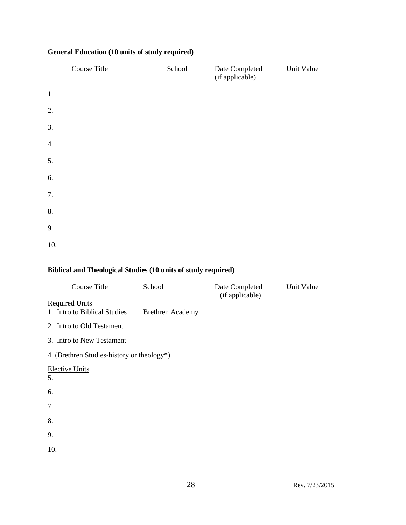### **General Education (10 units of study required)**

|     | <b>Course Title</b> | School | Date Completed<br>(if applicable) | <b>Unit Value</b> |
|-----|---------------------|--------|-----------------------------------|-------------------|
| 1.  |                     |        |                                   |                   |
| 2.  |                     |        |                                   |                   |
| 3.  |                     |        |                                   |                   |
| 4.  |                     |        |                                   |                   |
| 5.  |                     |        |                                   |                   |
| 6.  |                     |        |                                   |                   |
| 7.  |                     |        |                                   |                   |
| 8.  |                     |        |                                   |                   |
| 9.  |                     |        |                                   |                   |
| 10. |                     |        |                                   |                   |

### **Biblical and Theological Studies (10 units of study required)**

| <b>Course Title</b>                                   | School                  | Date Completed<br>(if applicable) | <b>Unit Value</b> |
|-------------------------------------------------------|-------------------------|-----------------------------------|-------------------|
| <b>Required Units</b><br>1. Intro to Biblical Studies | <b>Brethren Academy</b> |                                   |                   |
| 2. Intro to Old Testament                             |                         |                                   |                   |
| 3. Intro to New Testament                             |                         |                                   |                   |
| 4. (Brethren Studies-history or theology*)            |                         |                                   |                   |
| <b>Elective Units</b><br>5.                           |                         |                                   |                   |
| 6.                                                    |                         |                                   |                   |
| 7.                                                    |                         |                                   |                   |
| 8.                                                    |                         |                                   |                   |
| 9.                                                    |                         |                                   |                   |
| 10.                                                   |                         |                                   |                   |
|                                                       |                         |                                   |                   |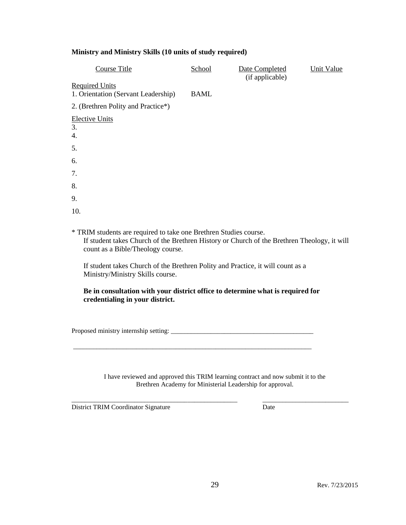#### **Ministry and Ministry Skills (10 units of study required)**

| <b>Course Title</b>                                          | School      | Date Completed<br>(if applicable) | <b>Unit Value</b> |
|--------------------------------------------------------------|-------------|-----------------------------------|-------------------|
| <b>Required Units</b><br>1. Orientation (Servant Leadership) | <b>BAML</b> |                                   |                   |
| 2. (Brethren Polity and Practice*)                           |             |                                   |                   |
| <b>Elective Units</b><br>3.<br>4.                            |             |                                   |                   |
| 5.                                                           |             |                                   |                   |
| 6.                                                           |             |                                   |                   |
| 7.                                                           |             |                                   |                   |
| 8.                                                           |             |                                   |                   |
| 9.                                                           |             |                                   |                   |
| 10.                                                          |             |                                   |                   |

\* TRIM students are required to take one Brethren Studies course.

If student takes Church of the Brethren History or Church of the Brethren Theology, it will count as a Bible/Theology course.

If student takes Church of the Brethren Polity and Practice, it will count as a Ministry/Ministry Skills course.

\_\_\_\_\_\_\_\_\_\_\_\_\_\_\_\_\_\_\_\_\_\_\_\_\_\_\_\_\_\_\_\_\_\_\_\_\_\_\_\_\_\_\_\_\_\_\_\_\_\_\_\_\_\_\_\_\_\_\_\_\_\_\_\_\_\_\_\_\_\_\_\_

### **Be in consultation with your district office to determine what is required for credentialing in your district.**

Proposed ministry internship setting: \_\_\_\_\_\_\_\_\_\_\_\_\_\_\_\_\_\_\_\_\_\_\_\_\_\_\_\_\_\_\_\_\_\_\_\_\_\_\_\_\_\_\_

I have reviewed and approved this TRIM learning contract and now submit it to the Brethren Academy for Ministerial Leadership for approval.

*\_\_\_\_\_\_\_\_\_\_\_\_\_\_\_\_\_\_\_\_\_\_\_\_\_\_\_\_\_\_\_\_\_\_\_\_\_\_\_\_\_\_\_\_\_\_\_\_\_\_ \_\_\_\_\_\_\_\_\_\_\_\_\_\_\_\_\_\_\_\_\_\_\_\_\_\_*

District TRIM Coordinator Signature Date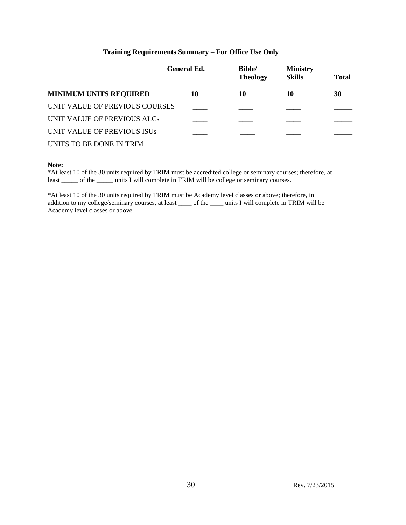### **Training Requirements Summary – For Office Use Only**

|    | <b>Bible/</b><br><b>Theology</b>                     | <b>Ministry</b><br><b>Skills</b> | <b>Total</b> |
|----|------------------------------------------------------|----------------------------------|--------------|
| 10 | 10                                                   | 10                               | 30           |
|    |                                                      |                                  |              |
|    |                                                      |                                  |              |
|    |                                                      |                                  |              |
|    |                                                      |                                  |              |
|    | <b>General Ed.</b><br>UNIT VALUE OF PREVIOUS COURSES |                                  |              |

#### **Note:**

\*At least 10 of the 30 units required by TRIM must be accredited college or seminary courses; therefore, at least \_\_\_\_\_ of the \_\_\_\_\_\_ units I will complete in TRIM will be college or seminary courses.

\*At least 10 of the 30 units required by TRIM must be Academy level classes or above; therefore, in addition to my college/seminary courses, at least \_\_\_\_ of the \_\_\_\_ units I will complete in TRIM will be Academy level classes or above.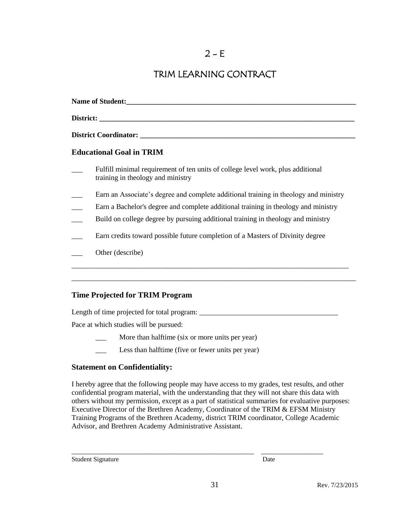## TRIM LEARNING CONTRACT

| Name of Student:                                                                                                                                                                                                              |
|-------------------------------------------------------------------------------------------------------------------------------------------------------------------------------------------------------------------------------|
| District: the contract of the contract of the contract of the contract of the contract of the contract of the contract of the contract of the contract of the contract of the contract of the contract of the contract of the |
|                                                                                                                                                                                                                               |
| <b>Educational Goal in TRIM</b>                                                                                                                                                                                               |
| Fulfill minimal requirement of ten units of college level work, plus additional<br>training in theology and ministry                                                                                                          |
| Earn an Associate's degree and complete additional training in theology and ministry                                                                                                                                          |
| Earn a Bachelor's degree and complete additional training in theology and ministry                                                                                                                                            |
| Build on college degree by pursuing additional training in theology and ministry                                                                                                                                              |
| Earn credits toward possible future completion of a Masters of Divinity degree                                                                                                                                                |
| Other (describe)                                                                                                                                                                                                              |

\_\_\_\_\_\_\_\_\_\_\_\_\_\_\_\_\_\_\_\_\_\_\_\_\_\_\_\_\_\_\_\_\_\_\_\_\_\_\_\_\_\_\_\_\_\_\_\_\_\_\_\_\_\_\_\_\_\_\_\_\_\_\_\_\_\_\_\_\_\_\_\_\_\_\_\_\_\_

### **Time Projected for TRIM Program**

Length of time projected for total program: \_\_\_\_\_\_\_\_\_\_\_\_\_\_\_\_\_\_\_\_\_\_\_\_\_\_\_\_\_\_\_\_\_\_\_\_\_\_

Pace at which studies will be pursued:

- More than halftime (six or more units per year)
- Less than halftime (five or fewer units per year)

### **Statement on Confidentiality:**

I hereby agree that the following people may have access to my grades, test results, and other confidential program material, with the understanding that they will not share this data with others without my permission, except as a part of statistical summaries for evaluative purposes: Executive Director of the Brethren Academy, Coordinator of the TRIM & EFSM Ministry Training Programs of the Brethren Academy, district TRIM coordinator, College Academic Advisor, and Brethren Academy Administrative Assistant.

\_\_\_\_\_\_\_\_\_\_\_\_\_\_\_\_\_\_\_\_\_\_\_\_\_\_\_\_\_\_\_\_\_\_\_\_\_\_\_\_\_\_\_\_\_\_\_\_\_\_ \_\_\_\_\_\_\_\_\_\_\_\_\_\_\_\_\_

Student Signature Date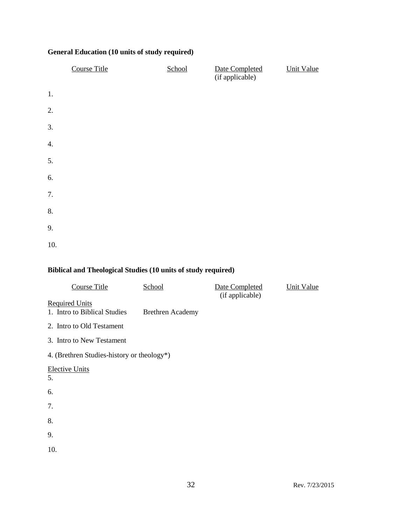### **General Education (10 units of study required)**

|     | <b>Course Title</b> | School | Date Completed<br>(if applicable) | <b>Unit Value</b> |
|-----|---------------------|--------|-----------------------------------|-------------------|
| 1.  |                     |        |                                   |                   |
| 2.  |                     |        |                                   |                   |
| 3.  |                     |        |                                   |                   |
| 4.  |                     |        |                                   |                   |
| 5.  |                     |        |                                   |                   |
| 6.  |                     |        |                                   |                   |
| 7.  |                     |        |                                   |                   |
| 8.  |                     |        |                                   |                   |
| 9.  |                     |        |                                   |                   |
| 10. |                     |        |                                   |                   |

### **Biblical and Theological Studies (10 units of study required)**

| <b>Course Title</b>                                   | School                  | Date Completed<br>(if applicable) | <b>Unit Value</b> |
|-------------------------------------------------------|-------------------------|-----------------------------------|-------------------|
| <b>Required Units</b><br>1. Intro to Biblical Studies | <b>Brethren Academy</b> |                                   |                   |
| 2. Intro to Old Testament                             |                         |                                   |                   |
| 3. Intro to New Testament                             |                         |                                   |                   |
| 4. (Brethren Studies-history or theology*)            |                         |                                   |                   |
| <b>Elective Units</b><br>5.                           |                         |                                   |                   |
| 6.                                                    |                         |                                   |                   |
| 7.                                                    |                         |                                   |                   |
| 8.                                                    |                         |                                   |                   |
| 9.                                                    |                         |                                   |                   |
| 10.                                                   |                         |                                   |                   |
|                                                       |                         |                                   |                   |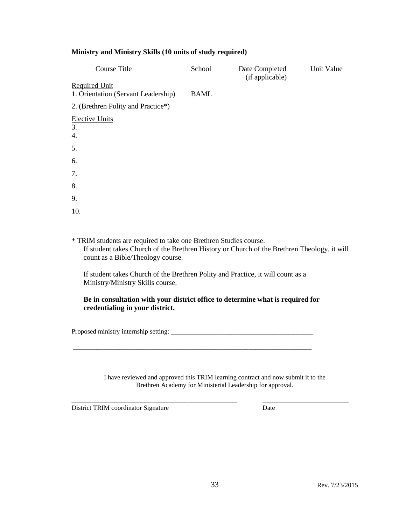#### **Ministry and Ministry Skills (10 units of study required)**

| Course Title                                                | School      | Date Completed<br>(if applicable) | Unit Value |
|-------------------------------------------------------------|-------------|-----------------------------------|------------|
| <b>Required Unit</b><br>1. Orientation (Servant Leadership) | <b>BAML</b> |                                   |            |
| 2. (Brethren Polity and Practice*)                          |             |                                   |            |
| <b>Elective Units</b><br>3.<br>4.                           |             |                                   |            |
| 5.                                                          |             |                                   |            |
| 6.                                                          |             |                                   |            |
| 7.                                                          |             |                                   |            |
| 8.                                                          |             |                                   |            |
| 9.                                                          |             |                                   |            |
| 10.                                                         |             |                                   |            |

\* TRIM students are required to take one Brethren Studies course.

If student takes Church of the Brethren History or Church of the Brethren Theology, it will count as a Bible/Theology course.

If student takes Church of the Brethren Polity and Practice, it will count as a Ministry/Ministry Skills course.

\_\_\_\_\_\_\_\_\_\_\_\_\_\_\_\_\_\_\_\_\_\_\_\_\_\_\_\_\_\_\_\_\_\_\_\_\_\_\_\_\_\_\_\_\_\_\_\_\_\_\_\_\_\_\_\_\_\_\_\_\_\_\_\_\_\_\_\_\_\_\_\_

**Be in consultation with your district office to determine what is required for credentialing in your district.**

Proposed ministry internship setting: \_\_\_\_\_\_\_\_\_\_\_\_\_\_\_\_\_\_\_\_\_\_\_\_\_\_\_\_\_\_\_\_\_\_\_\_\_\_\_\_\_\_\_

I have reviewed and approved this TRIM learning contract and now submit it to the Brethren Academy for Ministerial Leadership for approval.

*\_\_\_\_\_\_\_\_\_\_\_\_\_\_\_\_\_\_\_\_\_\_\_\_\_\_\_\_\_\_\_\_\_\_\_\_\_\_\_\_\_\_\_\_\_\_\_\_\_\_ \_\_\_\_\_\_\_\_\_\_\_\_\_\_\_\_\_\_\_\_\_\_\_\_\_\_*

District TRIM coordinator Signature Date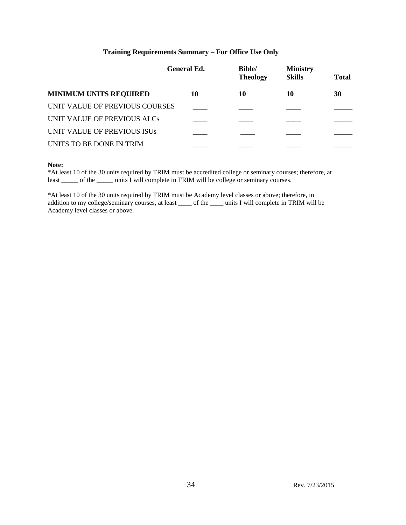### **Training Requirements Summary – For Office Use Only**

|                                | <b>General Ed.</b> | <b>Bible/</b><br><b>Theology</b> | <b>Ministry</b><br><b>Skills</b> | <b>Total</b> |
|--------------------------------|--------------------|----------------------------------|----------------------------------|--------------|
| <b>MINIMUM UNITS REQUIRED</b>  | 10                 | 10                               | 10                               | 30           |
| UNIT VALUE OF PREVIOUS COURSES |                    |                                  |                                  |              |
| UNIT VALUE OF PREVIOUS ALCs    |                    |                                  |                                  |              |
| UNIT VALUE OF PREVIOUS ISUS    |                    |                                  |                                  |              |
| UNITS TO BE DONE IN TRIM       |                    |                                  |                                  |              |
|                                |                    |                                  |                                  |              |

#### **Note:**

\*At least 10 of the 30 units required by TRIM must be accredited college or seminary courses; therefore, at least \_\_\_\_\_ of the \_\_\_\_\_\_ units I will complete in TRIM will be college or seminary courses.

\*At least 10 of the 30 units required by TRIM must be Academy level classes or above; therefore, in addition to my college/seminary courses, at least \_\_\_\_ of the \_\_\_\_ units I will complete in TRIM will be Academy level classes or above.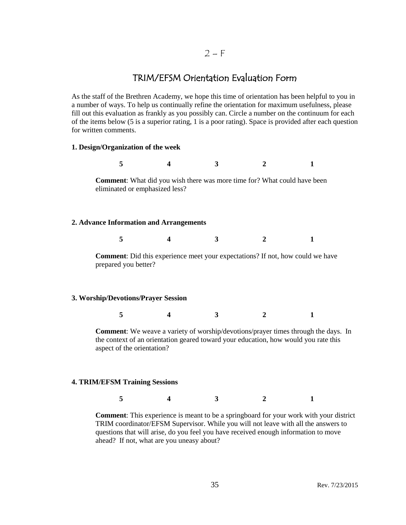### $2-F$

## TRIM/EFSM Orientation Evaluation Form

As the staff of the Brethren Academy, we hope this time of orientation has been helpful to you in a number of ways. To help us continually refine the orientation for maximum usefulness, please fill out this evaluation as frankly as you possibly can. Circle a number on the continuum for each of the items below (5 is a superior rating, 1 is a poor rating). Space is provided after each question for written comments.

#### **1. Design/Organization of the week**

**5 4 3 2 1 Comment**: What did you wish there was more time for? What could have been eliminated or emphasized less? **2. Advance Information and Arrangements 5 4 3 2 1 Comment**: Did this experience meet your expectations? If not, how could we have prepared you better?

### **3. Worship/Devotions/Prayer Session**

**5 4 3 2 1**

**Comment**: We weave a variety of worship/devotions/prayer times through the days. In the context of an orientation geared toward your education, how would you rate this aspect of the orientation?

#### **4. TRIM/EFSM Training Sessions**

**5 4 3 2 1**

**Comment**: This experience is meant to be a springboard for your work with your district TRIM coordinator/EFSM Supervisor. While you will not leave with all the answers to questions that will arise, do you feel you have received enough information to move ahead? If not, what are you uneasy about?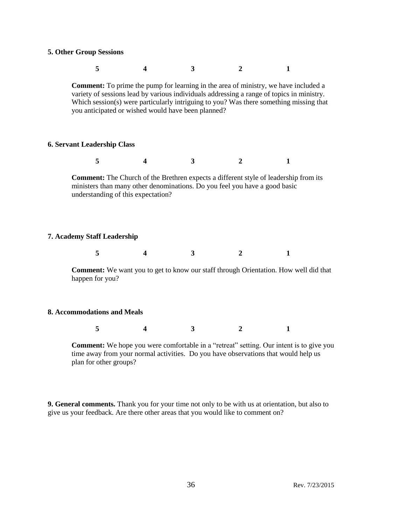#### **5. Other Group Sessions**

| <b>Comment:</b> To prime the pump for learning in the area of ministry, we have included a<br>you anticipated or wished would have been planned? |  | variety of sessions lead by various individuals addressing a range of topics in ministry.<br>Which session(s) were particularly intriguing to you? Was there something missing that |  |
|--------------------------------------------------------------------------------------------------------------------------------------------------|--|-------------------------------------------------------------------------------------------------------------------------------------------------------------------------------------|--|

### **6. Servant Leadership Class**

**5 4 3 2 1**

**Comment:** The Church of the Brethren expects a different style of leadership from its ministers than many other denominations. Do you feel you have a good basic understanding of this expectation?

### **7. Academy Staff Leadership**

|--|--|

**Comment:** We want you to get to know our staff through Orientation. How well did that happen for you?

#### **8. Accommodations and Meals**

**5 4 3 2 1**

**Comment:** We hope you were comfortable in a "retreat" setting. Our intent is to give you time away from your normal activities. Do you have observations that would help us plan for other groups?

**9. General comments.** Thank you for your time not only to be with us at orientation, but also to give us your feedback. Are there other areas that you would like to comment on?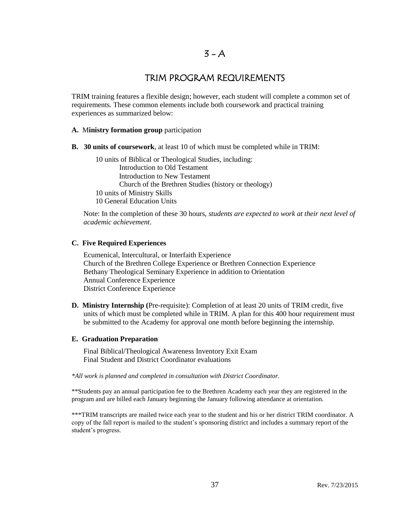## TRIM PROGRAM REQUIREMENTS

TRIM training features a flexible design; however, each student will complete a common set of requirements. These common elements include both coursework and practical training experiences as summarized below:

#### **A.** M**inistry formation group** participation

**B. 30 units of coursework**, at least 10 of which must be completed while in TRIM:

10 units of Biblical or Theological Studies, including: Introduction to Old Testament Introduction to New Testament Church of the Brethren Studies (history or theology) 10 units of Ministry Skills 10 General Education Units

Note: In the completion of these 30 hours, *students are expected to work at their next level of academic achievement*.

#### **C. Five Required Experiences**

Ecumenical, Intercultural, or Interfaith Experience Church of the Brethren College Experience or Brethren Connection Experience Bethany Theological Seminary Experience in addition to Orientation Annual Conference Experience District Conference Experience

**D. Ministry Internship (**Pre-requisite): Completion of at least 20 units of TRIM credit, five units of which must be completed while in TRIM. A plan for this 400 hour requirement must be submitted to the Academy for approval one month before beginning the internship.

#### **E. Graduation Preparation**

Final Biblical/Theological Awareness Inventory Exit Exam Final Student and District Coordinator evaluations

*\*All work is planned and completed in consultation with District Coordinator.*

\*\*Students pay an annual participation fee to the Brethren Academy each year they are registered in the program and are billed each January beginning the January following attendance at orientation.

\*\*\*TRIM transcripts are mailed twice each year to the student and his or her district TRIM coordinator. A copy of the fall report is mailed to the student's sponsoring district and includes a summary report of the student's progress.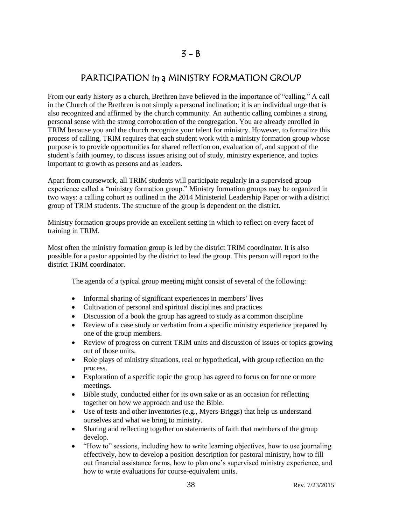## PARTICIPATION in a MINISTRY FORMATION GROUP

From our early history as a church, Brethren have believed in the importance of "calling." A call in the Church of the Brethren is not simply a personal inclination; it is an individual urge that is also recognized and affirmed by the church community. An authentic calling combines a strong personal sense with the strong corroboration of the congregation. You are already enrolled in TRIM because you and the church recognize your talent for ministry. However, to formalize this process of calling, TRIM requires that each student work with a ministry formation group whose purpose is to provide opportunities for shared reflection on, evaluation of, and support of the student's faith journey, to discuss issues arising out of study, ministry experience, and topics important to growth as persons and as leaders.

Apart from coursework, all TRIM students will participate regularly in a supervised group experience called a "ministry formation group." Ministry formation groups may be organized in two ways: a calling cohort as outlined in the 2014 Ministerial Leadership Paper or with a district group of TRIM students. The structure of the group is dependent on the district.

Ministry formation groups provide an excellent setting in which to reflect on every facet of training in TRIM.

Most often the ministry formation group is led by the district TRIM coordinator. It is also possible for a pastor appointed by the district to lead the group. This person will report to the district TRIM coordinator.

The agenda of a typical group meeting might consist of several of the following:

- Informal sharing of significant experiences in members' lives
- Cultivation of personal and spiritual disciplines and practices
- Discussion of a book the group has agreed to study as a common discipline
- Review of a case study or verbatim from a specific ministry experience prepared by one of the group members.
- Review of progress on current TRIM units and discussion of issues or topics growing out of those units.
- Role plays of ministry situations, real or hypothetical, with group reflection on the process.
- Exploration of a specific topic the group has agreed to focus on for one or more meetings.
- Bible study, conducted either for its own sake or as an occasion for reflecting together on how we approach and use the Bible.
- Use of tests and other inventories (e.g., Myers-Briggs) that help us understand ourselves and what we bring to ministry.
- Sharing and reflecting together on statements of faith that members of the group develop.
- "How to" sessions, including how to write learning objectives, how to use journaling effectively, how to develop a position description for pastoral ministry, how to fill out financial assistance forms, how to plan one's supervised ministry experience, and how to write evaluations for course-equivalent units.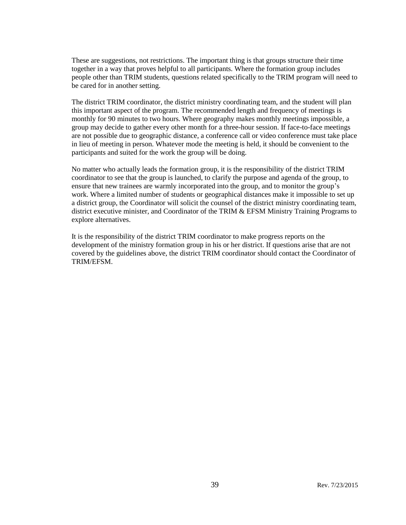These are suggestions, not restrictions. The important thing is that groups structure their time together in a way that proves helpful to all participants. Where the formation group includes people other than TRIM students, questions related specifically to the TRIM program will need to be cared for in another setting.

The district TRIM coordinator, the district ministry coordinating team, and the student will plan this important aspect of the program. The recommended length and frequency of meetings is monthly for 90 minutes to two hours. Where geography makes monthly meetings impossible, a group may decide to gather every other month for a three-hour session. If face-to-face meetings are not possible due to geographic distance, a conference call or video conference must take place in lieu of meeting in person. Whatever mode the meeting is held, it should be convenient to the participants and suited for the work the group will be doing.

No matter who actually leads the formation group, it is the responsibility of the district TRIM coordinator to see that the group is launched, to clarify the purpose and agenda of the group, to ensure that new trainees are warmly incorporated into the group, and to monitor the group's work. Where a limited number of students or geographical distances make it impossible to set up a district group, the Coordinator will solicit the counsel of the district ministry coordinating team, district executive minister, and Coordinator of the TRIM & EFSM Ministry Training Programs to explore alternatives.

It is the responsibility of the district TRIM coordinator to make progress reports on the development of the ministry formation group in his or her district. If questions arise that are not covered by the guidelines above, the district TRIM coordinator should contact the Coordinator of TRIM/EFSM.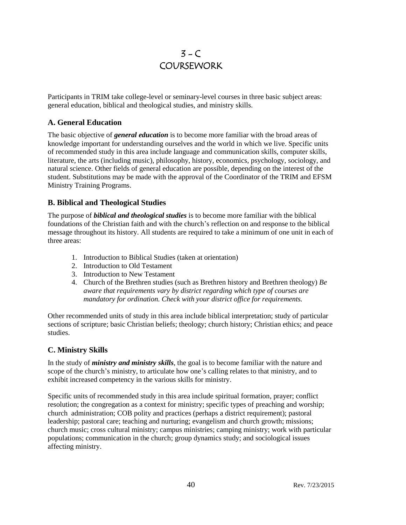# $3 - C$ **COURSEWORK**

Participants in TRIM take college-level or seminary-level courses in three basic subject areas: general education, biblical and theological studies, and ministry skills.

## **A. General Education**

The basic objective of *general education* is to become more familiar with the broad areas of knowledge important for understanding ourselves and the world in which we live. Specific units of recommended study in this area include language and communication skills, computer skills, literature, the arts (including music), philosophy, history, economics, psychology, sociology, and natural science. Other fields of general education are possible, depending on the interest of the student. Substitutions may be made with the approval of the Coordinator of the TRIM and EFSM Ministry Training Programs.

## **B. Biblical and Theological Studies**

The purpose of *biblical and theological studies* is to become more familiar with the biblical foundations of the Christian faith and with the church's reflection on and response to the biblical message throughout its history. All students are required to take a minimum of one unit in each of three areas:

- 1. Introduction to Biblical Studies (taken at orientation)
- 2. Introduction to Old Testament
- 3. Introduction to New Testament
- 4. Church of the Brethren studies (such as Brethren history and Brethren theology) *Be aware that requirements vary by district regarding which type of courses are mandatory for ordination. Check with your district office for requirements.*

Other recommended units of study in this area include biblical interpretation; study of particular sections of scripture; basic Christian beliefs; theology; church history; Christian ethics; and peace studies.

## **C. Ministry Skills**

In the study of *ministry and ministry skills*, the goal is to become familiar with the nature and scope of the church's ministry, to articulate how one's calling relates to that ministry, and to exhibit increased competency in the various skills for ministry.

Specific units of recommended study in this area include spiritual formation, prayer; conflict resolution; the congregation as a context for ministry; specific types of preaching and worship; church administration; COB polity and practices (perhaps a district requirement); pastoral leadership; pastoral care; teaching and nurturing; evangelism and church growth; missions; church music; cross cultural ministry; campus ministries; camping ministry; work with particular populations; communication in the church; group dynamics study; and sociological issues affecting ministry.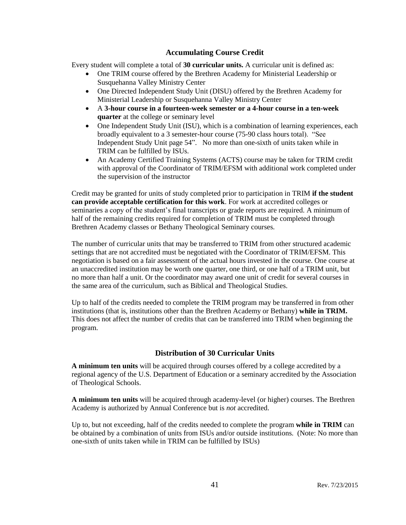## **Accumulating Course Credit**

Every student will complete a total of **30 curricular units.** A curricular unit is defined as:

- One TRIM course offered by the Brethren Academy for Ministerial Leadership or Susquehanna Valley Ministry Center
- One Directed Independent Study Unit (DISU) offered by the Brethren Academy for Ministerial Leadership or Susquehanna Valley Ministry Center
- A **3-hour course in a fourteen-week semester or a 4-hour course in a ten-week quarter** at the college or seminary level
- One Independent Study Unit (ISU), which is a combination of learning experiences, each broadly equivalent to a 3 semester-hour course (75-90 class hours total). "See Independent Study Unit page 54". No more than one-sixth of units taken while in TRIM can be fulfilled by ISUs.
- An Academy Certified Training Systems (ACTS) course may be taken for TRIM credit with approval of the Coordinator of TRIM/EFSM with additional work completed under the supervision of the instructor

Credit may be granted for units of study completed prior to participation in TRIM **if the student can provide acceptable certification for this work**. For work at accredited colleges or seminaries a copy of the student's final transcripts or grade reports are required. A minimum of half of the remaining credits required for completion of TRIM must be completed through Brethren Academy classes or Bethany Theological Seminary courses.

The number of curricular units that may be transferred to TRIM from other structured academic settings that are not accredited must be negotiated with the Coordinator of TRIM/EFSM. This negotiation is based on a fair assessment of the actual hours invested in the course. One course at an unaccredited institution may be worth one quarter, one third, or one half of a TRIM unit, but no more than half a unit. Or the coordinator may award one unit of credit for several courses in the same area of the curriculum, such as Biblical and Theological Studies.

Up to half of the credits needed to complete the TRIM program may be transferred in from other institutions (that is, institutions other than the Brethren Academy or Bethany) **while in TRIM.**  This does not affect the number of credits that can be transferred into TRIM when beginning the program.

## **Distribution of 30 Curricular Units**

**A minimum ten units** will be acquired through courses offered by a college accredited by a regional agency of the U.S. Department of Education or a seminary accredited by the Association of Theological Schools.

**A minimum ten units** will be acquired through academy-level (or higher) courses. The Brethren Academy is authorized by Annual Conference but is *not* accredited.

Up to, but not exceeding, half of the credits needed to complete the program **while in TRIM** can be obtained by a combination of units from ISUs and/or outside institutions. (Note: No more than one-sixth of units taken while in TRIM can be fulfilled by ISUs)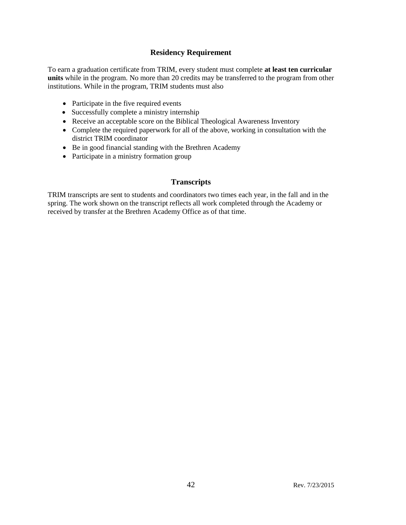## **Residency Requirement**

To earn a graduation certificate from TRIM, every student must complete **at least ten curricular units** while in the program. No more than 20 credits may be transferred to the program from other institutions. While in the program, TRIM students must also

- Participate in the five required events
- Successfully complete a ministry internship
- Receive an acceptable score on the Biblical Theological Awareness Inventory
- Complete the required paperwork for all of the above, working in consultation with the district TRIM coordinator
- Be in good financial standing with the Brethren Academy
- Participate in a ministry formation group

## **Transcripts**

TRIM transcripts are sent to students and coordinators two times each year, in the fall and in the spring. The work shown on the transcript reflects all work completed through the Academy or received by transfer at the Brethren Academy Office as of that time.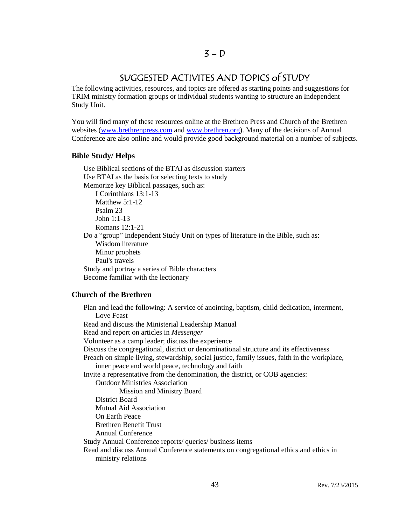## SUGGESTED ACTIVITES AND TOPICS of STUDY

The following activities, resources, and topics are offered as starting points and suggestions for TRIM ministry formation groups or individual students wanting to structure an Independent Study Unit.

You will find many of these resources online at the Brethren Press and Church of the Brethren websites [\(www.brethrenpress.com](http://www.brethrenpress.com/) and [www.brethren.org\)](http://www.brethren.org/). Many of the decisions of Annual Conference are also online and would provide good background material on a number of subjects.

## **Bible Study/ Helps**

Use Biblical sections of the BTAI as discussion starters Use BTAI as the basis for selecting texts to study Memorize key Biblical passages, such as: I Corinthians 13:1-13 Matthew  $5:1-12$ Psalm 23 John 1:1-13 Romans 12:1-21 Do a "group" Independent Study Unit on types of literature in the Bible, such as: Wisdom literature Minor prophets Paul's travels Study and portray a series of Bible characters Become familiar with the lectionary

## **Church of the Brethren**

Plan and lead the following: A service of anointing, baptism, child dedication, interment, Love Feast Read and discuss the Ministerial Leadership Manual Read and report on articles in *Messenger* Volunteer as a camp leader; discuss the experience Discuss the congregational, district or denominational structure and its effectiveness Preach on simple living, stewardship, social justice, family issues, faith in the workplace, inner peace and world peace, technology and faith Invite a representative from the denomination, the district, or COB agencies: Outdoor Ministries Association Mission and Ministry Board District Board Mutual Aid Association On Earth Peace Brethren Benefit Trust Annual Conference Study Annual Conference reports/ queries/ business items Read and discuss Annual Conference statements on congregational ethics and ethics in ministry relations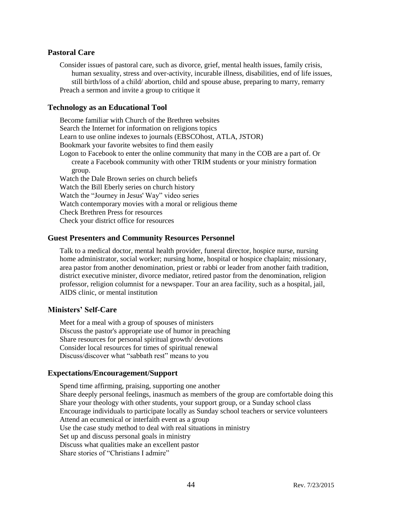#### **Pastoral Care**

Consider issues of pastoral care, such as divorce, grief, mental health issues, family crisis, human sexuality, stress and over-activity, incurable illness, disabilities, end of life issues, still birth/loss of a child/ abortion, child and spouse abuse, preparing to marry, remarry Preach a sermon and invite a group to critique it

#### **Technology as an Educational Tool**

Become familiar with Church of the Brethren websites Search the Internet for information on religions topics Learn to use online indexes to journals (EBSCOhost, ATLA, JSTOR) Bookmark your favorite websites to find them easily Logon to Facebook to enter the online community that many in the COB are a part of. Or create a Facebook community with other TRIM students or your ministry formation group. Watch the Dale Brown series on church beliefs Watch the Bill Eberly series on church history Watch the "Journey in Jesus' Way" video series Watch contemporary movies with a moral or religious theme Check Brethren Press for resources Check your district office for resources

#### **Guest Presenters and Community Resources Personnel**

Talk to a medical doctor, mental health provider, funeral director, hospice nurse, nursing home administrator, social worker; nursing home, hospital or hospice chaplain; missionary, area pastor from another denomination, priest or rabbi or leader from another faith tradition, district executive minister, divorce mediator, retired pastor from the denomination, religion professor, religion columnist for a newspaper. Tour an area facility, such as a hospital, jail, AIDS clinic, or mental institution

#### **Ministers' Self-Care**

Meet for a meal with a group of spouses of ministers Discuss the pastor's appropriate use of humor in preaching Share resources for personal spiritual growth/ devotions Consider local resources for times of spiritual renewal Discuss/discover what "sabbath rest" means to you

#### **Expectations/Encouragement/Support**

Spend time affirming, praising, supporting one another Share deeply personal feelings, inasmuch as members of the group are comfortable doing this Share your theology with other students, your support group, or a Sunday school class Encourage individuals to participate locally as Sunday school teachers or service volunteers Attend an ecumenical or interfaith event as a group Use the case study method to deal with real situations in ministry Set up and discuss personal goals in ministry Discuss what qualities make an excellent pastor Share stories of "Christians I admire"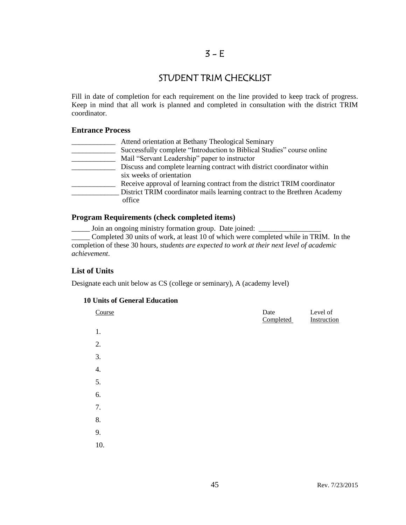## $3 - E$

## STUDENT TRIM CHECKLIST

Fill in date of completion for each requirement on the line provided to keep track of progress. Keep in mind that all work is planned and completed in consultation with the district TRIM coordinator.

#### **Entrance Process**

| Attend orientation at Bethany Theological Seminary                        |
|---------------------------------------------------------------------------|
| Successfully complete "Introduction to Biblical Studies" course online    |
| Mail "Servant Leadership" paper to instructor                             |
| Discuss and complete learning contract with district coordinator within   |
| six weeks of orientation                                                  |
| Receive approval of learning contract from the district TRIM coordinator  |
| District TRIM coordinator mails learning contract to the Brethren Academy |
| office                                                                    |
|                                                                           |

#### **Program Requirements (check completed items)**

\_\_\_\_\_ Join an ongoing ministry formation group. Date joined: \_\_\_\_\_\_\_\_\_\_\_\_\_\_\_\_\_

\_\_\_\_\_ Completed 30 units of work, at least 10 of which were completed while in TRIM. In the completion of these 30 hours, *students are expected to work at their next level of academic achievement*.

## **List of Units**

Designate each unit below as CS (college or seminary), A (academy level)

## **10 Units of General Education**

| Course | Date<br>Completed | Level of<br>Instruction |
|--------|-------------------|-------------------------|
| 1.     |                   |                         |
| 2.     |                   |                         |
| 3.     |                   |                         |
| 4.     |                   |                         |
| 5.     |                   |                         |
| 6.     |                   |                         |
| 7.     |                   |                         |
| 8.     |                   |                         |
| 9.     |                   |                         |
| 10.    |                   |                         |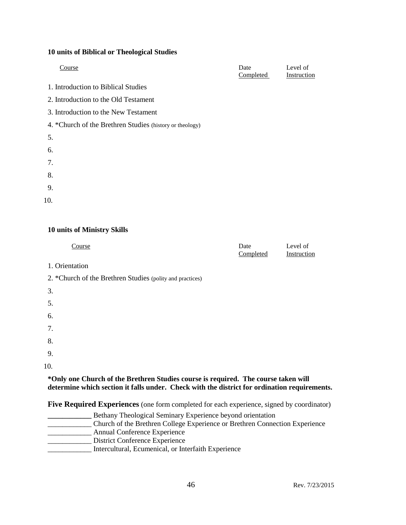#### **10 units of Biblical or Theological Studies**

| Course                                                   | Date<br>Completed | Level of<br>Instruction |
|----------------------------------------------------------|-------------------|-------------------------|
| 1. Introduction to Biblical Studies                      |                   |                         |
| 2. Introduction to the Old Testament                     |                   |                         |
| 3. Introduction to the New Testament                     |                   |                         |
| 4. *Church of the Brethren Studies (history or theology) |                   |                         |
| 5.                                                       |                   |                         |
| 6.                                                       |                   |                         |
| 7.                                                       |                   |                         |
| 8.                                                       |                   |                         |
| 9.                                                       |                   |                         |
| 10.                                                      |                   |                         |

## **10 units of Ministry Skills**

| Course                                                                                                                                                                             | Date<br>Completed | Level of<br>Instruction |
|------------------------------------------------------------------------------------------------------------------------------------------------------------------------------------|-------------------|-------------------------|
| 1. Orientation                                                                                                                                                                     |                   |                         |
| 2. *Church of the Brethren Studies (polity and practices)                                                                                                                          |                   |                         |
| 3.                                                                                                                                                                                 |                   |                         |
| 5.                                                                                                                                                                                 |                   |                         |
| 6.                                                                                                                                                                                 |                   |                         |
| 7.                                                                                                                                                                                 |                   |                         |
| 8.                                                                                                                                                                                 |                   |                         |
| 9.                                                                                                                                                                                 |                   |                         |
| 10.                                                                                                                                                                                |                   |                         |
| *Only one Church of the Brethren Studies course is required. The course taken will<br>determine which section it falls under. Check with the district for ordination requirements. |                   |                         |

**Five Required Experiences** (one form completed for each experience, signed by coordinator)

**\_\_\_\_\_\_\_\_\_\_\_\_** Bethany Theological Seminary Experience beyond orientation \_\_\_\_\_\_\_\_\_\_\_\_ Church of the Brethren College Experience or Brethren Connection Experience **Annual Conference Experience** \_\_\_\_\_\_\_\_\_\_\_\_ District Conference Experience \_\_\_\_\_\_\_\_\_\_\_\_ Intercultural, Ecumenical, or Interfaith Experience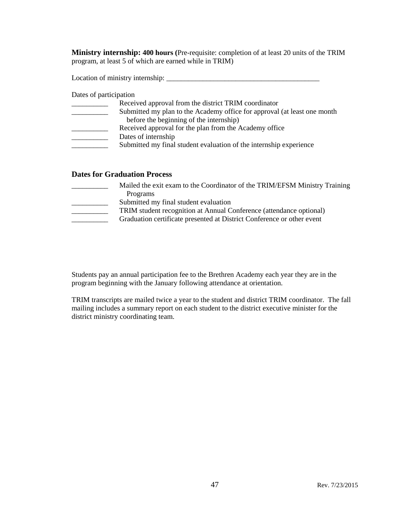**Ministry internship: 400 hours (**Pre-requisite: completion of at least 20 units of the TRIM program, at least 5 of which are earned while in TRIM)

Location of ministry internship: \_\_\_\_\_\_\_\_\_\_\_\_\_\_\_\_\_\_\_\_\_\_\_\_\_\_\_\_\_\_\_\_\_\_\_\_\_\_\_\_\_\_

Dates of participation

| Submitted my plan to the Academy office for approval (at least one month |
|--------------------------------------------------------------------------|
|                                                                          |
|                                                                          |
|                                                                          |
| Submitted my final student evaluation of the internship experience       |
|                                                                          |

## **Dates for Graduation Process**

| Mailed the exit exam to the Coordinator of the TRIM/EFSM Ministry Training |
|----------------------------------------------------------------------------|
| Programs                                                                   |
| Submitted my final student evaluation                                      |
| TRIM student recognition at Annual Conference (attendance optional)        |
| Graduation certificate presented at District Conference or other event     |
|                                                                            |

Students pay an annual participation fee to the Brethren Academy each year they are in the program beginning with the January following attendance at orientation.

TRIM transcripts are mailed twice a year to the student and district TRIM coordinator. The fall mailing includes a summary report on each student to the district executive minister for the district ministry coordinating team.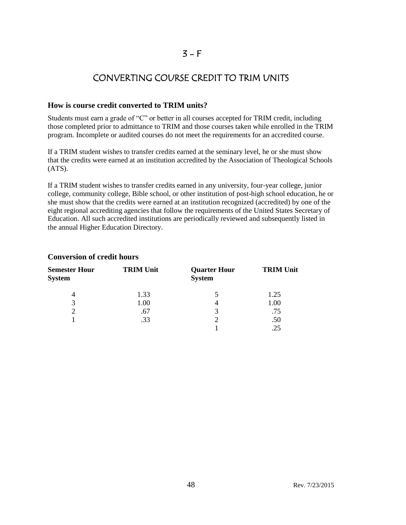## $3 - F$

## CONVERTING COURSE CREDIT TO TRIM UNITS

## **How is course credit converted to TRIM units?**

Students must earn a grade of "C" or better in all courses accepted for TRIM credit, including those completed prior to admittance to TRIM and those courses taken while enrolled in the TRIM program. Incomplete or audited courses do not meet the requirements for an accredited course.

If a TRIM student wishes to transfer credits earned at the seminary level, he or she must show that the credits were earned at an institution accredited by the Association of Theological Schools (ATS).

If a TRIM student wishes to transfer credits earned in any university, four-year college, junior college, community college, Bible school, or other institution of post-high school education, he or she must show that the credits were earned at an institution recognized (accredited) by one of the eight regional accrediting agencies that follow the requirements of the United States Secretary of Education. All such accredited institutions are periodically reviewed and subsequently listed in the annual Higher Education Directory.

| <b>Semester Hour</b><br><b>System</b> | <b>TRIM Unit</b> | <b>Quarter Hour</b><br><b>System</b> | <b>TRIM Unit</b> |
|---------------------------------------|------------------|--------------------------------------|------------------|
| 4                                     | 1.33             | 5                                    | 1.25             |
| 3                                     | 1.00             |                                      | 1.00             |
|                                       | .67              | 3                                    | .75              |
|                                       | .33              | C                                    | .50              |
|                                       |                  |                                      |                  |

## **Conversion of credit hours**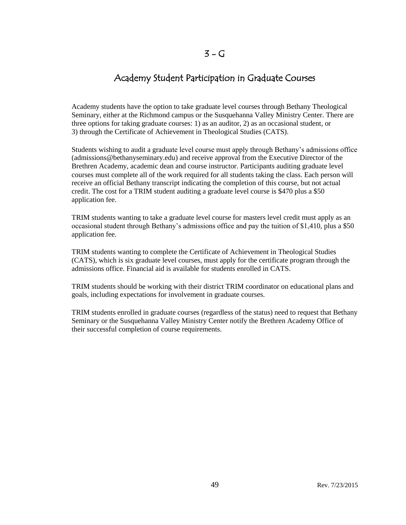## Academy Student Participation in Graduate Courses

Academy students have the option to take graduate level courses through Bethany Theological Seminary, either at the Richmond campus or the Susquehanna Valley Ministry Center. There are three options for taking graduate courses: 1) as an auditor, 2) as an occasional student, or 3) through the Certificate of Achievement in Theological Studies (CATS).

Students wishing to audit a graduate level course must apply through Bethany's admissions office (admissions@bethanyseminary.edu) and receive approval from the Executive Director of the Brethren Academy, academic dean and course instructor. Participants auditing graduate level courses must complete all of the work required for all students taking the class. Each person will receive an official Bethany transcript indicating the completion of this course, but not actual credit. The cost for a TRIM student auditing a graduate level course is \$470 plus a \$50 application fee.

TRIM students wanting to take a graduate level course for masters level credit must apply as an occasional student through Bethany's admissions office and pay the tuition of \$1,410, plus a \$50 application fee.

TRIM students wanting to complete the Certificate of Achievement in Theological Studies (CATS), which is six graduate level courses, must apply for the certificate program through the admissions office. Financial aid is available for students enrolled in CATS.

TRIM students should be working with their district TRIM coordinator on educational plans and goals, including expectations for involvement in graduate courses.

TRIM students enrolled in graduate courses (regardless of the status) need to request that Bethany Seminary or the Susquehanna Valley Ministry Center notify the Brethren Academy Office of their successful completion of course requirements.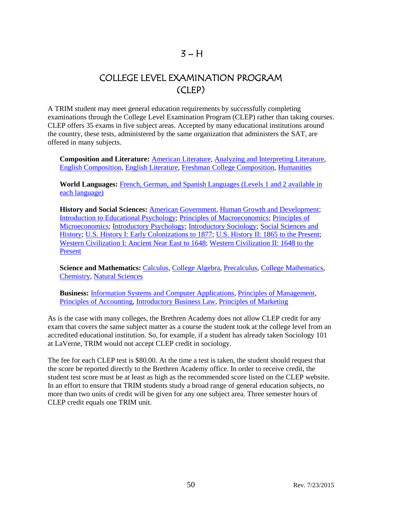## $3 - H$

## COLLEGE LEVEL EXAMINATION PROGRAM (CLEP)

A TRIM student may meet general education requirements by successfully completing examinations through the College Level Examination Program (CLEP) rather than taking courses. CLEP offers 35 exams in five subject areas. Accepted by many educational institutions around the country, these tests, administered by the same organization that administers the SAT, are offered in many subjects.

**Composition and Literature:** [American Literature,](http://www.collegeboard.com/student/testing/clep/ex_al.html) [Analyzing and Interpreting Literature,](http://www.collegeboard.com/student/testing/clep/ex_ail.html) [English Composition,](http://www.collegeboard.com/student/testing/clep/ex_ec.html) [English Literature,](http://www.collegeboard.com/student/testing/clep/ex_el.html) [Freshman College Composition,](http://www.collegeboard.com/student/testing/clep/ex_fcc.html) [Humanities](http://www.collegeboard.com/student/testing/clep/ex_hum.html)

**World Languages:** French, German, and Spanish Languages [\(Levels 1 and 2 available in](http://www.collegeboard.com/student/testing/clep/ex_clf.html)  [each language\)](http://www.collegeboard.com/student/testing/clep/ex_clf.html)

**History and Social Sciences:** [American Government,](http://www.collegeboard.com/student/testing/clep/ex_ag.html) [Human Growth and Development;](http://www.collegeboard.com/student/testing/clep/ex_hgd.html) [Introduction to Educational Psychology;](http://www.collegeboard.com/student/testing/clep/ex_iep.html) [Principles of Macroeconomics;](http://www.collegeboard.com/student/testing/clep/ex_pmac.html) [Principles of](http://www.collegeboard.com/student/testing/clep/ex_pmic.html)  [Microeconomics;](http://www.collegeboard.com/student/testing/clep/ex_pmic.html) [Introductory Psychology;](http://www.collegeboard.com/student/testing/clep/ex_ip.html) [Introductory Sociology;](http://www.collegeboard.com/student/testing/clep/ex_is.html) [Social Sciences and](http://www.collegeboard.com/student/testing/clep/ex_ssh.html)  [History;](http://www.collegeboard.com/student/testing/clep/ex_ssh.html) [U.S. History I: Early Colonizations to 1877;](http://www.collegeboard.com/student/testing/clep/ex_us1.html) [U.S. History II: 1865 to the Present;](http://www.collegeboard.com/student/testing/clep/ex_us2.html) [Western Civilization I: Ancient Near East](http://www.collegeboard.com/student/testing/clep/ex_wc1.html) to 1648; [Western Civilization II: 1648 to the](http://www.collegeboard.com/student/testing/clep/ex_wc2.html)  [Present](http://www.collegeboard.com/student/testing/clep/ex_wc2.html)

**Science and Mathematics:** [Calculus,](http://www.collegeboard.com/student/testing/clep/ex_calc.html) [College Algebra,](http://www.collegeboard.com/student/testing/clep/ex_ca.html) [Precalculus,](http://www.collegeboard.com/student/testing/clep/ex_pcal.html) [College Mathematics,](http://www.collegeboard.com/student/testing/clep/ex_cm.html) [Chemistry,](http://www.collegeboard.com/student/testing/clep/ex_chem.html) [Natural Sciences](http://www.collegeboard.com/student/testing/clep/ex_ns.html)

**Business:** [Information Systems and Computer Applications,](http://www.collegeboard.com/student/testing/clep/ex_isca.html) [Principles of Management,](http://www.collegeboard.com/student/testing/clep/ex_pman.html) [Principles of Accounting,](http://www.collegeboard.com/student/testing/clep/ex_pa.html) [Introductory Business Law,](http://www.collegeboard.com/student/testing/clep/ex_ibl.html) [Principles of Marketing](http://www.collegeboard.com/student/testing/clep/ex_pmark.html) 

As is the case with many colleges, the Brethren Academy does not allow CLEP credit for any exam that covers the same subject matter as a course the student took at the college level from an accredited educational institution. So, for example, if a student has already taken Sociology 101 at LaVerne, TRIM would not accept CLEP credit in sociology.

The fee for each CLEP test is \$80.00. At the time a test is taken, the student should request that the score be reported directly to the Brethren Academy office. In order to receive credit, the student test score must be at least as high as the recommended score listed on the CLEP website. In an effort to ensure that TRIM students study a broad range of general education subjects, no more than two units of credit will be given for any one subject area. Three semester hours of CLEP credit equals one TRIM unit.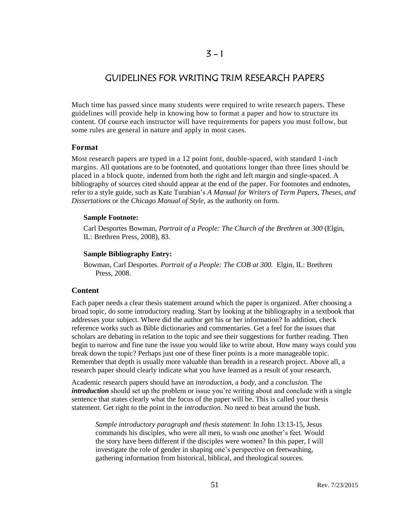## $3 - 1$

## GUIDELINES FOR WRITING TRIM RESEARCH PAPERS

Much time has passed since many students were required to write research papers. These guidelines will provide help in knowing how to format a paper and how to structure its content. Of course each instructor will have requirements for papers you must follow, but some rules are general in nature and apply in most cases.

## **Format**

Most research papers are typed in a 12 point font, double-spaced, with standard 1-inch margins. All quotations are to be footnoted, and quotations longer than three lines should be placed in a block quote, indented from both the right and left margin and single-spaced. A bibliography of sources cited should appear at the end of the paper. For footnotes and endnotes, refer to a style guide, such as Kate Turabian's *A Manual for Writers of Term Papers, Theses, and Dissertations* or the *Chicago Manual of Style,* as the authority on form.

#### **Sample Footnote:**

Carl Desportes Bowman, *Portrait of a People: The Church of the Brethren at 300* (Elgin, IL: Brethren Press, 2008), 83.

#### **Sample Bibliography Entry:**

Bowman, Carl Desportes. *Portrait of a People: The COB at 300.* Elgin, IL: Brethren Press, 2008.

## **Content**

Each paper needs a clear thesis statement around which the paper is organized. After choosing a broad topic, do some introductory reading. Start by looking at the bibliography in a textbook that addresses your subject. Where did the author get his or her information? In addition, check reference works such as Bible dictionaries and commentaries. Get a feel for the issues that scholars are debating in relation to the topic and see their suggestions for further reading. Then begin to narrow and fine tune the issue you would like to write about. How many ways could you break down the topic? Perhaps just one of these finer points is a more manageable topic. Remember that depth is usually more valuable than breadth in a research project. Above all, a research paper should clearly indicate what you have learned as a result of your research.

Academic research papers should have an *introduction*, a *body*, and a *conclusion*. The *introduction* should set up the problem or issue you're writing about and conclude with a single sentence that states clearly what the focus of the paper will be. This is called your thesis statement. Get right to the point in the *introduction.* No need to beat around the bush.

*Sample introductory paragraph and thesis statement*: In John 13:13-15, Jesus commands his disciples, who were all men, to wash one another's feet. Would the story have been different if the disciples were women? In this paper, I will investigate the role of gender in shaping one's perspective on feetwashing, gathering information from historical, biblical, and theological sources.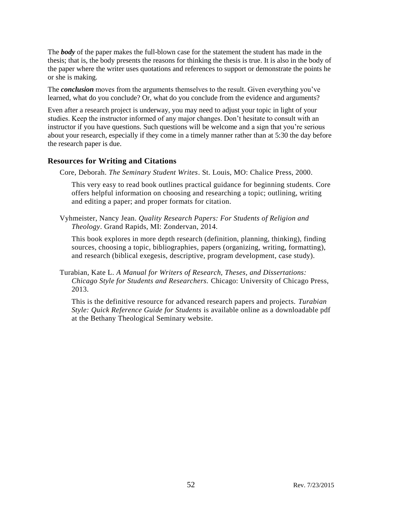The *body* of the paper makes the full-blown case for the statement the student has made in the thesis; that is, the body presents the reasons for thinking the thesis is true. It is also in the body of the paper where the writer uses quotations and references to support or demonstrate the points he or she is making.

The *conclusion* moves from the arguments themselves to the result. Given everything you've learned, what do you conclude? Or, what do you conclude from the evidence and arguments?

Even after a research project is underway, you may need to adjust your topic in light of your studies. Keep the instructor informed of any major changes. Don't hesitate to consult with an instructor if you have questions. Such questions will be welcome and a sign that you're serious about your research, especially if they come in a timely manner rather than at 5:30 the day before the research paper is due.

## **Resources for Writing and Citations**

Core, Deborah. *The Seminary Student Writes*. St. Louis, MO: Chalice Press, 2000.

This very easy to read book outlines practical guidance for beginning students. Core offers helpful information on choosing and researching a topic; outlining, writing and editing a paper; and proper formats for citation.

Vyhmeister, Nancy Jean. *Quality Research Papers: For Students of Religion and Theology*. Grand Rapids, MI: Zondervan, 2014.

This book explores in more depth research (definition, planning, thinking), finding sources, choosing a topic, bibliographies, papers (organizing, writing, formatting), and research (biblical exegesis, descriptive, program development, case study).

Turabian, Kate L. *A Manual for Writers of Research, Theses, and Dissertations: Chicago Style for Students and Researchers.* Chicago: University of Chicago Press, 2013.

This is the definitive resource for advanced research papers and projects. *Turabian Style: Quick Reference Guide for Students* is available online as a downloadable pdf at the Bethany Theological Seminary website.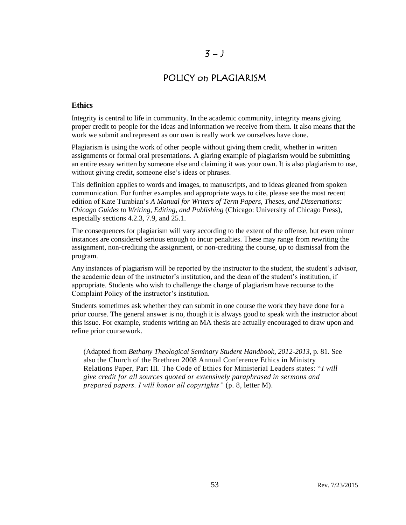## $3 - J$

## POLICY on PLAGIARISM

## **Ethics**

Integrity is central to life in community. In the academic community, integrity means giving proper credit to people for the ideas and information we receive from them. It also means that the work we submit and represent as our own is really work we ourselves have done.

Plagiarism is using the work of other people without giving them credit, whether in written assignments or formal oral presentations. A glaring example of plagiarism would be submitting an entire essay written by someone else and claiming it was your own. It is also plagiarism to use, without giving credit, someone else's ideas or phrases.

This definition applies to words and images, to manuscripts, and to ideas gleaned from spoken communication. For further examples and appropriate ways to cite, please see the most recent edition of Kate Turabian's *A Manual for Writers of Term Papers, Theses, and Dissertations: Chicago Guides to Writing, Editing, and Publishing* (Chicago: University of Chicago Press), especially sections 4.2.3, 7.9, and 25.1.

The consequences for plagiarism will vary according to the extent of the offense, but even minor instances are considered serious enough to incur penalties. These may range from rewriting the assignment, non-crediting the assignment, or non-crediting the course, up to dismissal from the program.

Any instances of plagiarism will be reported by the instructor to the student, the student's advisor, the academic dean of the instructor's institution, and the dean of the student's institution, if appropriate. Students who wish to challenge the charge of plagiarism have recourse to the Complaint Policy of the instructor's institution.

Students sometimes ask whether they can submit in one course the work they have done for a prior course. The general answer is no, though it is always good to speak with the instructor about this issue. For example, students writing an MA thesis are actually encouraged to draw upon and refine prior coursework.

(Adapted from *Bethany Theological Seminary Student Handbook, 2012-2013*, p. 81. See also the Church of the Brethren 2008 Annual Conference Ethics in Ministry Relations Paper, Part III. The Code of Ethics for Ministerial Leaders states: "*I will give credit for all sources quoted or extensively paraphrased in sermons and prepared papers. I will honor all copyrights"* (p. 8, letter M).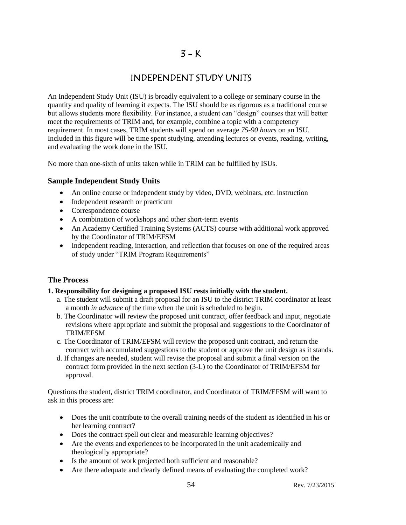## INDEPENDENT STUDY UNITS

An Independent Study Unit (ISU) is broadly equivalent to a college or seminary course in the quantity and quality of learning it expects. The ISU should be as rigorous as a traditional course but allows students more flexibility. For instance, a student can "design" courses that will better meet the requirements of TRIM and, for example, combine a topic with a competency requirement. In most cases, TRIM students will spend on average *75-90 hours* on an ISU. Included in this figure will be time spent studying, attending lectures or events, reading, writing, and evaluating the work done in the ISU.

No more than one-sixth of units taken while in TRIM can be fulfilled by ISUs.

## **Sample Independent Study Units**

- An online course or independent study by video, DVD, webinars, etc. instruction
- Independent research or practicum
- Correspondence course
- A combination of workshops and other short-term events
- An Academy Certified Training Systems (ACTS) course with additional work approved by the Coordinator of TRIM/EFSM
- Independent reading, interaction, and reflection that focuses on one of the required areas of study under "TRIM Program Requirements"

## **The Process**

## **1. Responsibility for designing a proposed ISU rests initially with the student.**

- a. The student will submit a draft proposal for an ISU to the district TRIM coordinator at least a month *in advance of* the time when the unit is scheduled to begin.
- b. The Coordinator will review the proposed unit contract, offer feedback and input, negotiate revisions where appropriate and submit the proposal and suggestions to the Coordinator of TRIM/EFSM
- c. The Coordinator of TRIM/EFSM will review the proposed unit contract, and return the contract with accumulated suggestions to the student or approve the unit design as it stands.
- d. If changes are needed, student will revise the proposal and submit a final version on the contract form provided in the next section (3-L) to the Coordinator of TRIM/EFSM for approval.

Questions the student, district TRIM coordinator, and Coordinator of TRIM/EFSM will want to ask in this process are:

- Does the unit contribute to the overall training needs of the student as identified in his or her learning contract?
- Does the contract spell out clear and measurable learning objectives?
- Are the events and experiences to be incorporated in the unit academically and theologically appropriate?
- Is the amount of work projected both sufficient and reasonable?
- Are there adequate and clearly defined means of evaluating the completed work?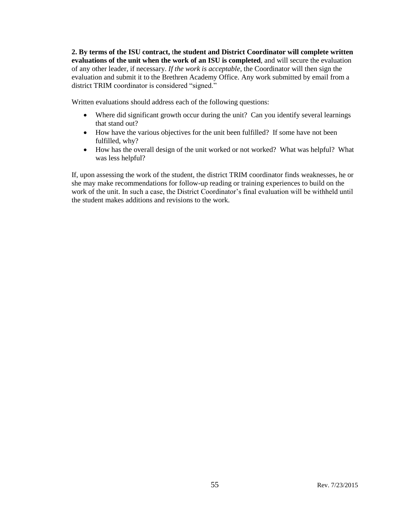**2. By terms of the ISU contract,** t**he student and District Coordinator will complete written evaluations of the unit when the work of an ISU is completed**, and will secure the evaluation of any other leader, if necessary. *If the work is acceptable,* the Coordinator will then sign the evaluation and submit it to the Brethren Academy Office. Any work submitted by email from a district TRIM coordinator is considered "signed."

Written evaluations should address each of the following questions:

- Where did significant growth occur during the unit? Can you identify several learnings that stand out?
- How have the various objectives for the unit been fulfilled? If some have not been fulfilled, why?
- How has the overall design of the unit worked or not worked? What was helpful? What was less helpful?

If, upon assessing the work of the student, the district TRIM coordinator finds weaknesses, he or she may make recommendations for follow-up reading or training experiences to build on the work of the unit. In such a case, the District Coordinator's final evaluation will be withheld until the student makes additions and revisions to the work.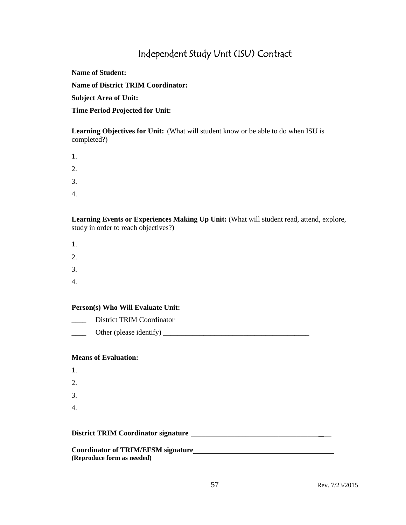## Independent Study Unit (ISU) Contract

**Name of Student:**

**Name of District TRIM Coordinator:**

**Subject Area of Unit:**

**Time Period Projected for Unit:**

**Learning Objectives for Unit:** (What will student know or be able to do when ISU is completed?)

| 1. |  |  |  |
|----|--|--|--|
| 2. |  |  |  |
| 3. |  |  |  |
| 4. |  |  |  |

**Learning Events or Experiences Making Up Unit:** (What will student read, attend, explore, study in order to reach objectives?)

- 1. 2. 3.
- 4.

## **Person(s) Who Will Evaluate Unit:**

District TRIM Coordinator  $\Box$  Other (please identify)  $\Box$ 

## **Means of Evaluation:**

- 1. 2.
- 3.
- 4.

#### **District TRIM Coordinator signature \_\_\_\_\_\_\_\_\_\_\_\_\_\_\_\_\_\_\_\_\_\_\_\_\_\_\_\_\_\_\_\_\_\_\_ \_\_**

**Coordinator of TRIM/EFSM signature (Reproduce form as needed)**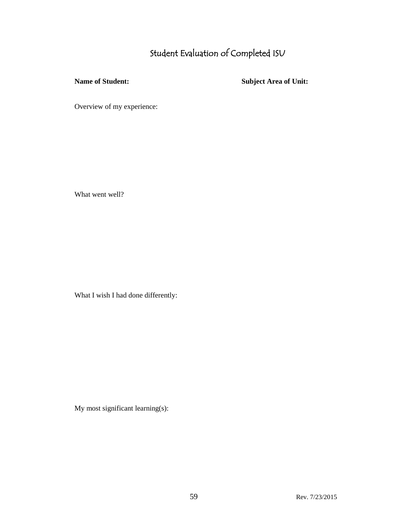# Student Evaluation of Completed ISU

**Name of Student: Subject Area of Unit:** 

Overview of my experience:

What went well?

What I wish I had done differently:

My most significant learning(s):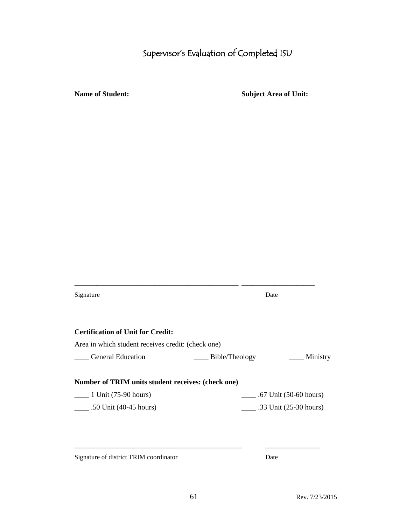# Supervisor's Evaluation of Completed ISU

**Name of Student: Subject Area of Unit:**

| Signature                                          | Date                                 |
|----------------------------------------------------|--------------------------------------|
| <b>Certification of Unit for Credit:</b>           |                                      |
| Area in which student receives credit: (check one) |                                      |
| <b>General Education</b>                           | _____ Bible/Theology<br>Ministry     |
| Number of TRIM units student receives: (check one) |                                      |
| $\frac{1 \text{ Unit}}{(75-90 \text{ hours})}$     | $\frac{1}{2}$ .67 Unit (50-60 hours) |
|                                                    |                                      |

Signature of district TRIM coordinator Date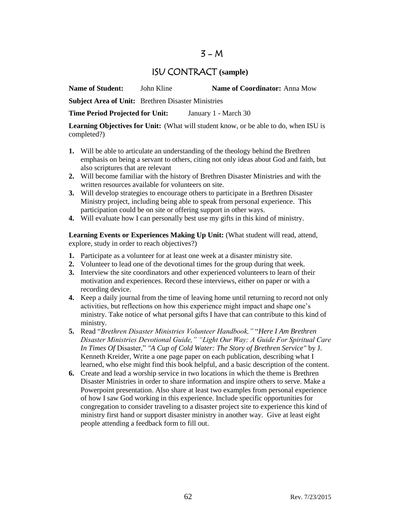## $3 - M$

## ISU CONTRACT **(sample)**

**Name of Student:** John Kline **Name of Coordinator:** Anna Mow

**Subject Area of Unit:** Brethren Disaster Ministries

**Time Period Projected for Unit:** January 1 - March 30

**Learning Objectives for Unit:** (What will student know, or be able to do, when ISU is completed?)

- **1.** Will be able to articulate an understanding of the theology behind the Brethren emphasis on being a servant to others, citing not only ideas about God and faith, but also scriptures that are relevant
- **2.** Will become familiar with the history of Brethren Disaster Ministries and with the written resources available for volunteers on site.
- **3.** Will develop strategies to encourage others to participate in a Brethren Disaster Ministry project, including being able to speak from personal experience. This participation could be on site or offering support in other ways.
- **4.** Will evaluate how I can personally best use my gifts in this kind of ministry.

Learning Events or Experiences Making Up Unit: (What student will read, attend, explore, study in order to reach objectives?)

- **1.** Participate as a volunteer for at least one week at a disaster ministry site.
- **2.** Volunteer to lead one of the devotional times for the group during that week.
- **3.** Interview the site coordinators and other experienced volunteers to learn of their motivation and experiences. Record these interviews, either on paper or with a recording device.
- **4.** Keep a daily journal from the time of leaving home until returning to record not only activities, but reflections on how this experience might impact and shape one's ministry. Take notice of what personal gifts I have that can contribute to this kind of ministry.
- **5.** Read "*Brethren Disaster Ministries Volunteer Handbook,"* "*Here I Am Brethren Disaster Ministries Devotional Guide," "Light Our Way: A Guide For Spiritual Care In Times Of* Disaster," *"A Cup of Cold Water: The Story of Brethren Service"* by J. Kenneth Kreider, Write a one page paper on each publication, describing what I learned, who else might find this book helpful, and a basic description of the content.
- **6.** Create and lead a worship service in two locations in which the theme is Brethren Disaster Ministries in order to share information and inspire others to serve. Make a Powerpoint presentation. Also share at least two examples from personal experience of how I saw God working in this experience. Include specific opportunities for congregation to consider traveling to a disaster project site to experience this kind of ministry first hand or support disaster ministry in another way. Give at least eight people attending a feedback form to fill out.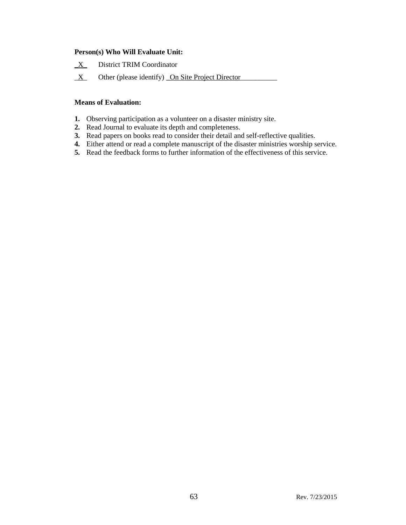## **Person(s) Who Will Evaluate Unit:**

- **\_**X\_ District TRIM Coordinator
- $\underline{X}$  Other (please identify) <u>On Site Project Director</u>

## **Means of Evaluation:**

- **1.** Observing participation as a volunteer on a disaster ministry site.
- **2.** Read Journal to evaluate its depth and completeness.
- **3.** Read papers on books read to consider their detail and self-reflective qualities.
- **4.** Either attend or read a complete manuscript of the disaster ministries worship service.
- **5.** Read the feedback forms to further information of the effectiveness of this service.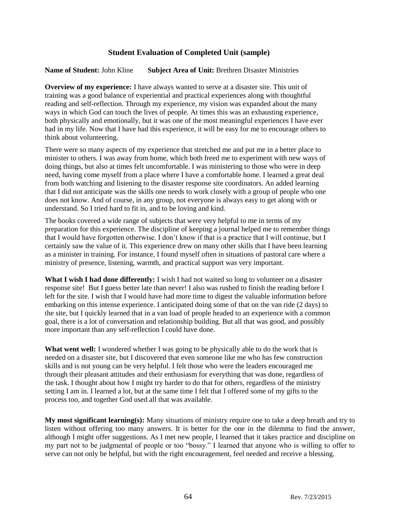## **Student Evaluation of Completed Unit (sample)**

## **Name of Student:** John Kline **Subject Area of Unit:** Brethren Disaster Ministries

**Overview of my experience:** I have always wanted to serve at a disaster site. This unit of training was a good balance of experiential and practical experiences along with thoughtful reading and self-reflection. Through my experience, my vision was expanded about the many ways in which God can touch the lives of people. At times this was an exhausting experience, both physically and emotionally, but it was one of the most meaningful experiences I have ever had in my life. Now that I have had this experience, it will be easy for me to encourage others to think about volunteering.

There were so many aspects of my experience that stretched me and put me in a better place to minister to others. I was away from home, which both freed me to experiment with new ways of doing things, but also at times felt uncomfortable. I was ministering to those who were in deep need, having come myself from a place where I have a comfortable home. I learned a great deal from both watching and listening to the disaster response site coordinators. An added learning that I did not anticipate was the skills one needs to work closely with a group of people who one does not know. And of course, in any group, not everyone is always easy to get along with or understand. So I tried hard to fit in, and to be loving and kind.

The books covered a wide range of subjects that were very helpful to me in terms of my preparation for this experience. The discipline of keeping a journal helped me to remember things that I would have forgotten otherwise. I don't know if that is a practice that I will continue, but I certainly saw the value of it. This experience drew on many other skills that I have been learning as a minister in training. For instance, I found myself often in situations of pastoral care where a ministry of presence, listening, warmth, and practical support was very important.

**What I wish I had done differently:** I wish I had not waited so long to volunteer on a disaster response site! But I guess better late than never! I also was rushed to finish the reading before I left for the site. I wish that I would have had more time to digest the valuable information before embarking on this intense experience. I anticipated doing some of that on the van ride (2 days) to the site, but I quickly learned that in a van load of people headed to an experience with a common goal, there is a lot of conversation and relationship building. But all that was good, and possibly more important than any self-reflection I could have done.

**What went well:** I wondered whether I was going to be physically able to do the work that is needed on a disaster site, but I discovered that even someone like me who has few construction skills and is not young can be very helpful. I felt those who were the leaders encouraged me through their pleasant attitudes and their enthusiasm for everything that was done, regardless of the task. I thought about how I might try harder to do that for others, regardless of the ministry setting I am in. I learned a lot, but at the same time I felt that I offered some of my gifts to the process too, and together God used all that was available.

**My most significant learning(s):** Many situations of ministry require one to take a deep breath and try to listen without offering too many answers. It is better for the one in the dilemma to find the answer, although I might offer suggestions. As I met new people, I learned that it takes practice and discipline on my part not to be judgmental of people or too "bossy." I learned that anyone who is willing to offer to serve can not only be helpful, but with the right encouragement, feel needed and receive a blessing.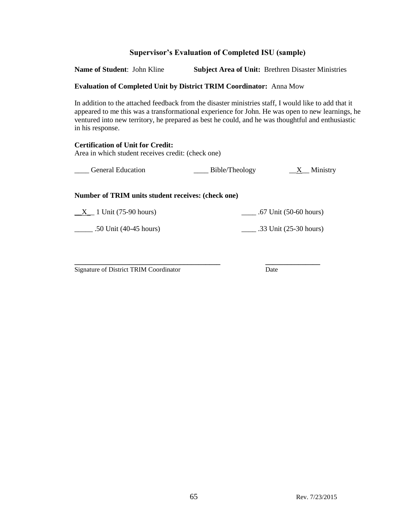## **Supervisor's Evaluation of Completed ISU (sample)**

**Name of Student**: John Kline **Subject Area of Unit:** Brethren Disaster Ministries

#### **Evaluation of Completed Unit by District TRIM Coordinator:** Anna Mow

In addition to the attached feedback from the disaster ministries staff, I would like to add that it appeared to me this was a transformational experience for John. He was open to new learnings, he ventured into new territory, he prepared as best he could, and he was thoughtful and enthusiastic in his response.

#### **Certification of Unit for Credit:** Area in which student receives credit: (check one)

| <b>General Education</b> | Bible/Theology | Ministry |
|--------------------------|----------------|----------|
|                          |                |          |

#### **Number of TRIM units student receives: (check one)**

 $\underline{X}$  1 Unit (75-90 hours)  $\underline{X}$  .67 Unit (50-60 hours)

\_\_\_\_\_ .50 Unit (40-45 hours) \_\_\_\_ .33 Unit (25-30 hours)

**\_\_\_\_\_\_\_\_\_\_\_\_\_\_\_\_\_\_\_\_\_\_\_\_\_\_\_\_\_\_\_\_\_\_\_\_\_\_\_\_ \_\_\_\_\_\_\_\_\_\_\_\_\_\_\_** Signature of District TRIM Coordinator Date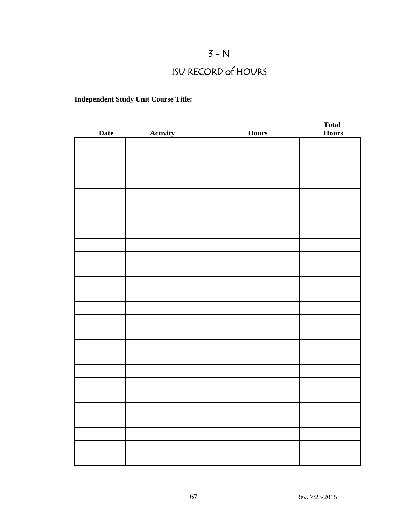# $3 - N$

# ISU RECORD of HOURS

## **Independent Study Unit Course Title:**

|             |                 |              | <b>Total</b> |
|-------------|-----------------|--------------|--------------|
| <b>Date</b> | <b>Activity</b> | <b>Hours</b> | <b>Hours</b> |
|             |                 |              |              |
|             |                 |              |              |
|             |                 |              |              |
|             |                 |              |              |
|             |                 |              |              |
|             |                 |              |              |
|             |                 |              |              |
|             |                 |              |              |
|             |                 |              |              |
|             |                 |              |              |
|             |                 |              |              |
|             |                 |              |              |
|             |                 |              |              |
|             |                 |              |              |
|             |                 |              |              |
|             |                 |              |              |
|             |                 |              |              |
|             |                 |              |              |
|             |                 |              |              |
|             |                 |              |              |
|             |                 |              |              |
|             |                 |              |              |
|             |                 |              |              |
|             |                 |              |              |
|             |                 |              |              |
|             |                 |              |              |
|             |                 |              |              |
|             |                 |              |              |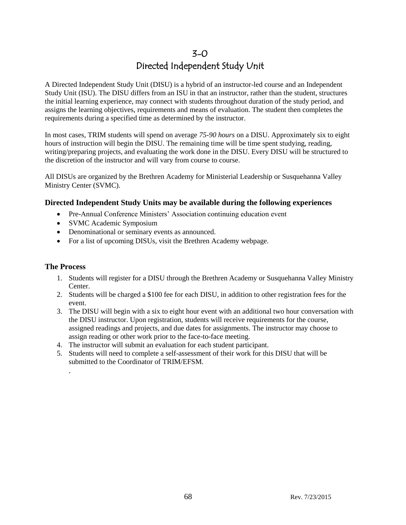## 3-0 Directed Independent Study Unit

A Directed Independent Study Unit (DISU) is a hybrid of an instructor-led course and an Independent Study Unit (ISU). The DISU differs from an ISU in that an instructor, rather than the student, structures the initial learning experience, may connect with students throughout duration of the study period, and assigns the learning objectives, requirements and means of evaluation. The student then completes the requirements during a specified time as determined by the instructor.

In most cases, TRIM students will spend on average *75-90 hours* on a DISU. Approximately six to eight hours of instruction will begin the DISU. The remaining time will be time spent studying, reading, writing/preparing projects, and evaluating the work done in the DISU. Every DISU will be structured to the discretion of the instructor and will vary from course to course.

All DISUs are organized by the Brethren Academy for Ministerial Leadership or Susquehanna Valley Ministry Center (SVMC).

## **Directed Independent Study Units may be available during the following experiences**

- Pre-Annual Conference Ministers' Association continuing education event
- SVMC Academic Symposium
- Denominational or seminary events as announced.
- For a list of upcoming DISUs, visit the Brethren Academy webpage.

## **The Process**

.

- 1. Students will register for a DISU through the Brethren Academy or Susquehanna Valley Ministry Center.
- 2. Students will be charged a \$100 fee for each DISU, in addition to other registration fees for the event.
- 3. The DISU will begin with a six to eight hour event with an additional two hour conversation with the DISU instructor. Upon registration, students will receive requirements for the course, assigned readings and projects, and due dates for assignments. The instructor may choose to assign reading or other work prior to the face-to-face meeting.
- 4. The instructor will submit an evaluation for each student participant.
- 5. Students will need to complete a self-assessment of their work for this DISU that will be submitted to the Coordinator of TRIM/EFSM.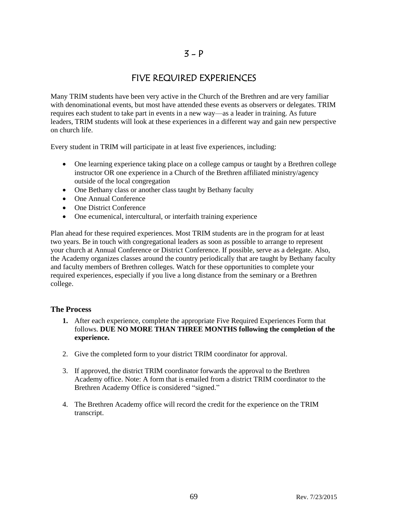## FIVE REQUIRED EXPERIENCES

Many TRIM students have been very active in the Church of the Brethren and are very familiar with denominational events, but most have attended these events as observers or delegates. TRIM requires each student to take part in events in a new way—as a leader in training. As future leaders, TRIM students will look at these experiences in a different way and gain new perspective on church life.

Every student in TRIM will participate in at least five experiences, including:

- One learning experience taking place on a college campus or taught by a Brethren college instructor OR one experience in a Church of the Brethren affiliated ministry/agency outside of the local congregation
- One Bethany class or another class taught by Bethany faculty
- One Annual Conference
- One District Conference
- One ecumenical, intercultural, or interfaith training experience

Plan ahead for these required experiences. Most TRIM students are in the program for at least two years. Be in touch with congregational leaders as soon as possible to arrange to represent your church at Annual Conference or District Conference. If possible, serve as a delegate. Also, the Academy organizes classes around the country periodically that are taught by Bethany faculty and faculty members of Brethren colleges. Watch for these opportunities to complete your required experiences, especially if you live a long distance from the seminary or a Brethren college.

## **The Process**

- **1.** After each experience, complete the appropriate Five Required Experiences Form that follows. **DUE NO MORE THAN THREE MONTHS following the completion of the experience.**
- 2. Give the completed form to your district TRIM coordinator for approval.
- 3. If approved, the district TRIM coordinator forwards the approval to the Brethren Academy office. Note: A form that is emailed from a district TRIM coordinator to the Brethren Academy Office is considered "signed."
- 4. The Brethren Academy office will record the credit for the experience on the TRIM transcript.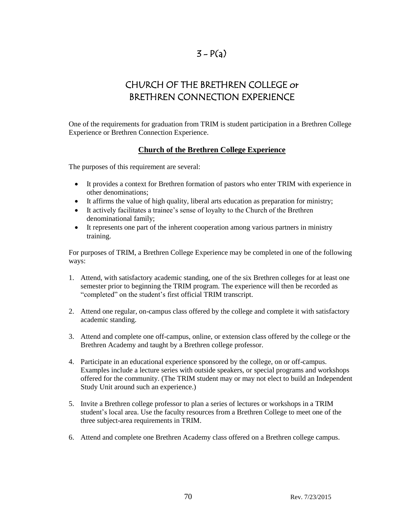## $3 - P(a)$

# CHURCH OF THE BRETHREN COLLEGE or BRETHREN CONNECTION EXPERIENCE

One of the requirements for graduation from TRIM is student participation in a Brethren College Experience or Brethren Connection Experience.

## **Church of the Brethren College Experience**

The purposes of this requirement are several:

- It provides a context for Brethren formation of pastors who enter TRIM with experience in other denominations;
- It affirms the value of high quality, liberal arts education as preparation for ministry;
- It actively facilitates a trainee's sense of loyalty to the Church of the Brethren denominational family;
- It represents one part of the inherent cooperation among various partners in ministry training.

For purposes of TRIM, a Brethren College Experience may be completed in one of the following ways:

- 1. Attend, with satisfactory academic standing, one of the six Brethren colleges for at least one semester prior to beginning the TRIM program. The experience will then be recorded as "completed" on the student's first official TRIM transcript.
- 2. Attend one regular, on-campus class offered by the college and complete it with satisfactory academic standing.
- 3. Attend and complete one off-campus, online, or extension class offered by the college or the Brethren Academy and taught by a Brethren college professor.
- 4. Participate in an educational experience sponsored by the college, on or off-campus. Examples include a lecture series with outside speakers, or special programs and workshops offered for the community. (The TRIM student may or may not elect to build an Independent Study Unit around such an experience.)
- 5. Invite a Brethren college professor to plan a series of lectures or workshops in a TRIM student's local area. Use the faculty resources from a Brethren College to meet one of the three subject-area requirements in TRIM.
- 6. Attend and complete one Brethren Academy class offered on a Brethren college campus.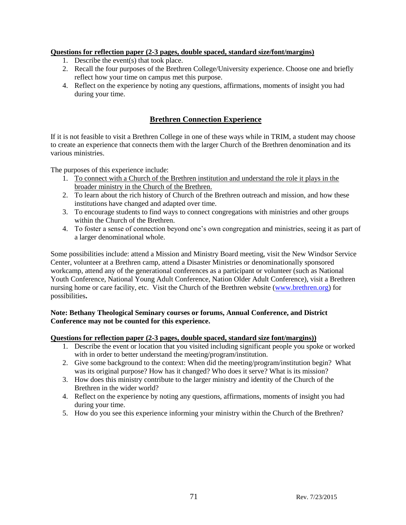## **Questions for reflection paper (2-3 pages, double spaced, standard size/font/margins)**

- 1. Describe the event(s) that took place.
- 2. Recall the four purposes of the Brethren College/University experience. Choose one and briefly reflect how your time on campus met this purpose.
- 4. Reflect on the experience by noting any questions, affirmations, moments of insight you had during your time.

## **Brethren Connection Experience**

If it is not feasible to visit a Brethren College in one of these ways while in TRIM, a student may choose to create an experience that connects them with the larger Church of the Brethren denomination and its various ministries.

The purposes of this experience include:

- 1. To connect with a Church of the Brethren institution and understand the role it plays in the broader ministry in the Church of the Brethren.
- 2. To learn about the rich history of Church of the Brethren outreach and mission, and how these institutions have changed and adapted over time.
- 3. To encourage students to find ways to connect congregations with ministries and other groups within the Church of the Brethren.
- 4. To foster a sense of connection beyond one's own congregation and ministries, seeing it as part of a larger denominational whole.

Some possibilities include: attend a Mission and Ministry Board meeting, visit the New Windsor Service Center, volunteer at a Brethren camp, attend a Disaster Ministries or denominationally sponsored workcamp, attend any of the generational conferences as a participant or volunteer (such as National Youth Conference, National Young Adult Conference, Nation Older Adult Conference), visit a Brethren nursing home or care facility, etc. Visit the Church of the Brethren website [\(www.brethren.org\)](http://www.brethren.org/) for possibilities**.** 

## **Note: Bethany Theological Seminary courses or forums, Annual Conference, and District Conference may not be counted for this experience.**

## **Questions for reflection paper (2-3 pages, double spaced, standard size font/margins))**

- 1. Describe the event or location that you visited including significant people you spoke or worked with in order to better understand the meeting/program/institution.
- 2. Give some background to the context: When did the meeting/program/institution begin? What was its original purpose? How has it changed? Who does it serve? What is its mission?
- 3. How does this ministry contribute to the larger ministry and identity of the Church of the Brethren in the wider world?
- 4. Reflect on the experience by noting any questions, affirmations, moments of insight you had during your time.
- 5. How do you see this experience informing your ministry within the Church of the Brethren?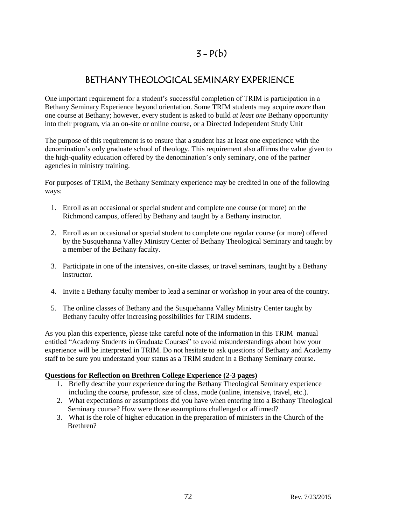## $3 - P(b)$

## BETHANY THEOLOGICAL SEMINARY EXPERIENCE

One important requirement for a student's successful completion of TRIM is participation in a Bethany Seminary Experience beyond orientation. Some TRIM students may acquire *more* than one course at Bethany; however, every student is asked to build *at least one* Bethany opportunity into their program, via an on-site or online course, or a Directed Independent Study Unit

The purpose of this requirement is to ensure that a student has at least one experience with the denomination's only graduate school of theology. This requirement also affirms the value given to the high-quality education offered by the denomination's only seminary, one of the partner agencies in ministry training.

For purposes of TRIM, the Bethany Seminary experience may be credited in one of the following ways:

- 1. Enroll as an occasional or special student and complete one course (or more) on the Richmond campus, offered by Bethany and taught by a Bethany instructor.
- 2. Enroll as an occasional or special student to complete one regular course (or more) offered by the Susquehanna Valley Ministry Center of Bethany Theological Seminary and taught by a member of the Bethany faculty.
- 3. Participate in one of the intensives, on-site classes, or travel seminars, taught by a Bethany instructor.
- 4. Invite a Bethany faculty member to lead a seminar or workshop in your area of the country.
- 5. The online classes of Bethany and the Susquehanna Valley Ministry Center taught by Bethany faculty offer increasing possibilities for TRIM students.

As you plan this experience, please take careful note of the information in this TRIM manual entitled "Academy Students in Graduate Courses" to avoid misunderstandings about how your experience will be interpreted in TRIM. Do not hesitate to ask questions of Bethany and Academy staff to be sure you understand your status as a TRIM student in a Bethany Seminary course.

## **Questions for Reflection on Brethren College Experience (2-3 pages)**

- 1. Briefly describe your experience during the Bethany Theological Seminary experience including the course, professor, size of class, mode (online, intensive, travel, etc.).
- 2. What expectations or assumptions did you have when entering into a Bethany Theological Seminary course? How were those assumptions challenged or affirmed?
- 3. What is the role of higher education in the preparation of ministers in the Church of the Brethren?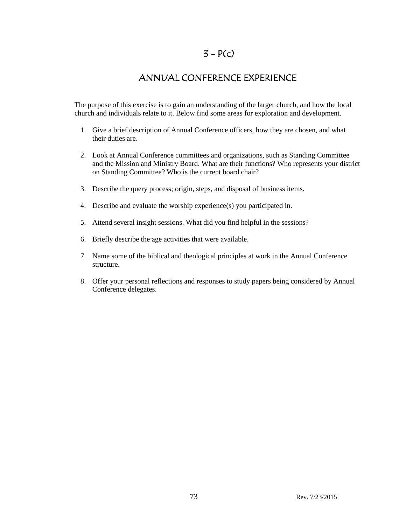### $3 - P(c)$

### ANNUAL CONFERENCE EXPERIENCE

The purpose of this exercise is to gain an understanding of the larger church, and how the local church and individuals relate to it. Below find some areas for exploration and development.

- 1. Give a brief description of Annual Conference officers, how they are chosen, and what their duties are.
- 2. Look at Annual Conference committees and organizations, such as Standing Committee and the Mission and Ministry Board. What are their functions? Who represents your district on Standing Committee? Who is the current board chair?
- 3. Describe the query process; origin, steps, and disposal of business items.
- 4. Describe and evaluate the worship experience(s) you participated in.
- 5. Attend several insight sessions. What did you find helpful in the sessions?
- 6. Briefly describe the age activities that were available.
- 7. Name some of the biblical and theological principles at work in the Annual Conference structure.
- 8. Offer your personal reflections and responses to study papers being considered by Annual Conference delegates.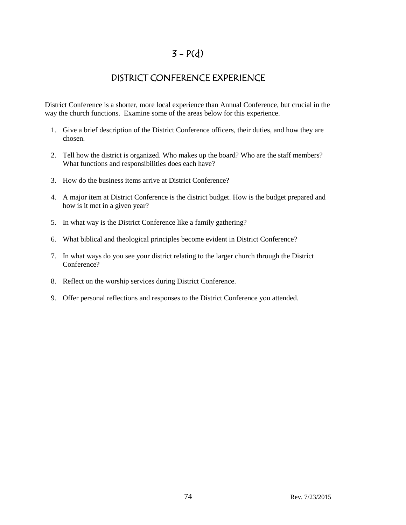## $3 - P(d)$

## DISTRICT CONFERENCE EXPERIENCE

District Conference is a shorter, more local experience than Annual Conference, but crucial in the way the church functions. Examine some of the areas below for this experience.

- 1. Give a brief description of the District Conference officers, their duties, and how they are chosen.
- 2. Tell how the district is organized. Who makes up the board? Who are the staff members? What functions and responsibilities does each have?
- 3. How do the business items arrive at District Conference?
- 4. A major item at District Conference is the district budget. How is the budget prepared and how is it met in a given year?
- 5. In what way is the District Conference like a family gathering?
- 6. What biblical and theological principles become evident in District Conference?
- 7. In what ways do you see your district relating to the larger church through the District Conference?
- 8. Reflect on the worship services during District Conference.
- 9. Offer personal reflections and responses to the District Conference you attended.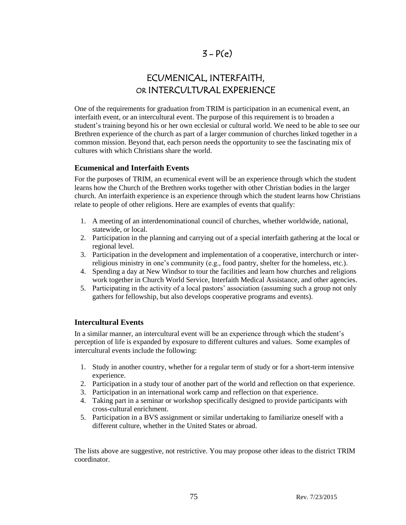# ECUMENICAL, INTERFAITH, OR INTERCULTURAL EXPERIENCE

One of the requirements for graduation from TRIM is participation in an ecumenical event, an interfaith event, or an intercultural event. The purpose of this requirement is to broaden a student's training beyond his or her own ecclesial or cultural world. We need to be able to see our Brethren experience of the church as part of a larger communion of churches linked together in a common mission. Beyond that, each person needs the opportunity to see the fascinating mix of cultures with which Christians share the world.

### **Ecumenical and Interfaith Events**

For the purposes of TRIM, an ecumenical event will be an experience through which the student learns how the Church of the Brethren works together with other Christian bodies in the larger church. An interfaith experience is an experience through which the student learns how Christians relate to people of other religions. Here are examples of events that qualify:

- 1. A meeting of an interdenominational council of churches, whether worldwide, national, statewide, or local.
- 2. Participation in the planning and carrying out of a special interfaith gathering at the local or regional level.
- 3. Participation in the development and implementation of a cooperative, interchurch or interreligious ministry in one's community (e.g., food pantry, shelter for the homeless, etc.).
- 4. Spending a day at New Windsor to tour the facilities and learn how churches and religions work together in Church World Service, Interfaith Medical Assistance, and other agencies.
- 5. Participating in the activity of a local pastors' association (assuming such a group not only gathers for fellowship, but also develops cooperative programs and events).

#### **Intercultural Events**

In a similar manner, an intercultural event will be an experience through which the student's perception of life is expanded by exposure to different cultures and values. Some examples of intercultural events include the following:

- 1. Study in another country, whether for a regular term of study or for a short-term intensive experience.
- 2. Participation in a study tour of another part of the world and reflection on that experience.
- 3. Participation in an international work camp and reflection on that experience.
- 4. Taking part in a seminar or workshop specifically designed to provide participants with cross-cultural enrichment.
- 5. Participation in a BVS assignment or similar undertaking to familiarize oneself with a different culture, whether in the United States or abroad.

The lists above are suggestive, not restrictive. You may propose other ideas to the district TRIM coordinator.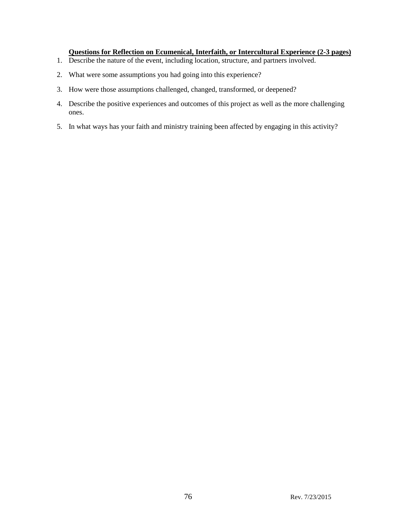#### **Questions for Reflection on Ecumenical, Interfaith, or Intercultural Experience (2-3 pages)**

- 1. Describe the nature of the event, including location, structure, and partners involved.
- 2. What were some assumptions you had going into this experience?
- 3. How were those assumptions challenged, changed, transformed, or deepened?
- 4. Describe the positive experiences and outcomes of this project as well as the more challenging ones.
- 5. In what ways has your faith and ministry training been affected by engaging in this activity?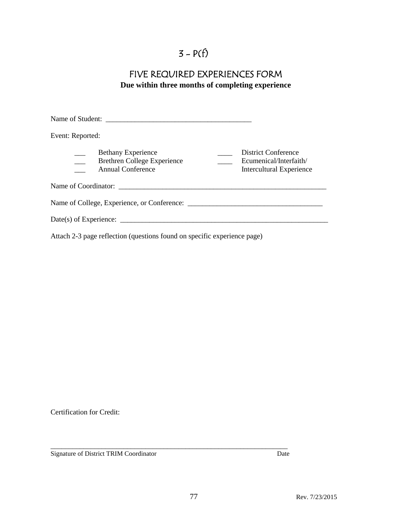# $3 - P(f)$

## FIVE REQUIRED EXPERIENCES FORM **Due within three months of completing experience**

| Event: Reported:                                                                            |                                                                           |
|---------------------------------------------------------------------------------------------|---------------------------------------------------------------------------|
| <b>Bethany Experience</b><br><b>Brethren College Experience</b><br><b>Annual Conference</b> | District Conference<br>Ecumenical/Interfaith/<br>Intercultural Experience |
|                                                                                             |                                                                           |
|                                                                                             |                                                                           |
|                                                                                             |                                                                           |
|                                                                                             |                                                                           |

Attach 2-3 page reflection (questions found on specific experience page)

Certification for Credit:

Signature of District TRIM Coordinator Date

\_\_\_\_\_\_\_\_\_\_\_\_\_\_\_\_\_\_\_\_\_\_\_\_\_\_\_\_\_\_\_\_\_\_\_\_\_\_\_\_\_\_\_\_\_\_\_\_\_\_\_\_\_\_\_\_\_\_\_\_\_\_\_\_\_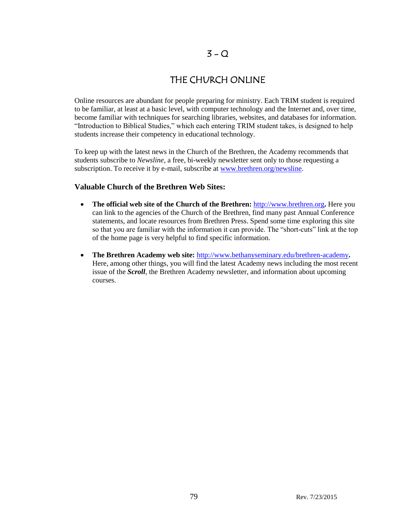### $3 - Q$

## THE CHURCH ONLINE

Online resources are abundant for people preparing for ministry. Each TRIM student is required to be familiar, at least at a basic level, with computer technology and the Internet and, over time, become familiar with techniques for searching libraries, websites, and databases for information. "Introduction to Biblical Studies," which each entering TRIM student takes, is designed to help students increase their competency in educational technology.

To keep up with the latest news in the Church of the Brethren, the Academy recommends that students subscribe to *Newsline*, a free, bi-weekly newsletter sent only to those requesting a subscription. To receive it by e-mail, subscribe at [www.brethren.org/newsline.](http://www.brethren.org/newsline)

### **Valuable Church of the Brethren Web Sites:**

- **The official web site of the Church of the Brethren:** [http://www.brethren.org](http://www.brethren.org/)**.** Here you can link to the agencies of the Church of the Brethren, find many past Annual Conference statements, and locate resources from Brethren Press. Spend some time exploring this site so that you are familiar with the information it can provide. The "short-cuts" link at the top of the home page is very helpful to find specific information.
- **The Brethren Academy web site:** [http://www.bethanyseminary.edu/brethren-academy](http://www.bethanyseminary.edu/academy.htm)**.**  Here, among other things, you will find the latest Academy news including the most recent issue of the *Scroll*, the Brethren Academy newsletter, and information about upcoming courses.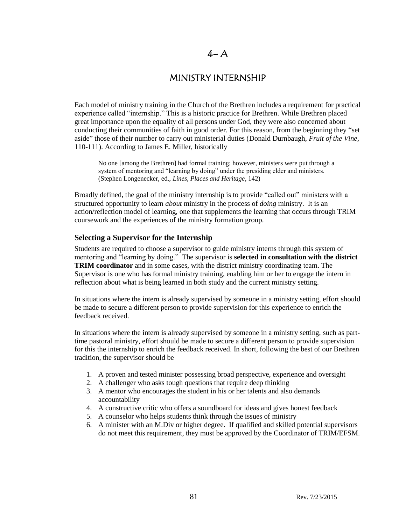### $4- A$

### MINISTRY INTERNSHIP

Each model of ministry training in the Church of the Brethren includes a requirement for practical experience called "internship." This is a historic practice for Brethren. While Brethren placed great importance upon the equality of all persons under God, they were also concerned about conducting their communities of faith in good order. For this reason, from the beginning they "set aside" those of their number to carry out ministerial duties (Donald Durnbaugh, *Fruit of the Vine*, 110-111). According to James E. Miller, historically

No one [among the Brethren] had formal training; however, ministers were put through a system of mentoring and "learning by doing" under the presiding elder and ministers. (Stephen Longenecker, ed., *Lines, Places and Heritage*, 142)

Broadly defined, the goal of the ministry internship is to provide "called out" ministers with a structured opportunity to learn *about* ministry in the process of *doing* ministry. It is an action/reflection model of learning, one that supplements the learning that occurs through TRIM coursework and the experiences of the ministry formation group.

#### **Selecting a Supervisor for the Internship**

Students are required to choose a supervisor to guide ministry interns through this system of mentoring and "learning by doing." The supervisor is **selected in consultation with the district TRIM coordinator** and in some cases, with the district ministry coordinating team. The Supervisor is one who has formal ministry training, enabling him or her to engage the intern in reflection about what is being learned in both study and the current ministry setting.

In situations where the intern is already supervised by someone in a ministry setting, effort should be made to secure a different person to provide supervision for this experience to enrich the feedback received.

In situations where the intern is already supervised by someone in a ministry setting, such as parttime pastoral ministry, effort should be made to secure a different person to provide supervision for this the internship to enrich the feedback received. In short, following the best of our Brethren tradition, the supervisor should be

- 1. A proven and tested minister possessing broad perspective, experience and oversight
- 2. A challenger who asks tough questions that require deep thinking
- 3. A mentor who encourages the student in his or her talents and also demands accountability
- 4. A constructive critic who offers a soundboard for ideas and gives honest feedback
- 5. A counselor who helps students think through the issues of ministry
- 6. A minister with an M.Div or higher degree. If qualified and skilled potential supervisors do not meet this requirement, they must be approved by the Coordinator of TRIM/EFSM.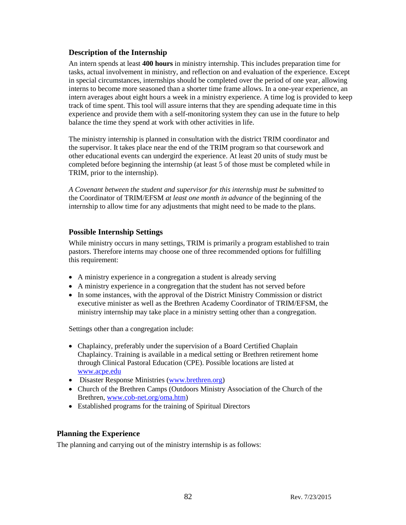### **Description of the Internship**

An intern spends at least **400 hours** in ministry internship. This includes preparation time for tasks, actual involvement in ministry, and reflection on and evaluation of the experience. Except in special circumstances, internships should be completed over the period of one year, allowing interns to become more seasoned than a shorter time frame allows. In a one-year experience, an intern averages about eight hours a week in a ministry experience. A time log is provided to keep track of time spent. This tool will assure interns that they are spending adequate time in this experience and provide them with a self-monitoring system they can use in the future to help balance the time they spend at work with other activities in life.

The ministry internship is planned in consultation with the district TRIM coordinator and the supervisor. It takes place near the end of the TRIM program so that coursework and other educational events can undergird the experience. At least 20 units of study must be completed before beginning the internship (at least 5 of those must be completed while in TRIM, prior to the internship).

*A Covenant between the student and supervisor for this internship must be submitted* to the Coordinator of TRIM/EFSM *at least one month in advance* of the beginning of the internship to allow time for any adjustments that might need to be made to the plans.

### **Possible Internship Settings**

While ministry occurs in many settings, TRIM is primarily a program established to train pastors. Therefore interns may choose one of three recommended options for fulfilling this requirement:

- A ministry experience in a congregation a student is already serving
- A ministry experience in a congregation that the student has not served before
- In some instances, with the approval of the District Ministry Commission or district executive minister as well as the Brethren Academy Coordinator of TRIM/EFSM, the ministry internship may take place in a ministry setting other than a congregation.

Settings other than a congregation include:

- Chaplaincy, preferably under the supervision of a Board Certified Chaplain Chaplaincy. Training is available in a medical setting or Brethren retirement home through Clinical Pastoral Education (CPE). Possible locations are listed at [www.acpe.edu](http://www.acpe.edu/)
- Disaster Response Ministries [\(www.brethren.org\)](http://www.brethren.org/)
- Church of the Brethren Camps (Outdoors Ministry Association of the Church of the Brethren, [www.cob-net.org/oma.htm\)](http://www.cob-net.org/oma.htm)
- Established programs for the training of Spiritual Directors

### **Planning the Experience**

The planning and carrying out of the ministry internship is as follows: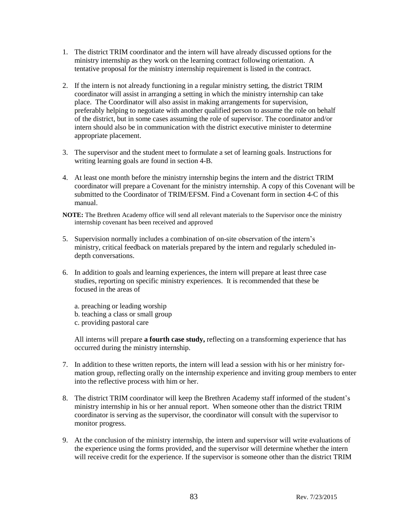- 1. The district TRIM coordinator and the intern will have already discussed options for the ministry internship as they work on the learning contract following orientation. A tentative proposal for the ministry internship requirement is listed in the contract.
- 2. If the intern is not already functioning in a regular ministry setting, the district TRIM coordinator will assist in arranging a setting in which the ministry internship can take place. The Coordinator will also assist in making arrangements for supervision, preferably helping to negotiate with another qualified person to assume the role on behalf of the district, but in some cases assuming the role of supervisor. The coordinator and/or intern should also be in communication with the district executive minister to determine appropriate placement.
- 3. The supervisor and the student meet to formulate a set of learning goals. Instructions for writing learning goals are found in section 4-B.
- 4. At least one month before the ministry internship begins the intern and the district TRIM coordinator will prepare a Covenant for the ministry internship. A copy of this Covenant will be submitted to the Coordinator of TRIM/EFSM. Find a Covenant form in section 4-C of this manual.
- **NOTE:** The Brethren Academy office will send all relevant materials to the Supervisor once the ministry internship covenant has been received and approved
- 5. Supervision normally includes a combination of on-site observation of the intern's ministry, critical feedback on materials prepared by the intern and regularly scheduled indepth conversations.
- 6. In addition to goals and learning experiences, the intern will prepare at least three case studies, reporting on specific ministry experiences. It is recommended that these be focused in the areas of
	- a. preaching or leading worship
	- b. teaching a class or small group
	- c. providing pastoral care

All interns will prepare **a fourth case study,** reflecting on a transforming experience that has occurred during the ministry internship.

- 7. In addition to these written reports, the intern will lead a session with his or her ministry formation group, reflecting orally on the internship experience and inviting group members to enter into the reflective process with him or her.
- 8. The district TRIM coordinator will keep the Brethren Academy staff informed of the student's ministry internship in his or her annual report. When someone other than the district TRIM coordinator is serving as the supervisor, the coordinator will consult with the supervisor to monitor progress.
- 9. At the conclusion of the ministry internship, the intern and supervisor will write evaluations of the experience using the forms provided, and the supervisor will determine whether the intern will receive credit for the experience. If the supervisor is someone other than the district TRIM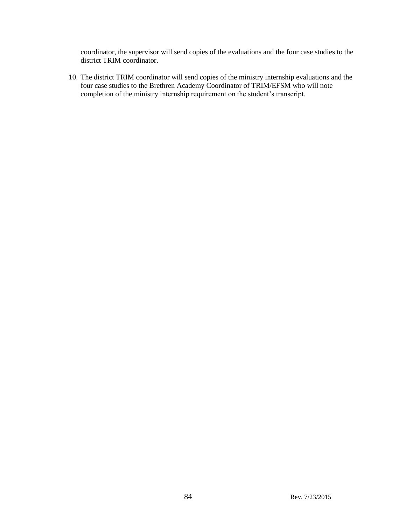coordinator, the supervisor will send copies of the evaluations and the four case studies to the district TRIM coordinator.

10. The district TRIM coordinator will send copies of the ministry internship evaluations and the four case studies to the Brethren Academy Coordinator of TRIM/EFSM who will note completion of the ministry internship requirement on the student's transcript.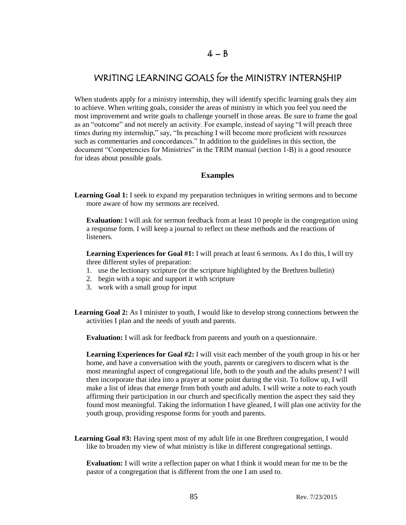### $4 - B$

# WRITING LEARNING GOALS for the MINISTRY INTERNSHIP

When students apply for a ministry internship, they will identify specific learning goals they aim to achieve. When writing goals, consider the areas of ministry in which you feel you need the most improvement and write goals to challenge yourself in those areas. Be sure to frame the goal as an "outcome" and not merely an activity. For example, instead of saying "I will preach three times during my internship," say, "In preaching I will become more proficient with resources such as commentaries and concordances." In addition to the guidelines in this section, the document "Competencies for Ministries" in the TRIM manual (section 1-B) is a good resource for ideas about possible goals.

#### **Examples**

**Learning Goal 1:** I seek to expand my preparation techniques in writing sermons and to become more aware of how my sermons are received.

**Evaluation:** I will ask for sermon feedback from at least 10 people in the congregation using a response form. I will keep a journal to reflect on these methods and the reactions of listeners.

**Learning Experiences for Goal #1:** I will preach at least 6 sermons. As I do this, I will try three different styles of preparation:

- 1. use the lectionary scripture (or the scripture highlighted by the Brethren bulletin)
- 2. begin with a topic and support it with scripture
- 3. work with a small group for input
- **Learning Goal 2:** As I minister to youth, I would like to develop strong connections between the activities I plan and the needs of youth and parents.

**Evaluation:** I will ask for feedback from parents and youth on a questionnaire.

**Learning Experiences for Goal #2:** I will visit each member of the youth group in his or her home, and have a conversation with the youth, parents or caregivers to discern what is the most meaningful aspect of congregational life, both to the youth and the adults present? I will then incorporate that idea into a prayer at some point during the visit. To follow up, I will make a list of ideas that emerge from both youth and adults. I will write a note to each youth affirming their participation in our church and specifically mention the aspect they said they found most meaningful. Taking the information I have gleaned, I will plan one activity for the youth group, providing response forms for youth and parents.

**Learning Goal #3:** Having spent most of my adult life in one Brethren congregation, I would like to broaden my view of what ministry is like in different congregational settings.

**Evaluation:** I will write a reflection paper on what I think it would mean for me to be the pastor of a congregation that is different from the one I am used to.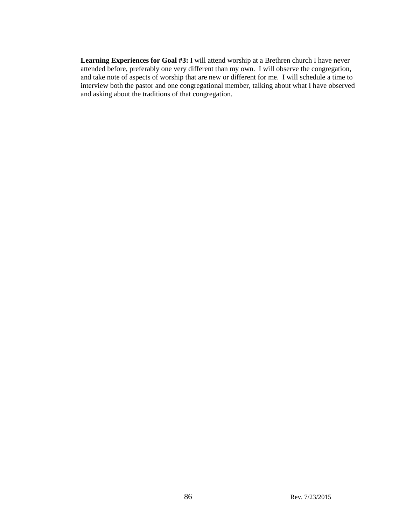**Learning Experiences for Goal #3:** I will attend worship at a Brethren church I have never attended before, preferably one very different than my own. I will observe the congregation, and take note of aspects of worship that are new or different for me. I will schedule a time to interview both the pastor and one congregational member, talking about what I have observed and asking about the traditions of that congregation.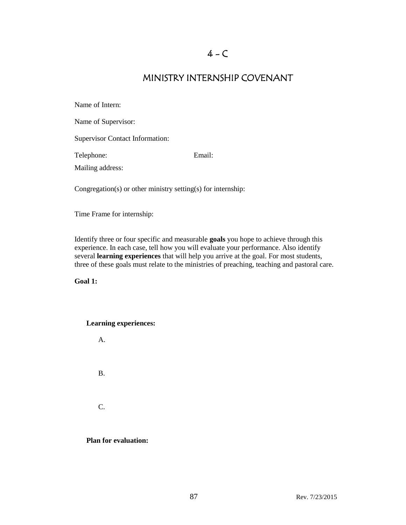## MINISTRY INTERNSHIP COVENANT

| Name of Intern:                        |                                                              |
|----------------------------------------|--------------------------------------------------------------|
| Name of Supervisor:                    |                                                              |
| <b>Supervisor Contact Information:</b> |                                                              |
| Telephone:                             | Email:                                                       |
| Mailing address:                       |                                                              |
|                                        | Congregation(s) or other ministry setting(s) for internship: |

Time Frame for internship:

Identify three or four specific and measurable **goals** you hope to achieve through this experience. In each case, tell how you will evaluate your performance. Also identify several **learning experiences** that will help you arrive at the goal. For most students, three of these goals must relate to the ministries of preaching, teaching and pastoral care.

**Goal 1:**

#### **Learning experiences:**



**Plan for evaluation:**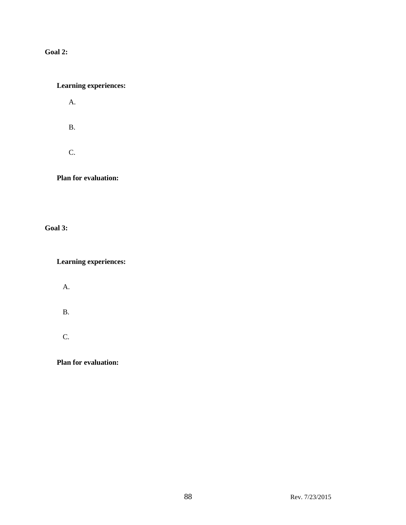### **Goal 2:**

### **Learning experiences:**

A.

B.

C.

**Plan for evaluation:**

**Goal 3:**

**Learning experiences:**

A.

B.

C.

**Plan for evaluation:**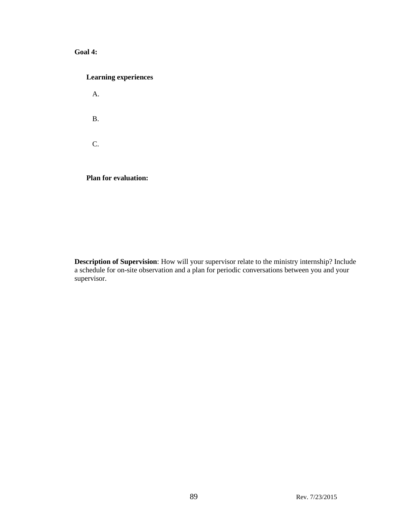### **Goal 4:**

| <b>Learning experiences</b> |
|-----------------------------|
| $\mathsf{A}$ .              |
| Β.                          |
| $\mathsf{C}$ .              |
| <b>Plan for evaluation:</b> |

**Description of Supervision**: How will your supervisor relate to the ministry internship? Include a schedule for on-site observation and a plan for periodic conversations between you and your supervisor.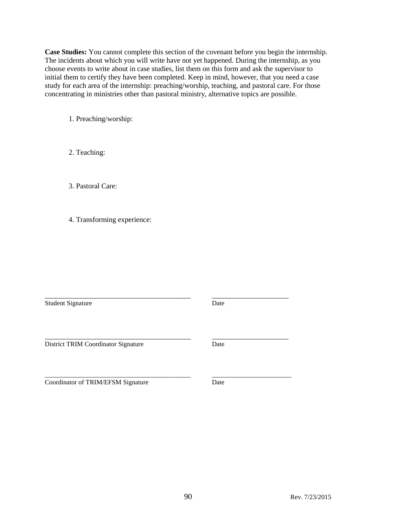**Case Studies:** You cannot complete this section of the covenant before you begin the internship. The incidents about which you will write have not yet happened. During the internship, as you choose events to write about in case studies, list them on this form and ask the supervisor to initial them to certify they have been completed. Keep in mind, however, that you need a case study for each area of the internship: preaching/worship, teaching, and pastoral care. For those concentrating in ministries other than pastoral ministry, alternative topics are possible.

1. Preaching/worship:

2. Teaching:

3. Pastoral Care:

4. Transforming experience:

Student Signature Date

\_\_\_\_\_\_\_\_\_\_\_\_\_\_\_\_\_\_\_\_\_\_\_\_\_\_\_\_\_\_\_\_\_\_\_\_\_\_\_\_ \_\_\_\_\_\_\_\_\_\_\_\_\_\_\_\_\_\_\_\_\_

District TRIM Coordinator Signature Date

\_\_\_\_\_\_\_\_\_\_\_\_\_\_\_\_\_\_\_\_\_\_\_\_\_\_\_\_\_\_\_\_\_\_\_\_\_\_\_\_ \_\_\_\_\_\_\_\_\_\_\_\_\_\_\_\_\_\_\_\_\_

Coordinator of TRIM/EFSM Signature Date

\_\_\_\_\_\_\_\_\_\_\_\_\_\_\_\_\_\_\_\_\_\_\_\_\_\_\_\_\_\_\_\_\_\_\_\_\_\_\_\_\_\_\_\_ \_\_\_\_\_\_\_\_\_\_\_\_\_\_\_\_\_\_\_\_\_\_\_\_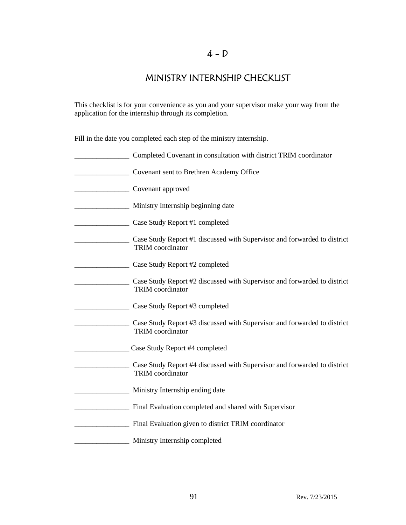## MINISTRY INTERNSHIP CHECKLIST

This checklist is for your convenience as you and your supervisor make your way from the application for the internship through its completion.

Fill in the date you completed each step of the ministry internship.

| Completed Covenant in consultation with district TRIM coordinator                                   |
|-----------------------------------------------------------------------------------------------------|
| Covenant sent to Brethren Academy Office                                                            |
| Covenant approved                                                                                   |
| Ministry Internship beginning date                                                                  |
| Case Study Report #1 completed                                                                      |
| Case Study Report #1 discussed with Supervisor and forwarded to district<br><b>TRIM</b> coordinator |
| Case Study Report #2 completed                                                                      |
| Case Study Report #2 discussed with Supervisor and forwarded to district<br><b>TRIM</b> coordinator |
| Case Study Report #3 completed                                                                      |
| Case Study Report #3 discussed with Supervisor and forwarded to district<br><b>TRIM</b> coordinator |
| Case Study Report #4 completed                                                                      |
| Case Study Report #4 discussed with Supervisor and forwarded to district<br><b>TRIM</b> coordinator |
| Ministry Internship ending date                                                                     |
| Final Evaluation completed and shared with Supervisor                                               |
| Final Evaluation given to district TRIM coordinator                                                 |
| Ministry Internship completed                                                                       |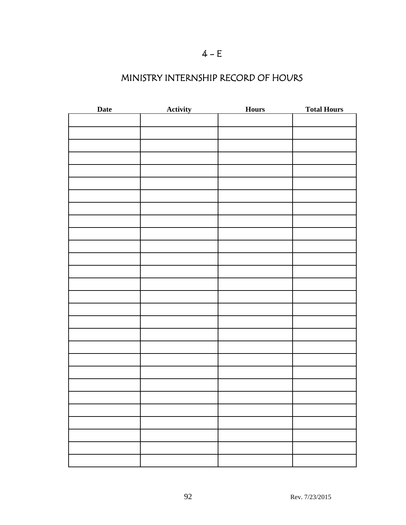# $4 - E$

# MINISTRY INTERNSHIP RECORD OF HOURS

| Date | <b>Activity</b> | <b>Hours</b> | <b>Total Hours</b> |
|------|-----------------|--------------|--------------------|
|      |                 |              |                    |
|      |                 |              |                    |
|      |                 |              |                    |
|      |                 |              |                    |
|      |                 |              |                    |
|      |                 |              |                    |
|      |                 |              |                    |
|      |                 |              |                    |
|      |                 |              |                    |
|      |                 |              |                    |
|      |                 |              |                    |
|      |                 |              |                    |
|      |                 |              |                    |
|      |                 |              |                    |
|      |                 |              |                    |
|      |                 |              |                    |
|      |                 |              |                    |
|      |                 |              |                    |
|      |                 |              |                    |
|      |                 |              |                    |
|      |                 |              |                    |
|      |                 |              |                    |
|      |                 |              |                    |
|      |                 |              |                    |
|      |                 |              |                    |
|      |                 |              |                    |
|      |                 |              |                    |
|      |                 |              |                    |
|      |                 |              |                    |
|      |                 |              |                    |
|      |                 |              |                    |
|      |                 |              |                    |
|      |                 |              |                    |
|      |                 |              |                    |
|      |                 |              |                    |
|      |                 |              |                    |
|      |                 |              |                    |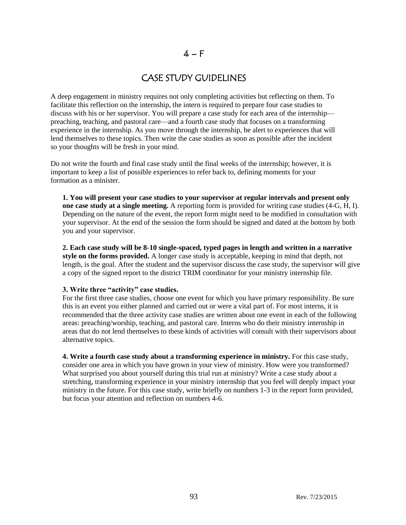### $4-F$

### CASE STUDY GUIDELINES

A deep engagement in ministry requires not only completing activities but reflecting on them. To facilitate this reflection on the internship, the intern is required to prepare four case studies to discuss with his or her supervisor. You will prepare a case study for each area of the internship preaching, teaching, and pastoral care—and a fourth case study that focuses on a transforming experience in the internship. As you move through the internship, be alert to experiences that will lend themselves to these topics. Then write the case studies as soon as possible after the incident so your thoughts will be fresh in your mind.

Do not write the fourth and final case study until the final weeks of the internship; however, it is important to keep a list of possible experiences to refer back to, defining moments for your formation as a minister.

**1. You will present your case studies to your supervisor at regular intervals and present only one case study at a single meeting.** A reporting form is provided for writing case studies (4-G, H, I). Depending on the nature of the event, the report form might need to be modified in consultation with your supervisor. At the end of the session the form should be signed and dated at the bottom by both you and your supervisor.

**2. Each case study will be 8-10 single-spaced, typed pages in length and written in a narrative style on the forms provided.** A longer case study is acceptable, keeping in mind that depth, not length, is the goal. After the student and the supervisor discuss the case study, the supervisor will give a copy of the signed report to the district TRIM coordinator for your ministry internship file.

#### **3. Write three "activity" case studies.**

For the first three case studies, choose one event for which you have primary responsibility. Be sure this is an event you either planned and carried out or were a vital part of. For most interns, it is recommended that the three activity case studies are written about one event in each of the following areas: preaching/worship, teaching, and pastoral care. Interns who do their ministry internship in areas that do not lend themselves to these kinds of activities will consult with their supervisors about alternative topics.

**4. Write a fourth case study about a transforming experience in ministry.** For this case study, consider one area in which you have grown in your view of ministry. How were you transformed? What surprised you about yourself during this trial run at ministry? Write a case study about a stretching, transforming experience in your ministry internship that you feel will deeply impact your ministry in the future. For this case study, write briefly on numbers 1-3 in the report form provided, but focus your attention and reflection on numbers 4-6.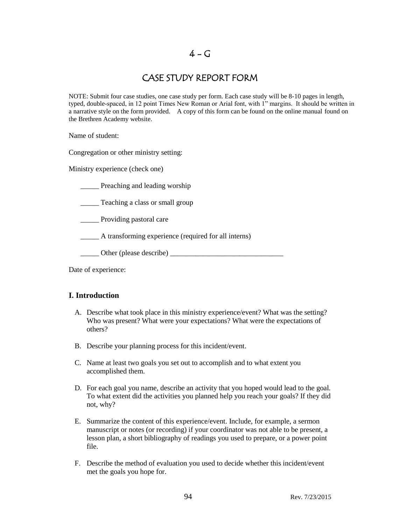### $4 - G$

## CASE STUDY REPORT FORM

NOTE: Submit four case studies, one case study per form. Each case study will be 8-10 pages in length, typed, double-spaced, in 12 point Times New Roman or Arial font, with 1" margins. It should be written in a narrative style on the form provided. A copy of this form can be found on the online manual found on the Brethren Academy website.

Name of student:

Congregation or other ministry setting:

Ministry experience (check one)

**EXECUTE:** Preaching and leading worship

\_\_\_\_\_ Teaching a class or small group

\_\_\_\_\_ Providing pastoral care

\_\_\_\_\_ A transforming experience (required for all interns)

\_\_\_\_\_ Other (please describe) \_\_\_\_\_\_\_\_\_\_\_\_\_\_\_\_\_\_\_\_\_\_\_\_\_\_\_\_\_\_\_

Date of experience:

### **I. Introduction**

- A. Describe what took place in this ministry experience/event? What was the setting? Who was present? What were your expectations? What were the expectations of others?
- B. Describe your planning process for this incident/event.
- C. Name at least two goals you set out to accomplish and to what extent you accomplished them.
- D. For each goal you name, describe an activity that you hoped would lead to the goal. To what extent did the activities you planned help you reach your goals? If they did not, why?
- E. Summarize the content of this experience/event. Include, for example, a sermon manuscript or notes (or recording) if your coordinator was not able to be present, a lesson plan, a short bibliography of readings you used to prepare, or a power point file.
- F. Describe the method of evaluation you used to decide whether this incident/event met the goals you hope for.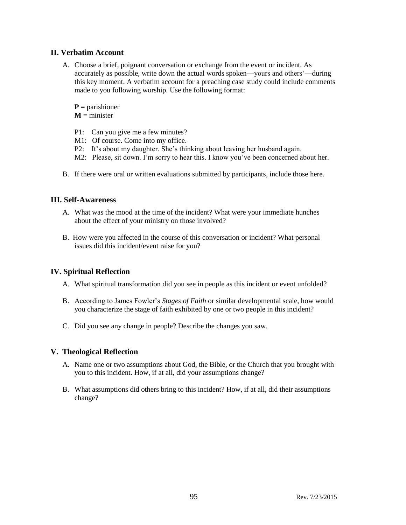### **II. Verbatim Account**

A. Choose a brief, poignant conversation or exchange from the event or incident. As accurately as possible, write down the actual words spoken—yours and others'—during this key moment. A verbatim account for a preaching case study could include comments made to you following worship. Use the following format:

**P =** parishioner

 $M =$  minister

- P1: Can you give me a few minutes?
- M1: Of course. Come into my office.
- P2: It's about my daughter. She's thinking about leaving her husband again.
- M2: Please, sit down. I'm sorry to hear this. I know you've been concerned about her.
- B. If there were oral or written evaluations submitted by participants, include those here.

### **III. Self-Awareness**

- A. What was the mood at the time of the incident? What were your immediate hunches about the effect of your ministry on those involved?
- B. How were you affected in the course of this conversation or incident? What personal issues did this incident/event raise for you?

### **IV. Spiritual Reflection**

- A. What spiritual transformation did you see in people as this incident or event unfolded?
- B. According to James Fowler's *Stages of Faith* or similar developmental scale, how would you characterize the stage of faith exhibited by one or two people in this incident?
- C. Did you see any change in people? Describe the changes you saw.

### **V. Theological Reflection**

- A. Name one or two assumptions about God, the Bible, or the Church that you brought with you to this incident. How, if at all, did your assumptions change?
- B. What assumptions did others bring to this incident? How, if at all, did their assumptions change?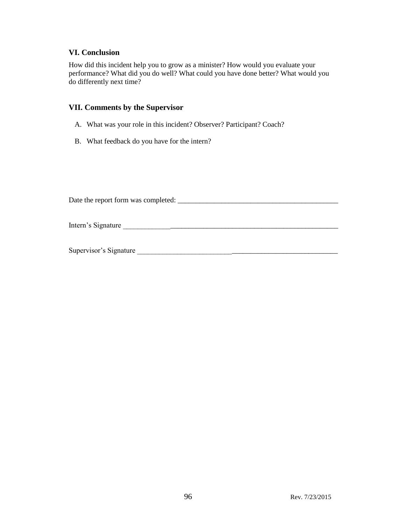#### **VI. Conclusion**

How did this incident help you to grow as a minister? How would you evaluate your performance? What did you do well? What could you have done better? What would you do differently next time?

#### **VII. Comments by the Supervisor**

- A. What was your role in this incident? Observer? Participant? Coach?
- B. What feedback do you have for the intern?

Date the report form was completed: \_\_\_\_\_\_\_\_\_\_\_\_\_\_\_\_\_\_\_\_\_\_\_\_\_\_\_\_\_\_\_\_\_\_\_\_\_\_\_\_\_\_\_\_

Intern's Signature \_\_\_\_\_\_\_\_\_\_\_\_\_\_\_\_\_\_\_\_\_\_\_\_\_\_\_\_\_\_\_\_\_\_\_\_\_\_\_\_\_\_\_\_\_\_\_\_\_\_\_\_\_\_\_\_\_\_\_

Supervisor's Signature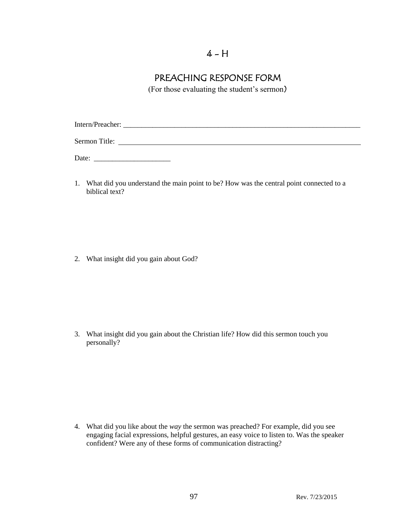# $4 - H$

# PREACHING RESPONSE FORM

(For those evaluating the student's sermon)

Intern/Preacher: \_\_\_\_\_\_\_\_\_\_\_\_\_\_\_\_\_\_\_\_\_\_\_\_\_\_\_\_\_\_\_\_\_\_\_\_\_\_\_\_\_\_\_\_\_\_\_\_\_\_\_\_\_\_\_\_\_\_\_\_\_\_\_\_\_ Sermon Title:

Date: \_\_\_\_\_\_\_\_\_\_\_\_\_\_\_\_\_\_\_\_\_

1. What did you understand the main point to be? How was the central point connected to a biblical text?

2. What insight did you gain about God?

3. What insight did you gain about the Christian life? How did this sermon touch you personally?

4. What did you like about the *way* the sermon was preached? For example, did you see engaging facial expressions, helpful gestures, an easy voice to listen to. Was the speaker confident? Were any of these forms of communication distracting?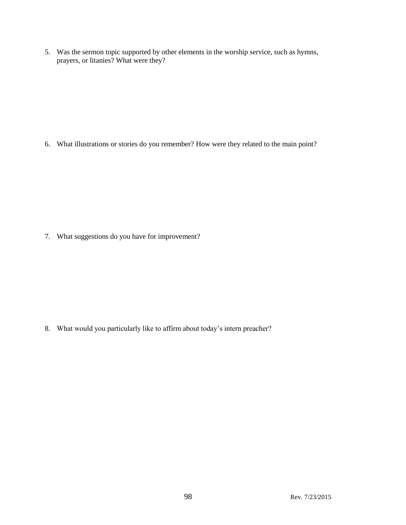5. Was the sermon topic supported by other elements in the worship service, such as hymns, prayers, or litanies? What were they?

6. What illustrations or stories do you remember? How were they related to the main point?

7. What suggestions do you have for improvement?

8. What would you particularly like to affirm about today's intern preacher?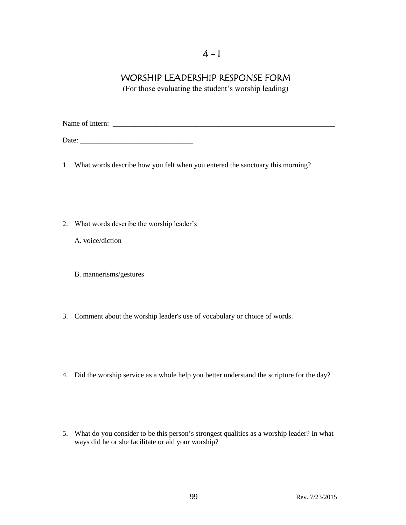## $4 - 1$

## WORSHIP LEADERSHIP RESPONSE FORM

(For those evaluating the student's worship leading)

Name of Intern: \_\_\_\_\_\_\_\_\_\_\_\_\_\_\_\_\_\_\_\_\_\_\_\_\_\_\_\_\_\_\_\_\_\_\_\_\_\_\_\_\_\_\_\_\_\_\_\_\_\_\_\_\_\_\_\_\_\_\_\_\_

Date: \_\_\_\_\_\_\_\_\_\_\_\_\_\_\_\_\_\_\_\_\_\_\_\_\_\_\_\_\_\_\_

- 1. What words describe how you felt when you entered the sanctuary this morning?
- 2. What words describe the worship leader's
	- A. voice/diction
	- B. mannerisms/gestures
- 3. Comment about the worship leader's use of vocabulary or choice of words.
- 4. Did the worship service as a whole help you better understand the scripture for the day?
- 5. What do you consider to be this person's strongest qualities as a worship leader? In what ways did he or she facilitate or aid your worship?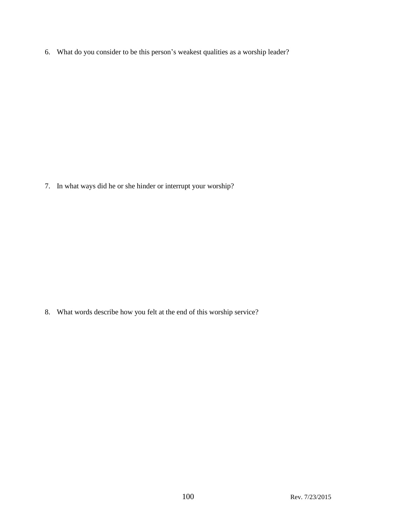6. What do you consider to be this person's weakest qualities as a worship leader?

7. In what ways did he or she hinder or interrupt your worship?

8. What words describe how you felt at the end of this worship service?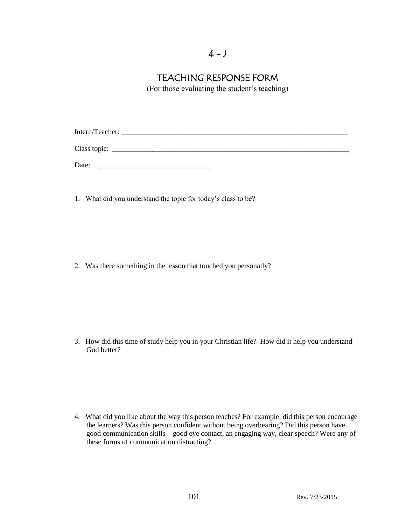## $4 - J$

## TEACHING RESPONSE FORM

(For those evaluating the student's teaching)

Intern/Teacher: Class topic: \_\_\_\_\_\_\_\_\_\_\_\_\_\_\_\_\_\_\_\_\_\_\_\_\_\_\_\_\_\_\_\_\_\_\_\_\_\_\_\_\_\_\_\_\_\_\_\_\_\_\_\_\_\_\_\_\_\_\_\_\_\_\_\_\_

Date:

1. What did you understand the topic for today's class to be?

2. Was there something in the lesson that touched you personally?

3. How did this time of study help you in your Christian life? How did it help you understand God better?

4. What did you like about the way this person teaches? For example, did this person encourage the learners? Was this person confident without being overbearing? Did this person have good communication skills—good eye contact, an engaging way, clear speech? Were any of these forms of communication distracting?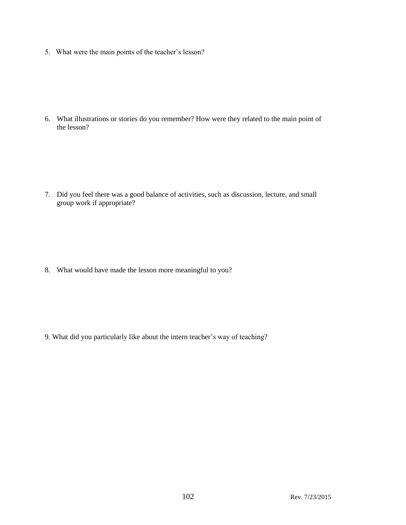5. What were the main points of the teacher's lesson?

6. What illustrations or stories do you remember? How were they related to the main point of the lesson?

7. Did you feel there was a good balance of activities, such as discussion, lecture, and small group work if appropriate?

8. What would have made the lesson more meaningful to you?

9. What did you particularly like about the intern teacher's way of teaching?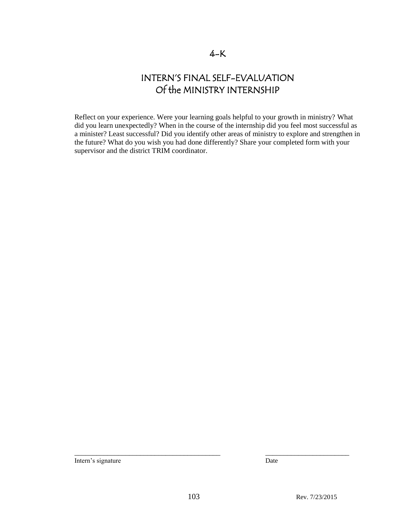## 4-K

# INTERN'S FINAL SELF-EVALUATION Of the MINISTRY INTERNSHIP

Reflect on your experience. Were your learning goals helpful to your growth in ministry? What did you learn unexpectedly? When in the course of the internship did you feel most successful as a minister? Least successful? Did you identify other areas of ministry to explore and strengthen in the future? What do you wish you had done differently? Share your completed form with your supervisor and the district TRIM coordinator.

Intern's signature Date

\_\_\_\_\_\_\_\_\_\_\_\_\_\_\_\_\_\_\_\_\_\_\_\_\_\_\_\_\_\_\_\_\_\_\_\_\_\_\_\_ \_\_\_\_\_\_\_\_\_\_\_\_\_\_\_\_\_\_\_\_\_\_\_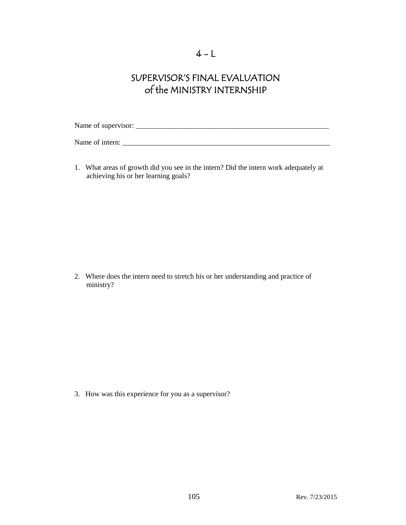# SUPERVISOR'S FINAL EVALUATION of the MINISTRY INTERNSHIP

Name of supervisor: \_\_\_\_\_\_\_\_\_\_\_\_\_\_\_\_\_\_\_\_\_\_\_\_\_\_\_\_\_\_\_\_\_\_\_\_\_\_\_\_\_\_\_\_\_\_\_\_\_\_\_\_\_

Name of intern: \_\_\_\_\_\_\_\_\_\_\_\_\_\_\_\_\_\_\_\_\_\_\_\_\_\_\_\_\_\_\_\_\_\_\_\_\_\_\_\_\_\_\_\_\_\_\_\_\_\_\_\_\_\_\_\_\_

1. What areas of growth did you see in the intern? Did the intern work adequately at achieving his or her learning goals?

2. Where does the intern need to stretch his or her understanding and practice of ministry?

3. How was this experience for you as a supervisor?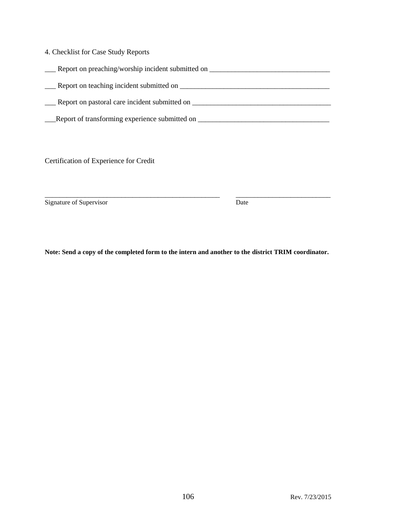| 4. Checklist for Case Study Reports |  |
|-------------------------------------|--|
|-------------------------------------|--|

| Report on preaching/worship incident submitted on |
|---------------------------------------------------|
| Report on teaching incident submitted on          |
| Report on pastoral care incident submitted on     |

Leport of transforming experience submitted on \_\_\_\_\_\_\_\_\_\_\_\_\_\_\_\_\_\_\_\_\_\_\_\_\_\_\_\_\_\_\_\_\_\_

Certification of Experience for Credit

Signature of Supervisor Date

**Note: Send a copy of the completed form to the intern and another to the district TRIM coordinator.** 

\_\_\_\_\_\_\_\_\_\_\_\_\_\_\_\_\_\_\_\_\_\_\_\_\_\_\_\_\_\_\_\_\_\_\_\_\_\_\_\_\_\_\_\_\_\_\_\_ \_\_\_\_\_\_\_\_\_\_\_\_\_\_\_\_\_\_\_\_\_\_\_\_\_\_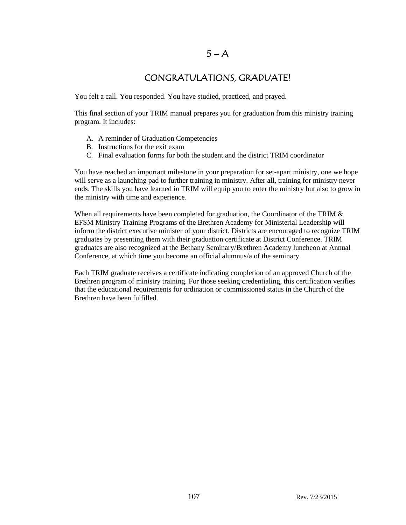### $5 - A$

## CONGRATULATIONS, GRADUATE!

You felt a call. You responded. You have studied, practiced, and prayed.

This final section of your TRIM manual prepares you for graduation from this ministry training program. It includes:

- A. A reminder of Graduation Competencies
- B. Instructions for the exit exam
- C. Final evaluation forms for both the student and the district TRIM coordinator

You have reached an important milestone in your preparation for set-apart ministry, one we hope will serve as a launching pad to further training in ministry. After all, training for ministry never ends. The skills you have learned in TRIM will equip you to enter the ministry but also to grow in the ministry with time and experience.

When all requirements have been completed for graduation, the Coordinator of the TRIM  $&$ EFSM Ministry Training Programs of the Brethren Academy for Ministerial Leadership will inform the district executive minister of your district. Districts are encouraged to recognize TRIM graduates by presenting them with their graduation certificate at District Conference. TRIM graduates are also recognized at the Bethany Seminary/Brethren Academy luncheon at Annual Conference, at which time you become an official alumnus/a of the seminary.

Each TRIM graduate receives a certificate indicating completion of an approved Church of the Brethren program of ministry training. For those seeking credentialing, this certification verifies that the educational requirements for ordination or commissioned status in the Church of the Brethren have been fulfilled.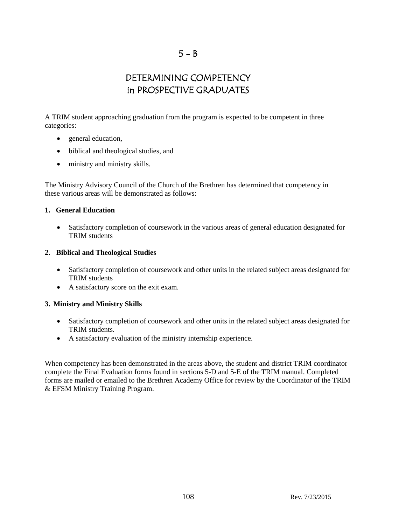# DETERMINING COMPETENCY in PROSPECTIVE GRADUATES

A TRIM student approaching graduation from the program is expected to be competent in three categories:

- general education,
- biblical and theological studies, and
- ministry and ministry skills.

The Ministry Advisory Council of the Church of the Brethren has determined that competency in these various areas will be demonstrated as follows:

#### **1. General Education**

 Satisfactory completion of coursework in the various areas of general education designated for TRIM students

#### **2. Biblical and Theological Studies**

- Satisfactory completion of coursework and other units in the related subject areas designated for TRIM students
- A satisfactory score on the exit exam.

### **3. Ministry and Ministry Skills**

- Satisfactory completion of coursework and other units in the related subject areas designated for TRIM students.
- A satisfactory evaluation of the ministry internship experience.

When competency has been demonstrated in the areas above, the student and district TRIM coordinator complete the Final Evaluation forms found in sections 5-D and 5-E of the TRIM manual. Completed forms are mailed or emailed to the Brethren Academy Office for review by the Coordinator of the TRIM & EFSM Ministry Training Program.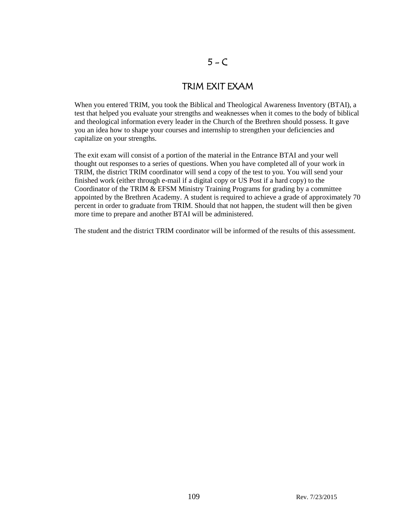# $5 - C$

### TRIM EXIT EXAM

When you entered TRIM, you took the Biblical and Theological Awareness Inventory (BTAI), a test that helped you evaluate your strengths and weaknesses when it comes to the body of biblical and theological information every leader in the Church of the Brethren should possess. It gave you an idea how to shape your courses and internship to strengthen your deficiencies and capitalize on your strengths.

The exit exam will consist of a portion of the material in the Entrance BTAI and your well thought out responses to a series of questions. When you have completed all of your work in TRIM, the district TRIM coordinator will send a copy of the test to you. You will send your finished work (either through e-mail if a digital copy or US Post if a hard copy) to the Coordinator of the TRIM & EFSM Ministry Training Programs for grading by a committee appointed by the Brethren Academy. A student is required to achieve a grade of approximately 70 percent in order to graduate from TRIM. Should that not happen, the student will then be given more time to prepare and another BTAI will be administered.

The student and the district TRIM coordinator will be informed of the results of this assessment.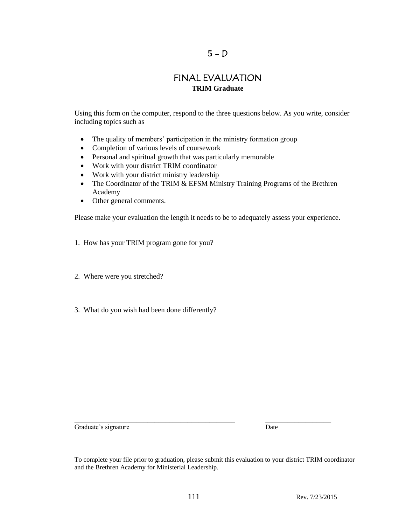#### $5 - D$

### FINAL EVALUATION **TRIM Graduate**

Using this form on the computer, respond to the three questions below. As you write, consider including topics such as

- The quality of members' participation in the ministry formation group
- Completion of various levels of coursework
- Personal and spiritual growth that was particularly memorable
- Work with your district TRIM coordinator
- Work with your district ministry leadership
- The Coordinator of the TRIM & EFSM Ministry Training Programs of the Brethren Academy
- Other general comments.

Please make your evaluation the length it needs to be to adequately assess your experience.

- 1. How has your TRIM program gone for you?
- 2. Where were you stretched?
- 3. What do you wish had been done differently?

Graduate's signature Date

\_\_\_\_\_\_\_\_\_\_\_\_\_\_\_\_\_\_\_\_\_\_\_\_\_\_\_\_\_\_\_\_\_\_\_\_\_\_\_\_\_\_\_\_ \_\_\_\_\_\_\_\_\_\_\_\_\_\_\_\_\_\_

To complete your file prior to graduation, please submit this evaluation to your district TRIM coordinator and the Brethren Academy for Ministerial Leadership.